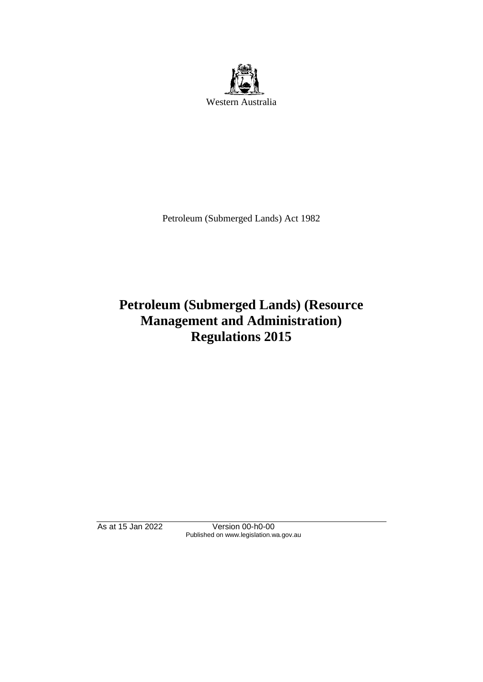

Petroleum (Submerged Lands) Act 1982

# **Petroleum (Submerged Lands) (Resource Management and Administration) Regulations 2015**

As at 15 Jan 2022 Version 00-h0-00 Published on www.legislation.wa.gov.au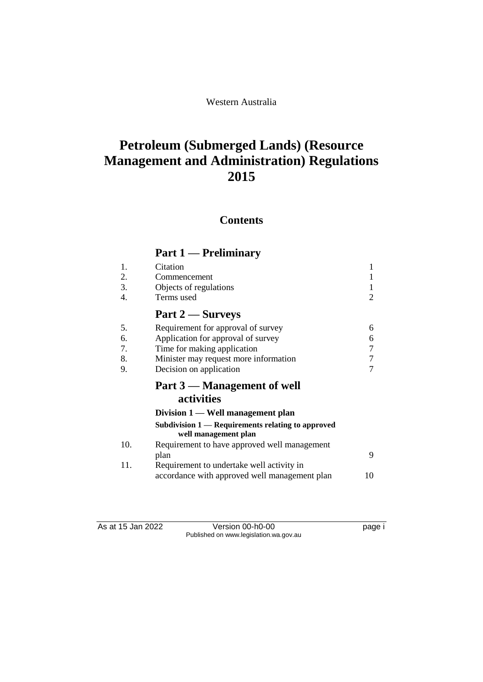Western Australia

# **Petroleum (Submerged Lands) (Resource Management and Administration) Regulations 2015**

## **Contents**

## **Part 1 — Preliminary**

| 1.  | Citation                                                                  | $\mathbf{1}$ |
|-----|---------------------------------------------------------------------------|--------------|
| 2.  | Commencement                                                              |              |
| 3.  | Objects of regulations                                                    |              |
| 4.  | Terms used                                                                | 2            |
|     | Part 2 — Surveys                                                          |              |
| 5.  | Requirement for approval of survey                                        | 6            |
| 6.  | Application for approval of survey                                        | 6            |
| 7.  | Time for making application                                               |              |
| 8.  | Minister may request more information                                     |              |
| 9.  | Decision on application                                                   |              |
|     | Part 3 — Management of well                                               |              |
|     | activities                                                                |              |
|     | Division 1 — Well management plan                                         |              |
|     | Subdivision 1 — Requirements relating to approved<br>well management plan |              |
| 10. | Requirement to have approved well management                              |              |
|     | plan                                                                      | 9            |
| 11. | Requirement to undertake well activity in                                 |              |
|     | accordance with approved well management plan                             | 10           |

As at 15 Jan 2022 Version 00-h0-00 Published on www.legislation.wa.gov.au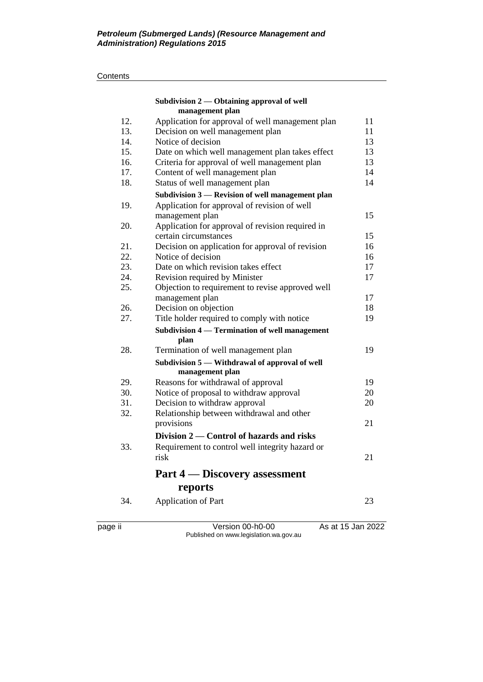#### **Contents**

|     | Subdivision 2 — Obtaining approval of well<br>management plan     |    |
|-----|-------------------------------------------------------------------|----|
| 12. | Application for approval of well management plan                  | 11 |
| 13. | Decision on well management plan                                  | 11 |
| 14. | Notice of decision                                                | 13 |
| 15. | Date on which well management plan takes effect                   | 13 |
| 16. | Criteria for approval of well management plan                     | 13 |
| 17. | Content of well management plan                                   | 14 |
| 18. | Status of well management plan                                    | 14 |
|     | Subdivision 3 - Revision of well management plan                  |    |
| 19. | Application for approval of revision of well                      |    |
|     | management plan                                                   | 15 |
| 20. | Application for approval of revision required in                  |    |
|     | certain circumstances                                             | 15 |
| 21. | Decision on application for approval of revision                  | 16 |
| 22. | Notice of decision                                                | 16 |
| 23. | Date on which revision takes effect                               | 17 |
| 24. | Revision required by Minister                                     | 17 |
| 25. | Objection to requirement to revise approved well                  |    |
|     | management plan                                                   | 17 |
| 26. | Decision on objection                                             | 18 |
| 27. | Title holder required to comply with notice                       | 19 |
|     | Subdivision 4 - Termination of well management<br>plan            |    |
| 28. | Termination of well management plan                               | 19 |
|     | Subdivision 5 - Withdrawal of approval of well<br>management plan |    |
| 29. | Reasons for withdrawal of approval                                | 19 |
| 30. | Notice of proposal to withdraw approval                           | 20 |
| 31. | Decision to withdraw approval                                     | 20 |
| 32. | Relationship between withdrawal and other                         |    |
|     | provisions                                                        | 21 |
|     | Division 2 – Control of hazards and risks                         |    |
| 33. | Requirement to control well integrity hazard or                   |    |
|     | risk                                                              | 21 |
|     | <b>Part 4 — Discovery assessment</b>                              |    |
|     | reports                                                           |    |
| 34. | Application of Part                                               | 23 |

page ii Version 00-h0-00 As at 15 Jan 2022 Published on www.legislation.wa.gov.au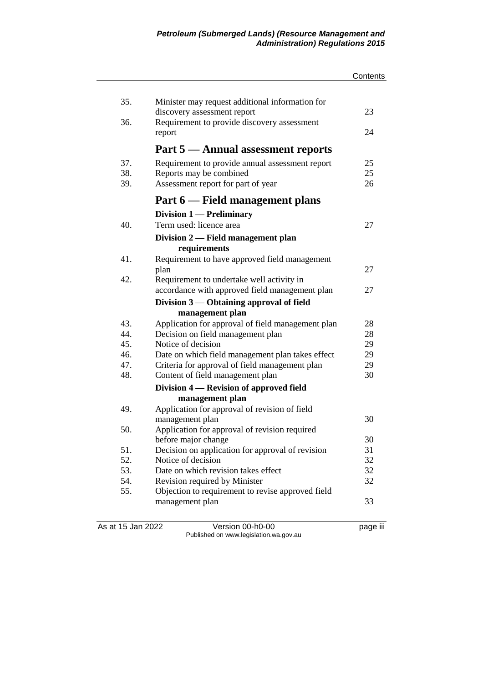|            |                                                            | Contents |
|------------|------------------------------------------------------------|----------|
|            |                                                            |          |
| 35.        | Minister may request additional information for            |          |
|            | discovery assessment report                                | 23       |
| 36.        | Requirement to provide discovery assessment                | 24       |
|            | report                                                     |          |
|            | Part 5 — Annual assessment reports                         |          |
| 37.        | Requirement to provide annual assessment report            | 25       |
| 38.        | Reports may be combined                                    | 25       |
| 39.        | Assessment report for part of year                         | 26       |
|            | Part 6 — Field management plans                            |          |
|            | Division 1 — Preliminary                                   |          |
| 40.        | Term used: licence area                                    | 27       |
|            | Division 2 — Field management plan                         |          |
|            | requirements                                               |          |
| 41.        | Requirement to have approved field management              |          |
|            | plan                                                       | 27       |
| 42.        | Requirement to undertake well activity in                  |          |
|            | accordance with approved field management plan             | 27       |
|            | Division 3 — Obtaining approval of field                   |          |
|            | management plan                                            |          |
| 43.        | Application for approval of field management plan          | 28       |
| 44.        | Decision on field management plan                          | 28       |
| 45.        | Notice of decision                                         | 29       |
| 46.        | Date on which field management plan takes effect           | 29       |
| 47.<br>48. | Criteria for approval of field management plan             | 29<br>30 |
|            | Content of field management plan                           |          |
|            | Division 4 - Revision of approved field<br>management plan |          |
| 49.        | Application for approval of revision of field              |          |
|            | management plan                                            | 30       |
| 50.        | Application for approval of revision required              |          |
|            | before major change                                        | 30       |
| 51.        | Decision on application for approval of revision           | 31       |
| 52.        | Notice of decision                                         | 32       |
| 53.        | Date on which revision takes effect                        | 32       |
| 54.        | Revision required by Minister                              | 32       |
| 55.        | Objection to requirement to revise approved field          |          |
|            | management plan                                            | 33       |
|            |                                                            |          |

As at 15 Jan 2022 Version 00-h0-00 page iii Published on www.legislation.wa.gov.au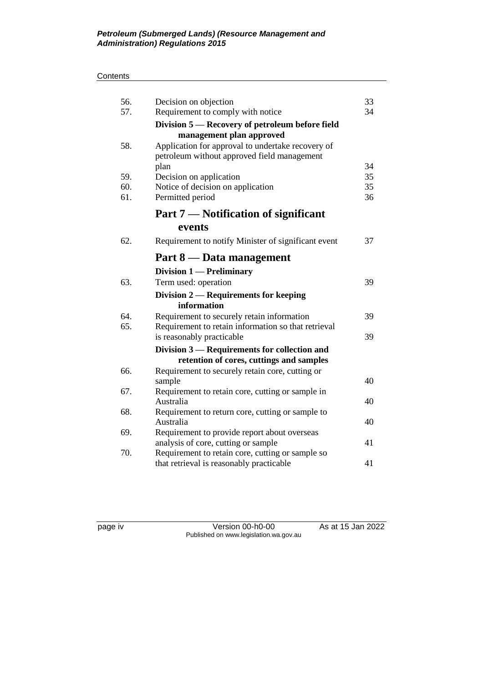#### **Contents**

| 56.<br>57. | Decision on objection<br>Requirement to comply with notice | 33<br>34 |
|------------|------------------------------------------------------------|----------|
|            | Division 5 - Recovery of petroleum before field            |          |
|            | management plan approved                                   |          |
| 58.        | Application for approval to undertake recovery of          |          |
|            | petroleum without approved field management                |          |
|            | plan                                                       | 34       |
| 59.        | Decision on application                                    | 35       |
| 60.        | Notice of decision on application                          | 35       |
| 61.        | Permitted period                                           | 36       |
|            | Part 7 – Notification of significant                       |          |
|            | events                                                     |          |
| 62.        | Requirement to notify Minister of significant event        | 37       |
|            | Part 8 — Data management                                   |          |
|            | Division 1 — Preliminary                                   |          |
| 63.        | Term used: operation                                       | 39       |
|            | Division 2 — Requirements for keeping                      |          |
|            | information                                                |          |
| 64.        | Requirement to securely retain information                 | 39       |
| 65.        | Requirement to retain information so that retrieval        |          |
|            | is reasonably practicable                                  | 39       |
|            | Division 3 — Requirements for collection and               |          |
|            | retention of cores, cuttings and samples                   |          |
| 66.        | Requirement to securely retain core, cutting or<br>sample  | 40       |
| 67.        | Requirement to retain core, cutting or sample in           |          |
|            | Australia                                                  | 40       |
| 68.        | Requirement to return core, cutting or sample to           |          |
|            | Australia                                                  | 40       |
| 69.        | Requirement to provide report about overseas               |          |
|            | analysis of core, cutting or sample                        | 41       |
| 70.        | Requirement to retain core, cutting or sample so           |          |
|            | that retrieval is reasonably practicable                   | 41       |

page iv Version 00-h0-00 As at 15 Jan 2022 Published on www.legislation.wa.gov.au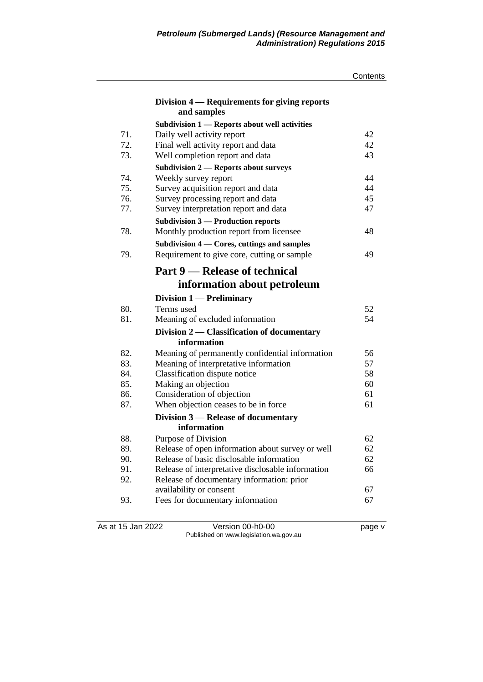|     |                                                   | Contents |
|-----|---------------------------------------------------|----------|
|     | Division 4 — Requirements for giving reports      |          |
|     | and samples                                       |          |
|     | Subdivision 1 - Reports about well activities     |          |
| 71. | Daily well activity report                        | 42       |
| 72. | Final well activity report and data               | 42       |
| 73. | Well completion report and data                   | 43       |
|     | <b>Subdivision 2 – Reports about surveys</b>      |          |
| 74. | Weekly survey report                              | 44       |
| 75. | Survey acquisition report and data                | 44       |
| 76. | Survey processing report and data                 | 45       |
| 77. | Survey interpretation report and data             | 47       |
|     | <b>Subdivision 3 — Production reports</b>         |          |
| 78. | Monthly production report from licensee           | 48       |
|     | Subdivision 4 — Cores, cuttings and samples       |          |
| 79. | Requirement to give core, cutting or sample       | 49       |
|     |                                                   |          |
|     | Part 9 — Release of technical                     |          |
|     | information about petroleum                       |          |
|     | Division $1$ — Preliminary                        |          |
| 80. | Terms used                                        | 52       |
| 81. | Meaning of excluded information                   | 54       |
|     | Division 2 — Classification of documentary        |          |
|     | information                                       |          |
| 82. | Meaning of permanently confidential information   | 56       |
| 83. | Meaning of interpretative information             | 57       |
| 84. | Classification dispute notice                     | 58       |
| 85. | Making an objection                               | 60       |
| 86. | Consideration of objection                        | 61       |
| 87. | When objection ceases to be in force              | 61       |
|     | Division 3 – Release of documentary               |          |
|     | information                                       |          |
| 88. | Purpose of Division                               | 62       |
| 89. | Release of open information about survey or well  | 62       |
| 90. | Release of basic disclosable information          | 62       |
| 91. | Release of interpretative disclosable information | 66       |
| 92. | Release of documentary information: prior         |          |
|     | availability or consent                           | 67       |
| 93. | Fees for documentary information                  | 67       |
|     |                                                   |          |

As at 15 Jan 2022 Version 00-h0-00 Page v Published on www.legislation.wa.gov.au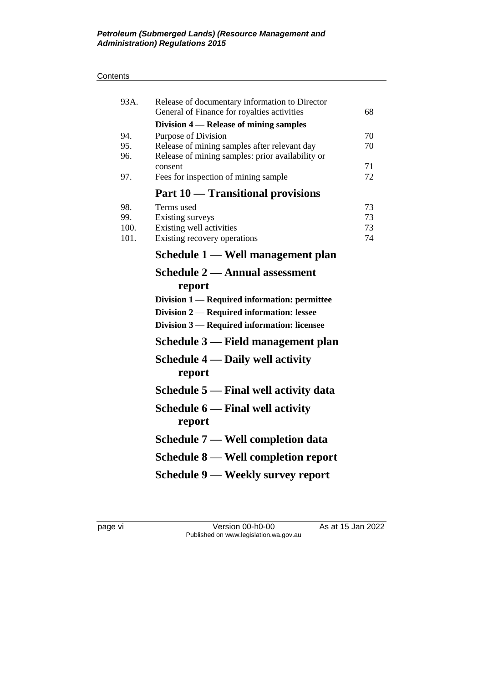#### **Contents**

| 93A.                       | Release of documentary information to Director<br>General of Finance for royalties activities                                                                                                                        | 68                   |
|----------------------------|----------------------------------------------------------------------------------------------------------------------------------------------------------------------------------------------------------------------|----------------------|
| 94.<br>95.<br>96.<br>97.   | Division 4 – Release of mining samples<br>Purpose of Division<br>Release of mining samples after relevant day<br>Release of mining samples: prior availability or<br>consent<br>Fees for inspection of mining sample | 70<br>70<br>71<br>72 |
|                            | Part 10 — Transitional provisions                                                                                                                                                                                    |                      |
| 98.<br>99.<br>100.<br>101. | Terms used<br>Existing surveys<br>Existing well activities<br>Existing recovery operations                                                                                                                           | 73<br>73<br>73<br>74 |
|                            | Schedule 1 — Well management plan                                                                                                                                                                                    |                      |
|                            | Schedule 2 — Annual assessment<br>report<br>Division 1 — Required information: permittee<br>Division 2 — Required information: lessee<br>Division 3 — Required information: licensee                                 |                      |
|                            | Schedule 3 — Field management plan                                                                                                                                                                                   |                      |
|                            | Schedule $4$ — Daily well activity<br>report                                                                                                                                                                         |                      |
|                            | Schedule 5 — Final well activity data                                                                                                                                                                                |                      |
|                            | Schedule 6 — Final well activity<br>report                                                                                                                                                                           |                      |
|                            | Schedule 7 — Well completion data                                                                                                                                                                                    |                      |
|                            | Schedule 8 — Well completion report                                                                                                                                                                                  |                      |
|                            | Schedule 9 — Weekly survey report                                                                                                                                                                                    |                      |

page vi Version 00-h0-00 As at 15 Jan 2022 Published on www.legislation.wa.gov.au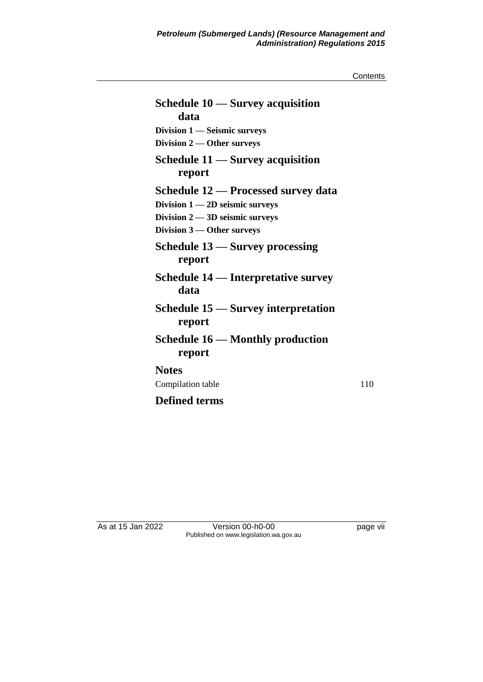**Contents** 

| Schedule 10 — Survey acquisition           |     |
|--------------------------------------------|-----|
| data                                       |     |
| Division 1 - Seismic surveys               |     |
| Division 2 - Other surveys                 |     |
| Schedule $11$ — Survey acquisition         |     |
| report                                     |     |
| <b>Schedule 12 – Processed survey data</b> |     |
| Division $1 - 2D$ seismic surveys          |     |
| Division $2 - 3D$ seismic surveys          |     |
| Division $3$ — Other surveys               |     |
| Schedule 13 — Survey processing            |     |
| report                                     |     |
| <b>Schedule 14 – Interpretative survey</b> |     |
| data                                       |     |
| <b>Schedule 15 – Survey interpretation</b> |     |
| report                                     |     |
| Schedule $16$ — Monthly production         |     |
| report                                     |     |
| <b>Notes</b>                               |     |
| Compilation table                          | 110 |
|                                            |     |
| <b>Defined terms</b>                       |     |

As at 15 Jan 2022 Version 00-h0-00 page vii Published on www.legislation.wa.gov.au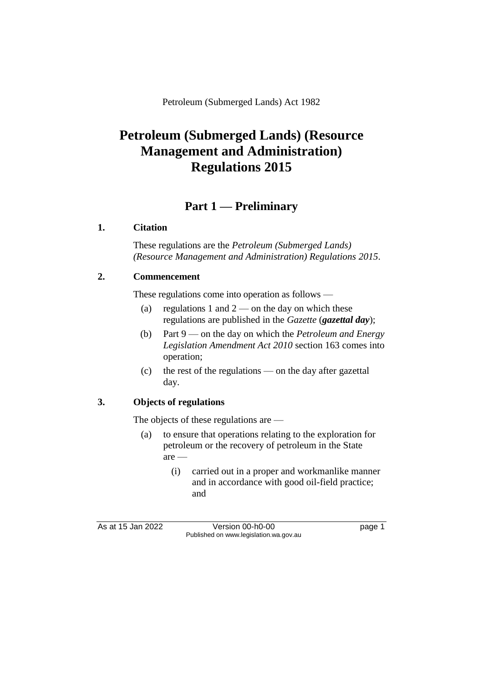Petroleum (Submerged Lands) Act 1982

# **Petroleum (Submerged Lands) (Resource Management and Administration) Regulations 2015**

## **Part 1 — Preliminary**

### **1. Citation**

These regulations are the *Petroleum (Submerged Lands) (Resource Management and Administration) Regulations 2015*.

## **2. Commencement**

These regulations come into operation as follows —

- (a) regulations 1 and  $2$  on the day on which these regulations are published in the *Gazette* (*gazettal day*);
- (b) Part 9 on the day on which the *Petroleum and Energy Legislation Amendment Act 2010* section 163 comes into operation;
- (c) the rest of the regulations on the day after gazettal day.

## **3. Objects of regulations**

The objects of these regulations are —

- (a) to ensure that operations relating to the exploration for petroleum or the recovery of petroleum in the State are —
	- (i) carried out in a proper and workmanlike manner and in accordance with good oil-field practice; and

As at 15 Jan 2022 Version 00-h0-00 page 1 Published on www.legislation.wa.gov.au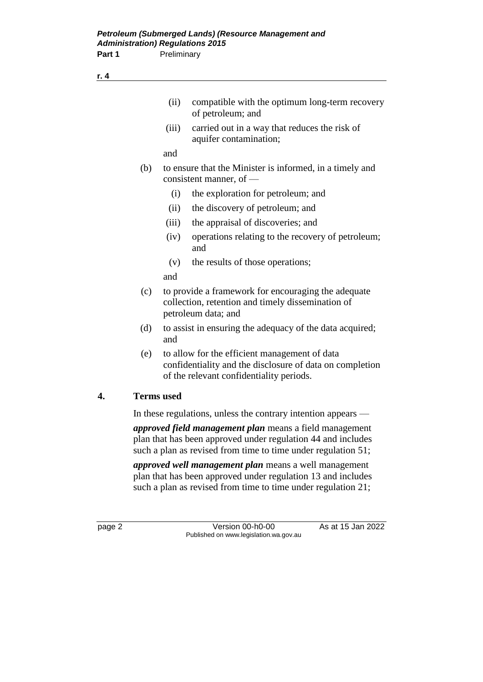|    |                   | (ii)<br>compatible with the optimum long-term recovery<br>of petroleum; and                                                                                                                     |
|----|-------------------|-------------------------------------------------------------------------------------------------------------------------------------------------------------------------------------------------|
|    |                   | (iii)<br>carried out in a way that reduces the risk of<br>aquifer contamination;                                                                                                                |
|    |                   | and                                                                                                                                                                                             |
|    | (b)               | to ensure that the Minister is informed, in a timely and<br>consistent manner, of -                                                                                                             |
|    |                   | (i)<br>the exploration for petroleum; and                                                                                                                                                       |
|    |                   | (ii)<br>the discovery of petroleum; and                                                                                                                                                         |
|    |                   | (iii)<br>the appraisal of discoveries; and                                                                                                                                                      |
|    |                   | (iv)<br>operations relating to the recovery of petroleum;<br>and                                                                                                                                |
|    |                   | the results of those operations;<br>(v)                                                                                                                                                         |
|    |                   | and                                                                                                                                                                                             |
|    | (c)               | to provide a framework for encouraging the adequate<br>collection, retention and timely dissemination of<br>petroleum data; and                                                                 |
|    | (d)               | to assist in ensuring the adequacy of the data acquired;<br>and                                                                                                                                 |
|    | (e)               | to allow for the efficient management of data<br>confidentiality and the disclosure of data on completion<br>of the relevant confidentiality periods.                                           |
| 4. | <b>Terms</b> used |                                                                                                                                                                                                 |
|    |                   | In these regulations, unless the contrary intention appears —                                                                                                                                   |
|    |                   | <i>approved field management plan</i> means a field management<br>plan that has been approved under regulation 44 and includes<br>such a plan as revised from time to time under regulation 51; |

*approved well management plan* means a well management plan that has been approved under regulation 13 and includes such a plan as revised from time to time under regulation 21;

page 2 Version 00-h0-00 As at 15 Jan 2022 Published on www.legislation.wa.gov.au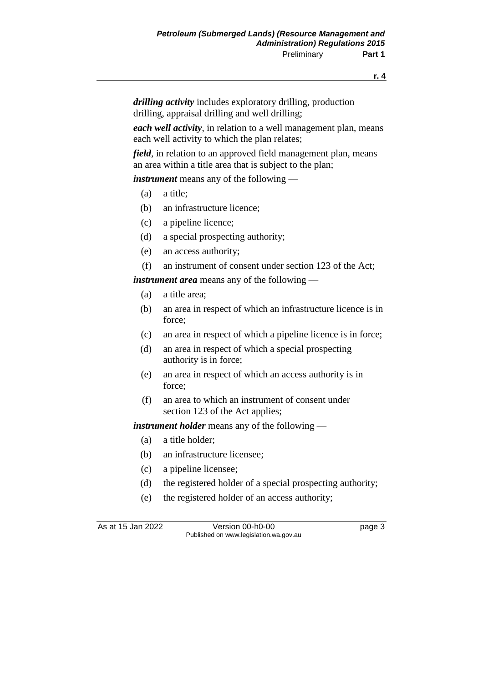**r. 4**

*drilling activity* includes exploratory drilling, production drilling, appraisal drilling and well drilling;

*each well activity*, in relation to a well management plan, means each well activity to which the plan relates;

*field*, in relation to an approved field management plan, means an area within a title area that is subject to the plan;

*instrument* means any of the following —

- (a) a title;
- (b) an infrastructure licence;
- (c) a pipeline licence;
- (d) a special prospecting authority;
- (e) an access authority;
- (f) an instrument of consent under section 123 of the Act;

*instrument area* means any of the following —

- (a) a title area;
- (b) an area in respect of which an infrastructure licence is in force;
- (c) an area in respect of which a pipeline licence is in force;
- (d) an area in respect of which a special prospecting authority is in force;
- (e) an area in respect of which an access authority is in force;
- (f) an area to which an instrument of consent under section 123 of the Act applies;

*instrument holder* means any of the following —

- (a) a title holder;
- (b) an infrastructure licensee;
- (c) a pipeline licensee;
- (d) the registered holder of a special prospecting authority;
- (e) the registered holder of an access authority;

As at 15 Jan 2022 Version 00-h0-00 page 3 Published on www.legislation.wa.gov.au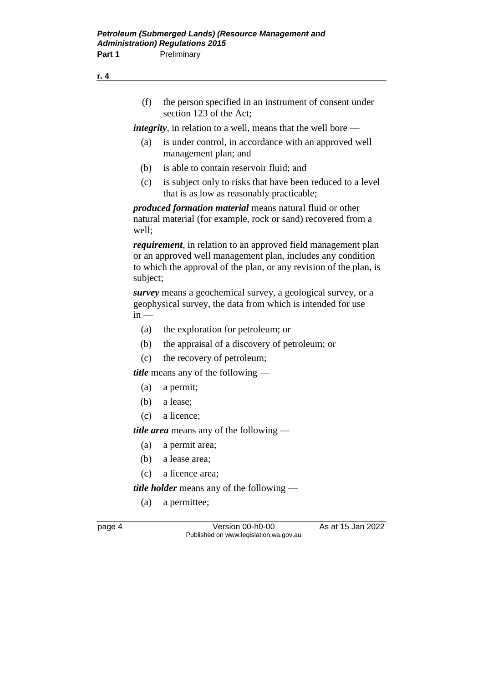(f) the person specified in an instrument of consent under section 123 of the Act;

*integrity*, in relation to a well, means that the well bore —

- (a) is under control, in accordance with an approved well management plan; and
- (b) is able to contain reservoir fluid; and
- (c) is subject only to risks that have been reduced to a level that is as low as reasonably practicable;

*produced formation material* means natural fluid or other natural material (for example, rock or sand) recovered from a well;

*requirement*, in relation to an approved field management plan or an approved well management plan, includes any condition to which the approval of the plan, or any revision of the plan, is subject;

*survey* means a geochemical survey, a geological survey, or a geophysical survey, the data from which is intended for use  $in -$ 

- (a) the exploration for petroleum; or
- (b) the appraisal of a discovery of petroleum; or
- (c) the recovery of petroleum;

*title* means any of the following —

- (a) a permit;
- (b) a lease;
- (c) a licence;

*title area* means any of the following —

- (a) a permit area;
- (b) a lease area;
- (c) a licence area;

*title holder* means any of the following —

(a) a permittee;

page 4 Version 00-h0-00 As at 15 Jan 2022 Published on www.legislation.wa.gov.au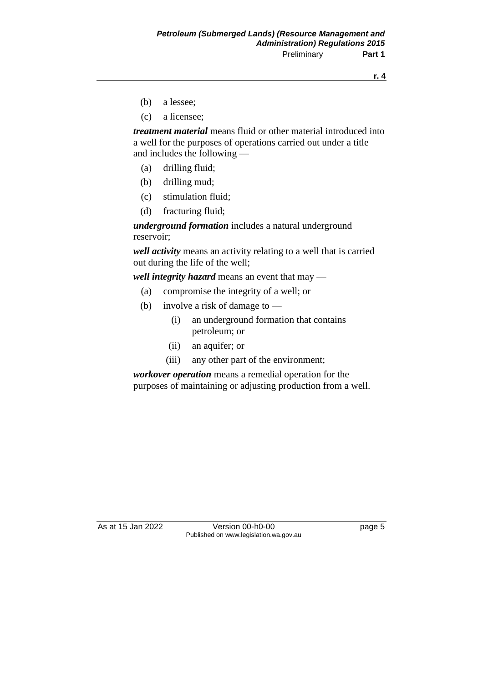**r. 4**

- (b) a lessee;
- (c) a licensee;

*treatment material* means fluid or other material introduced into a well for the purposes of operations carried out under a title and includes the following —

- (a) drilling fluid;
- (b) drilling mud;
- (c) stimulation fluid;
- (d) fracturing fluid;

*underground formation* includes a natural underground reservoir;

*well activity* means an activity relating to a well that is carried out during the life of the well;

*well integrity hazard* means an event that may —

- (a) compromise the integrity of a well; or
- (b) involve a risk of damage to
	- (i) an underground formation that contains petroleum; or
	- (ii) an aquifer; or
	- (iii) any other part of the environment;

*workover operation* means a remedial operation for the purposes of maintaining or adjusting production from a well.

As at 15 Jan 2022 Version 00-h0-00 Page 5 Published on www.legislation.wa.gov.au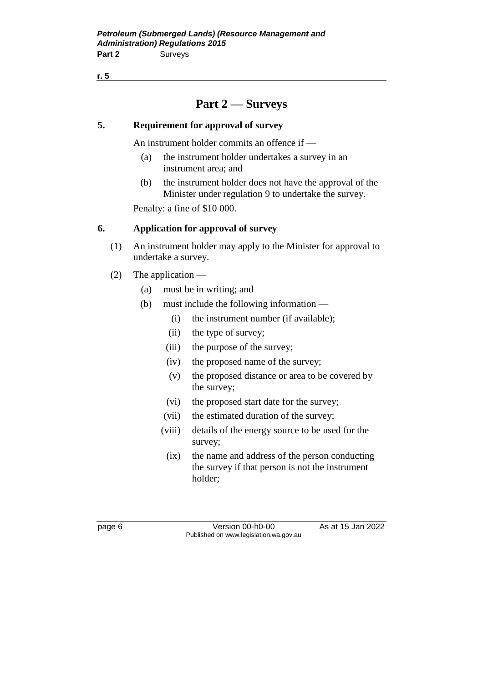**r. 5**

## **Part 2 — Surveys**

#### **5. Requirement for approval of survey**

An instrument holder commits an offence if —

- (a) the instrument holder undertakes a survey in an instrument area; and
- (b) the instrument holder does not have the approval of the Minister under regulation 9 to undertake the survey.

Penalty: a fine of \$10 000.

#### **6. Application for approval of survey**

- (1) An instrument holder may apply to the Minister for approval to undertake a survey.
- (2) The application
	- (a) must be in writing; and
	- (b) must include the following information
		- (i) the instrument number (if available);
		- (ii) the type of survey;
		- (iii) the purpose of the survey;
		- (iv) the proposed name of the survey;
		- (v) the proposed distance or area to be covered by the survey;
		- (vi) the proposed start date for the survey;
		- (vii) the estimated duration of the survey;
		- (viii) details of the energy source to be used for the survey;
		- (ix) the name and address of the person conducting the survey if that person is not the instrument holder;

page 6 Version 00-h0-00 As at 15 Jan 2022 Published on www.legislation.wa.gov.au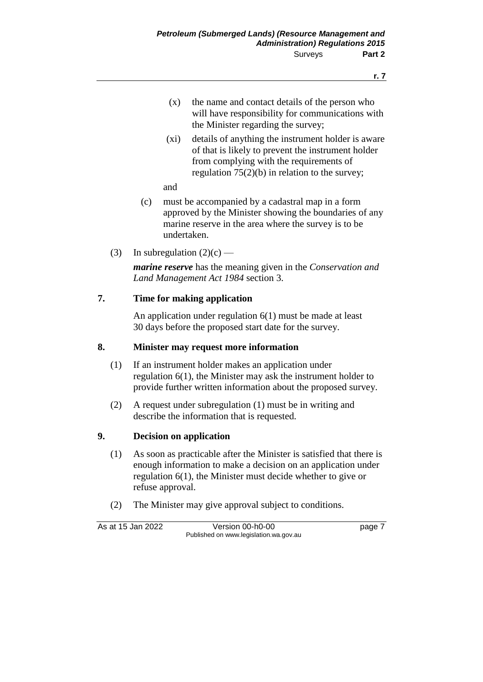- (x) the name and contact details of the person who will have responsibility for communications with the Minister regarding the survey;
- (xi) details of anything the instrument holder is aware of that is likely to prevent the instrument holder from complying with the requirements of regulation 75(2)(b) in relation to the survey;
- and
- (c) must be accompanied by a cadastral map in a form approved by the Minister showing the boundaries of any marine reserve in the area where the survey is to be undertaken.
- (3) In subregulation  $(2)(c)$  —

*marine reserve* has the meaning given in the *Conservation and Land Management Act 1984* section 3.

### **7. Time for making application**

An application under regulation 6(1) must be made at least 30 days before the proposed start date for the survey.

### **8. Minister may request more information**

- (1) If an instrument holder makes an application under regulation 6(1), the Minister may ask the instrument holder to provide further written information about the proposed survey.
- (2) A request under subregulation (1) must be in writing and describe the information that is requested.

#### **9. Decision on application**

- (1) As soon as practicable after the Minister is satisfied that there is enough information to make a decision on an application under regulation 6(1), the Minister must decide whether to give or refuse approval.
- (2) The Minister may give approval subject to conditions.

As at 15 Jan 2022 Version 00-h0-00 page 7 Published on www.legislation.wa.gov.au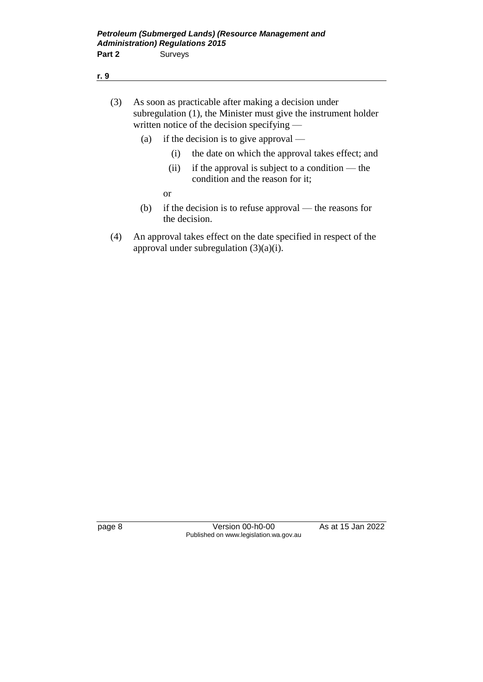| (3) | As soon as practicable after making a decision under            |
|-----|-----------------------------------------------------------------|
|     | subregulation (1), the Minister must give the instrument holder |
|     | written notice of the decision specifying $-$                   |

- (a) if the decision is to give approval
	- (i) the date on which the approval takes effect; and
	- (ii) if the approval is subject to a condition the condition and the reason for it;

or

- (b) if the decision is to refuse approval the reasons for the decision.
- (4) An approval takes effect on the date specified in respect of the approval under subregulation  $(3)(a)(i)$ .

page 8 Version 00-h0-00 As at 15 Jan 2022 Published on www.legislation.wa.gov.au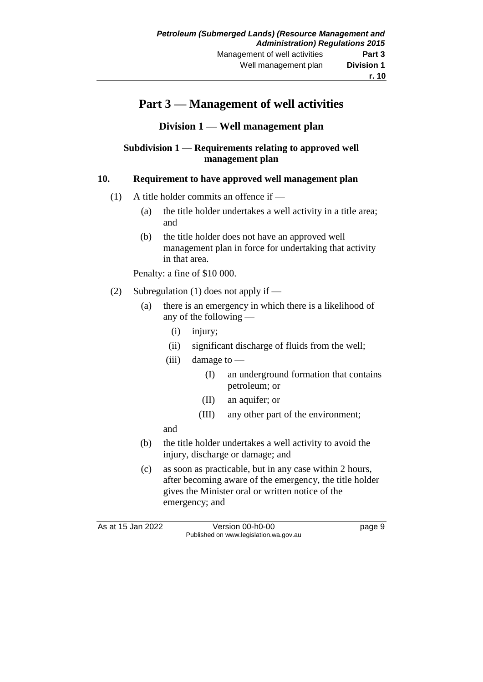## **Part 3 — Management of well activities**

**Division 1 — Well management plan**

#### **Subdivision 1 — Requirements relating to approved well management plan**

#### **10. Requirement to have approved well management plan**

- (1) A title holder commits an offence if  $-$ 
	- (a) the title holder undertakes a well activity in a title area; and
	- (b) the title holder does not have an approved well management plan in force for undertaking that activity in that area.

Penalty: a fine of \$10 000.

- (2) Subregulation (1) does not apply if
	- (a) there is an emergency in which there is a likelihood of any of the following —
		- (i) injury;
		- (ii) significant discharge of fluids from the well;
		- (iii) damage to  $-$ 
			- (I) an underground formation that contains petroleum; or
			- (II) an aquifer; or
			- (III) any other part of the environment;

and

- (b) the title holder undertakes a well activity to avoid the injury, discharge or damage; and
- (c) as soon as practicable, but in any case within 2 hours, after becoming aware of the emergency, the title holder gives the Minister oral or written notice of the emergency; and

As at 15 Jan 2022 Version 00-h0-00 page 9 Published on www.legislation.wa.gov.au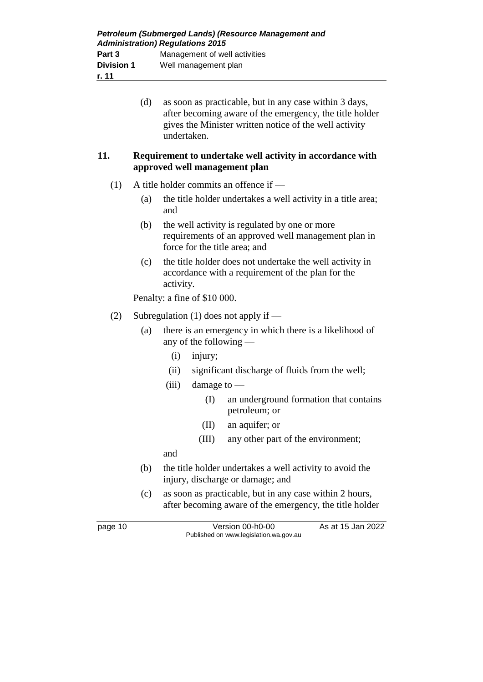|                                               | (d) | undertaken. |                              | as soon as practicable, but in any case within 3 days,<br>after becoming aware of the emergency, the title holder<br>gives the Minister written notice of the well activity |
|-----------------------------------------------|-----|-------------|------------------------------|-----------------------------------------------------------------------------------------------------------------------------------------------------------------------------|
| 11.                                           |     |             |                              | Requirement to undertake well activity in accordance with<br>approved well management plan                                                                                  |
| A title holder commits an offence if —<br>(1) |     |             |                              |                                                                                                                                                                             |
|                                               | (a) | and         |                              | the title holder undertakes a well activity in a title area;                                                                                                                |
|                                               | (b) |             |                              | the well activity is regulated by one or more<br>requirements of an approved well management plan in<br>force for the title area; and                                       |
|                                               | (c) | activity.   |                              | the title holder does not undertake the well activity in<br>accordance with a requirement of the plan for the                                                               |
|                                               |     |             | Penalty: a fine of \$10 000. |                                                                                                                                                                             |
| (2)                                           |     |             |                              | Subregulation $(1)$ does not apply if —                                                                                                                                     |
|                                               | (a) |             | any of the following $-$     | there is an emergency in which there is a likelihood of                                                                                                                     |
|                                               |     | (i)         | injury;                      |                                                                                                                                                                             |
|                                               |     | (ii)        |                              | significant discharge of fluids from the well;                                                                                                                              |
|                                               |     | (iii)       | damage to $-$                |                                                                                                                                                                             |
|                                               |     |             | (I)                          | an underground formation that contains<br>petroleum; or                                                                                                                     |
|                                               |     |             | (II)                         | an aquifer; or                                                                                                                                                              |
|                                               |     |             | (III)                        | any other part of the environment;                                                                                                                                          |
|                                               |     | and         |                              |                                                                                                                                                                             |
|                                               | (b) |             |                              | the title holder undertakes a well activity to avoid the<br>injury, discharge or damage; and                                                                                |

(c) as soon as practicable, but in any case within 2 hours, after becoming aware of the emergency, the title holder

page 10 Version 00-h0-00 As at 15 Jan 2022 Published on www.legislation.wa.gov.au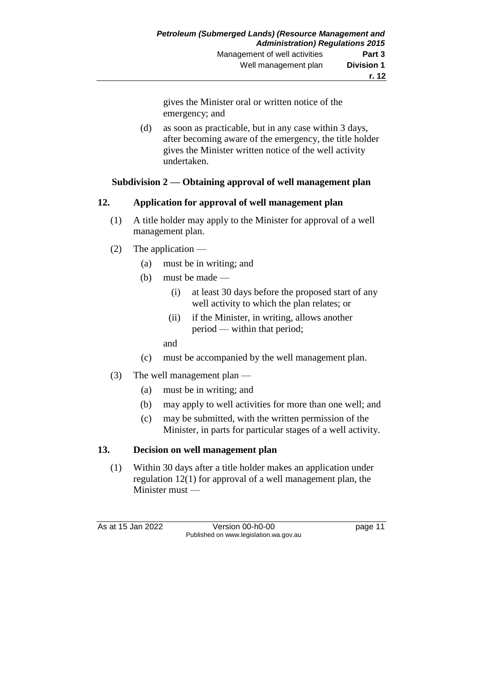gives the Minister oral or written notice of the emergency; and

(d) as soon as practicable, but in any case within 3 days, after becoming aware of the emergency, the title holder gives the Minister written notice of the well activity undertaken.

### **Subdivision 2 — Obtaining approval of well management plan**

### **12. Application for approval of well management plan**

- (1) A title holder may apply to the Minister for approval of a well management plan.
- (2) The application
	- (a) must be in writing; and
	- (b) must be made
		- (i) at least 30 days before the proposed start of any well activity to which the plan relates; or
		- (ii) if the Minister, in writing, allows another period — within that period;

and

- (c) must be accompanied by the well management plan.
- (3) The well management plan
	- (a) must be in writing; and
	- (b) may apply to well activities for more than one well; and
	- (c) may be submitted, with the written permission of the Minister, in parts for particular stages of a well activity.

### **13. Decision on well management plan**

(1) Within 30 days after a title holder makes an application under regulation 12(1) for approval of a well management plan, the Minister must —

As at 15 Jan 2022 Version 00-h0-00 page 11 Published on www.legislation.wa.gov.au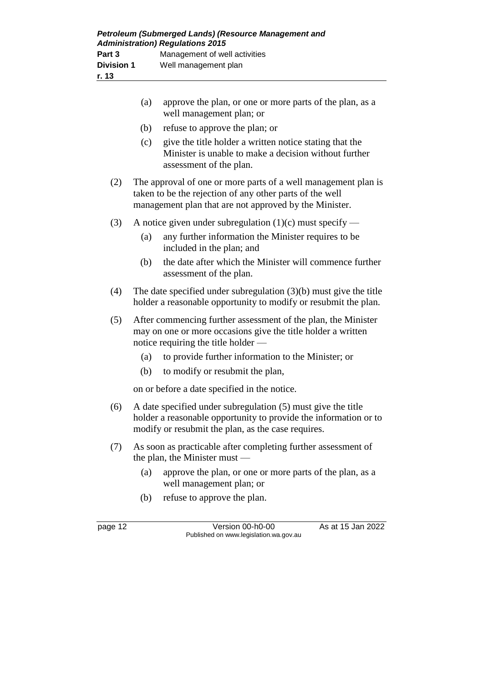|     | (a)                                                                                                                                                                  | approve the plan, or one or more parts of the plan, as a<br>well management plan; or                                                                                                   |  |
|-----|----------------------------------------------------------------------------------------------------------------------------------------------------------------------|----------------------------------------------------------------------------------------------------------------------------------------------------------------------------------------|--|
|     | (b)                                                                                                                                                                  | refuse to approve the plan; or                                                                                                                                                         |  |
|     | (c)                                                                                                                                                                  | give the title holder a written notice stating that the<br>Minister is unable to make a decision without further<br>assessment of the plan.                                            |  |
| (2) |                                                                                                                                                                      | The approval of one or more parts of a well management plan is<br>taken to be the rejection of any other parts of the well<br>management plan that are not approved by the Minister.   |  |
| (3) |                                                                                                                                                                      | A notice given under subregulation $(1)(c)$ must specify —                                                                                                                             |  |
|     | (a)                                                                                                                                                                  | any further information the Minister requires to be<br>included in the plan; and                                                                                                       |  |
|     | (b)                                                                                                                                                                  | the date after which the Minister will commence further<br>assessment of the plan.                                                                                                     |  |
| (4) |                                                                                                                                                                      | The date specified under subregulation $(3)(b)$ must give the title<br>holder a reasonable opportunity to modify or resubmit the plan.                                                 |  |
| (5) | After commencing further assessment of the plan, the Minister<br>may on one or more occasions give the title holder a written<br>notice requiring the title holder — |                                                                                                                                                                                        |  |
|     | (a)                                                                                                                                                                  | to provide further information to the Minister; or                                                                                                                                     |  |
|     | (b)                                                                                                                                                                  | to modify or resubmit the plan,                                                                                                                                                        |  |
|     |                                                                                                                                                                      | on or before a date specified in the notice.                                                                                                                                           |  |
| (6) |                                                                                                                                                                      | A date specified under subregulation (5) must give the title<br>holder a reasonable opportunity to provide the information or to<br>modify or resubmit the plan, as the case requires. |  |
| (7) |                                                                                                                                                                      | As soon as practicable after completing further assessment of<br>the plan, the Minister must $-$                                                                                       |  |
|     | (a)                                                                                                                                                                  | approve the plan, or one or more parts of the plan, as a<br>well management plan; or                                                                                                   |  |
|     | (b)                                                                                                                                                                  | refuse to approve the plan.                                                                                                                                                            |  |

page 12 Version 00-h0-00 As at 15 Jan 2022 Published on www.legislation.wa.gov.au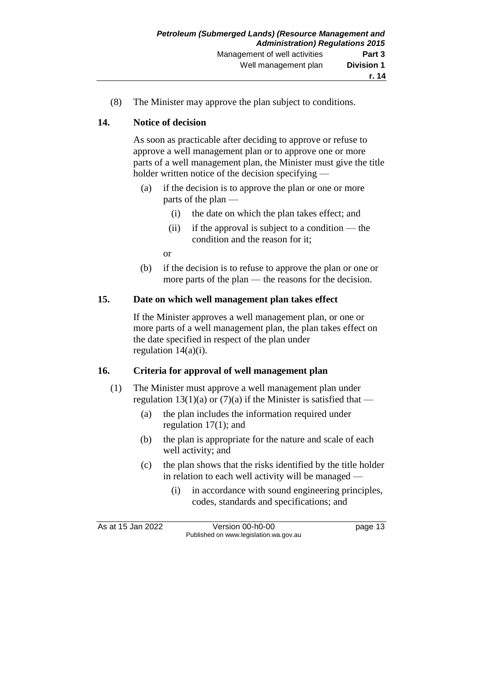(8) The Minister may approve the plan subject to conditions.

#### **14. Notice of decision**

As soon as practicable after deciding to approve or refuse to approve a well management plan or to approve one or more parts of a well management plan, the Minister must give the title holder written notice of the decision specifying —

- (a) if the decision is to approve the plan or one or more parts of the plan —
	- (i) the date on which the plan takes effect; and
	- (ii) if the approval is subject to a condition the condition and the reason for it;

or

(b) if the decision is to refuse to approve the plan or one or more parts of the plan — the reasons for the decision.

#### **15. Date on which well management plan takes effect**

If the Minister approves a well management plan, or one or more parts of a well management plan, the plan takes effect on the date specified in respect of the plan under regulation 14(a)(i).

### **16. Criteria for approval of well management plan**

- (1) The Minister must approve a well management plan under regulation 13(1)(a) or (7)(a) if the Minister is satisfied that —
	- (a) the plan includes the information required under regulation 17(1); and
	- (b) the plan is appropriate for the nature and scale of each well activity; and
	- (c) the plan shows that the risks identified by the title holder in relation to each well activity will be managed —
		- (i) in accordance with sound engineering principles, codes, standards and specifications; and

As at 15 Jan 2022 Version 00-h0-00 page 13 Published on www.legislation.wa.gov.au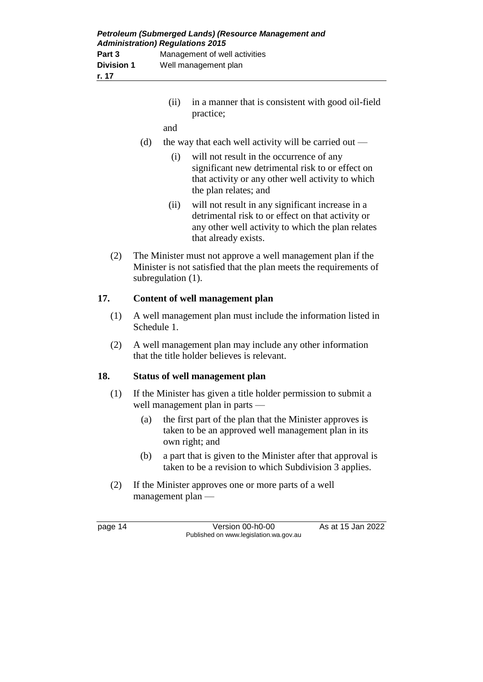| Petroleum (Submerged Lands) (Resource Management and<br><b>Administration) Regulations 2015</b> |                               |  |
|-------------------------------------------------------------------------------------------------|-------------------------------|--|
| Part 3                                                                                          | Management of well activities |  |
| <b>Division 1</b>                                                                               | Well management plan          |  |
| r. 17                                                                                           |                               |  |

- (ii) in a manner that is consistent with good oil-field practice;
- and
- (d) the way that each well activity will be carried out
	- (i) will not result in the occurrence of any significant new detrimental risk to or effect on that activity or any other well activity to which the plan relates; and
	- (ii) will not result in any significant increase in a detrimental risk to or effect on that activity or any other well activity to which the plan relates that already exists.
- (2) The Minister must not approve a well management plan if the Minister is not satisfied that the plan meets the requirements of subregulation (1).

#### **17. Content of well management plan**

- (1) A well management plan must include the information listed in Schedule 1.
- (2) A well management plan may include any other information that the title holder believes is relevant.

### **18. Status of well management plan**

- (1) If the Minister has given a title holder permission to submit a well management plan in parts —
	- (a) the first part of the plan that the Minister approves is taken to be an approved well management plan in its own right; and
	- (b) a part that is given to the Minister after that approval is taken to be a revision to which Subdivision 3 applies.
- (2) If the Minister approves one or more parts of a well management plan —

page 14 Version 00-h0-00 As at 15 Jan 2022 Published on www.legislation.wa.gov.au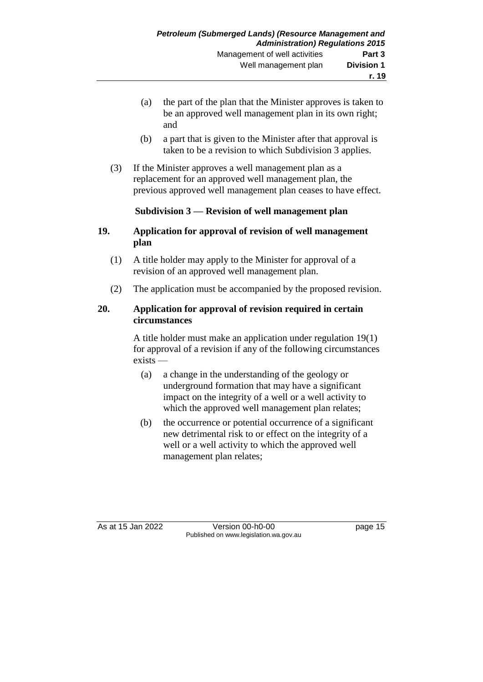- (a) the part of the plan that the Minister approves is taken to be an approved well management plan in its own right; and
- (b) a part that is given to the Minister after that approval is taken to be a revision to which Subdivision 3 applies.
- (3) If the Minister approves a well management plan as a replacement for an approved well management plan, the previous approved well management plan ceases to have effect.

### **Subdivision 3 — Revision of well management plan**

#### **19. Application for approval of revision of well management plan**

- (1) A title holder may apply to the Minister for approval of a revision of an approved well management plan.
- (2) The application must be accompanied by the proposed revision.

#### **20. Application for approval of revision required in certain circumstances**

A title holder must make an application under regulation 19(1) for approval of a revision if any of the following circumstances exists —

- (a) a change in the understanding of the geology or underground formation that may have a significant impact on the integrity of a well or a well activity to which the approved well management plan relates;
- (b) the occurrence or potential occurrence of a significant new detrimental risk to or effect on the integrity of a well or a well activity to which the approved well management plan relates;

As at 15 Jan 2022 Version 00-h0-00 page 15 Published on www.legislation.wa.gov.au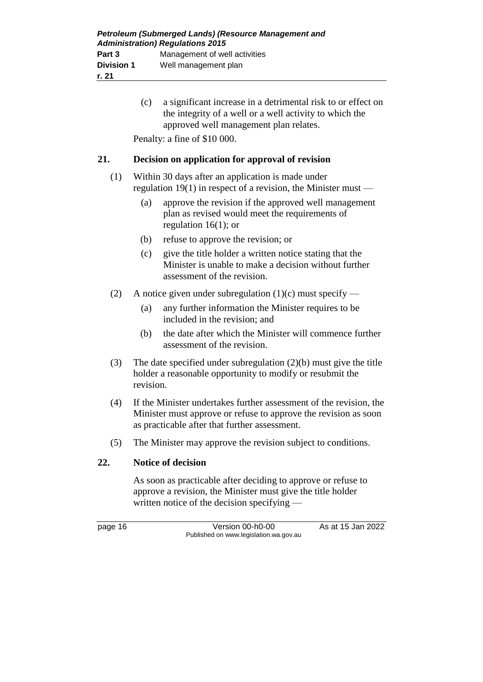(c) a significant increase in a detrimental risk to or effect on the integrity of a well or a well activity to which the approved well management plan relates.

Penalty: a fine of \$10 000.

### **21. Decision on application for approval of revision**

- (1) Within 30 days after an application is made under regulation 19(1) in respect of a revision, the Minister must —
	- (a) approve the revision if the approved well management plan as revised would meet the requirements of regulation 16(1); or
	- (b) refuse to approve the revision; or
	- (c) give the title holder a written notice stating that the Minister is unable to make a decision without further assessment of the revision.
- (2) A notice given under subregulation  $(1)(c)$  must specify
	- (a) any further information the Minister requires to be included in the revision; and
	- (b) the date after which the Minister will commence further assessment of the revision.
- (3) The date specified under subregulation (2)(b) must give the title holder a reasonable opportunity to modify or resubmit the revision.
- (4) If the Minister undertakes further assessment of the revision, the Minister must approve or refuse to approve the revision as soon as practicable after that further assessment.
- (5) The Minister may approve the revision subject to conditions.

### **22. Notice of decision**

As soon as practicable after deciding to approve or refuse to approve a revision, the Minister must give the title holder written notice of the decision specifying —

page 16 Version 00-h0-00 As at 15 Jan 2022 Published on www.legislation.wa.gov.au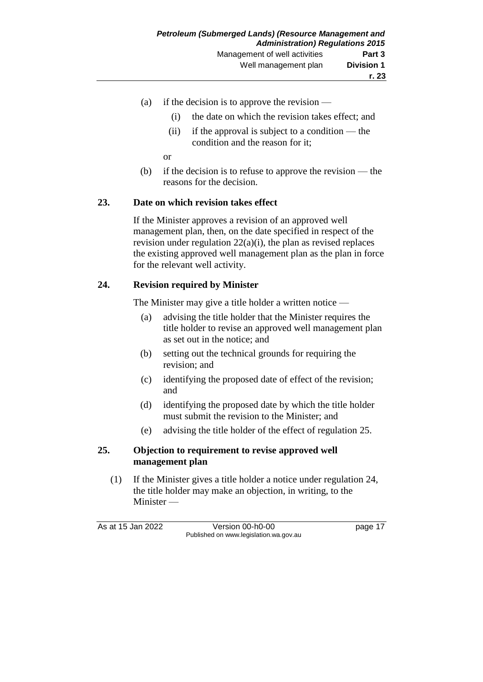- (a) if the decision is to approve the revision
	- (i) the date on which the revision takes effect; and
	- (ii) if the approval is subject to a condition the condition and the reason for it;

or

(b) if the decision is to refuse to approve the revision — the reasons for the decision.

### **23. Date on which revision takes effect**

If the Minister approves a revision of an approved well management plan, then, on the date specified in respect of the revision under regulation 22(a)(i), the plan as revised replaces the existing approved well management plan as the plan in force for the relevant well activity.

### **24. Revision required by Minister**

The Minister may give a title holder a written notice —

- (a) advising the title holder that the Minister requires the title holder to revise an approved well management plan as set out in the notice; and
- (b) setting out the technical grounds for requiring the revision; and
- (c) identifying the proposed date of effect of the revision; and
- (d) identifying the proposed date by which the title holder must submit the revision to the Minister; and
- (e) advising the title holder of the effect of regulation 25.

### **25. Objection to requirement to revise approved well management plan**

(1) If the Minister gives a title holder a notice under regulation 24, the title holder may make an objection, in writing, to the Minister —

As at 15 Jan 2022 Version 00-h0-00 page 17 Published on www.legislation.wa.gov.au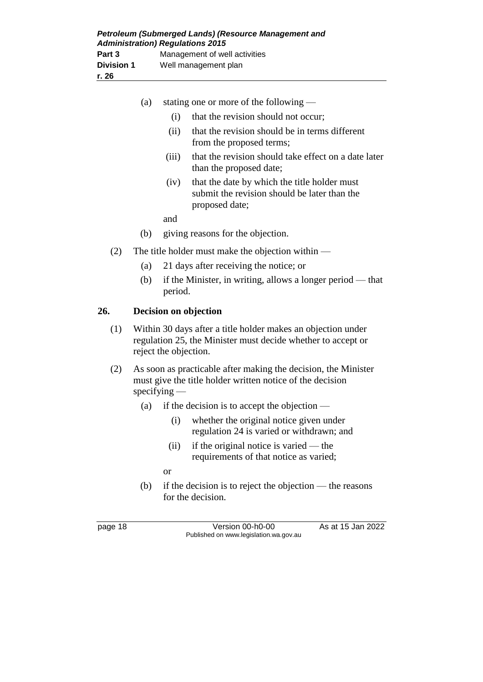|     | (a)                                                                                                                                                   |         | stating one or more of the following —                                                                         |
|-----|-------------------------------------------------------------------------------------------------------------------------------------------------------|---------|----------------------------------------------------------------------------------------------------------------|
|     |                                                                                                                                                       | (i)     | that the revision should not occur;                                                                            |
|     |                                                                                                                                                       | (ii)    | that the revision should be in terms different<br>from the proposed terms;                                     |
|     |                                                                                                                                                       | (iii)   | that the revision should take effect on a date later<br>than the proposed date;                                |
|     |                                                                                                                                                       | (iv)    | that the date by which the title holder must<br>submit the revision should be later than the<br>proposed date; |
|     |                                                                                                                                                       | and     |                                                                                                                |
|     | (b)                                                                                                                                                   |         | giving reasons for the objection.                                                                              |
| (2) | The title holder must make the objection within $-$                                                                                                   |         |                                                                                                                |
|     | (a)                                                                                                                                                   |         | 21 days after receiving the notice; or                                                                         |
|     | (b)                                                                                                                                                   | period. | if the Minister, in writing, allows a longer period — that                                                     |
| 26. | Decision on objection                                                                                                                                 |         |                                                                                                                |
| (1) | Within 30 days after a title holder makes an objection under<br>regulation 25, the Minister must decide whether to accept or<br>reject the objection. |         |                                                                                                                |
| (2) | As soon as practicable after making the decision, the Minister<br>must give the title holder written notice of the decision<br>$s$ pecifying —        |         |                                                                                                                |
|     | (a)                                                                                                                                                   |         | if the decision is to accept the objection $-$                                                                 |

- (i) whether the original notice given under regulation 24 is varied or withdrawn; and
- (ii) if the original notice is varied the requirements of that notice as varied;
- or
- (b) if the decision is to reject the objection the reasons for the decision.

page 18 Version 00-h0-00 As at 15 Jan 2022 Published on www.legislation.wa.gov.au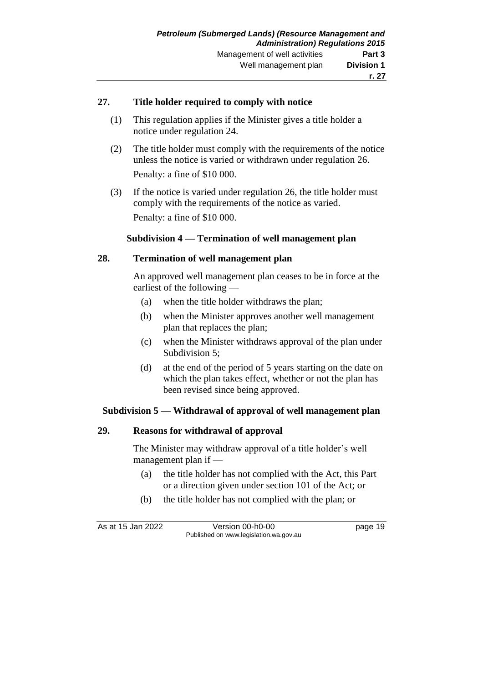#### **27. Title holder required to comply with notice**

- (1) This regulation applies if the Minister gives a title holder a notice under regulation 24.
- (2) The title holder must comply with the requirements of the notice unless the notice is varied or withdrawn under regulation 26. Penalty: a fine of \$10 000.
- (3) If the notice is varied under regulation 26, the title holder must comply with the requirements of the notice as varied. Penalty: a fine of \$10 000.

#### **Subdivision 4 — Termination of well management plan**

#### **28. Termination of well management plan**

An approved well management plan ceases to be in force at the earliest of the following —

- (a) when the title holder withdraws the plan;
- (b) when the Minister approves another well management plan that replaces the plan;
- (c) when the Minister withdraws approval of the plan under Subdivision 5;
- (d) at the end of the period of 5 years starting on the date on which the plan takes effect, whether or not the plan has been revised since being approved.

#### **Subdivision 5 — Withdrawal of approval of well management plan**

#### **29. Reasons for withdrawal of approval**

The Minister may withdraw approval of a title holder's well management plan if —

- (a) the title holder has not complied with the Act, this Part or a direction given under section 101 of the Act; or
- (b) the title holder has not complied with the plan; or

As at 15 Jan 2022 Version 00-h0-00 page 19 Published on www.legislation.wa.gov.au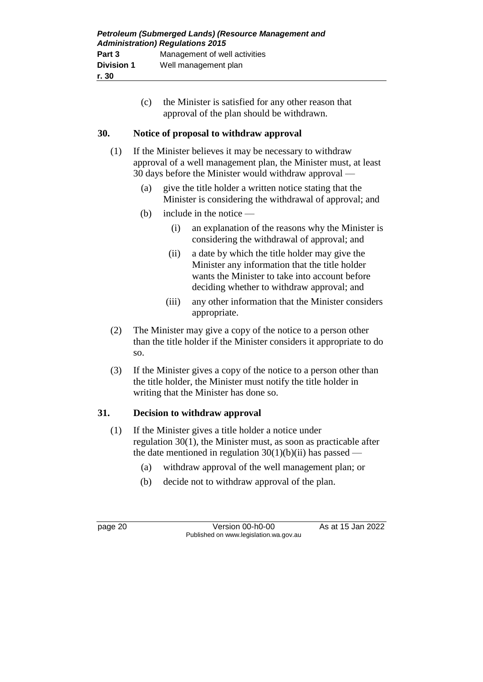| Petroleum (Submerged Lands) (Resource Management and<br><b>Administration) Regulations 2015</b> |                               |  |
|-------------------------------------------------------------------------------------------------|-------------------------------|--|
| Part 3                                                                                          | Management of well activities |  |
| <b>Division 1</b>                                                                               | Well management plan          |  |
| r. 30                                                                                           |                               |  |

(c) the Minister is satisfied for any other reason that approval of the plan should be withdrawn.

#### **30. Notice of proposal to withdraw approval**

- (1) If the Minister believes it may be necessary to withdraw approval of a well management plan, the Minister must, at least 30 days before the Minister would withdraw approval —
	- (a) give the title holder a written notice stating that the Minister is considering the withdrawal of approval; and
	- (b) include in the notice
		- (i) an explanation of the reasons why the Minister is considering the withdrawal of approval; and
		- (ii) a date by which the title holder may give the Minister any information that the title holder wants the Minister to take into account before deciding whether to withdraw approval; and
		- (iii) any other information that the Minister considers appropriate.
- (2) The Minister may give a copy of the notice to a person other than the title holder if the Minister considers it appropriate to do so.
- (3) If the Minister gives a copy of the notice to a person other than the title holder, the Minister must notify the title holder in writing that the Minister has done so.

### **31. Decision to withdraw approval**

- (1) If the Minister gives a title holder a notice under regulation 30(1), the Minister must, as soon as practicable after the date mentioned in regulation  $30(1)(b)(ii)$  has passed -
	- (a) withdraw approval of the well management plan; or
	- (b) decide not to withdraw approval of the plan.

page 20 Version 00-h0-00 As at 15 Jan 2022 Published on www.legislation.wa.gov.au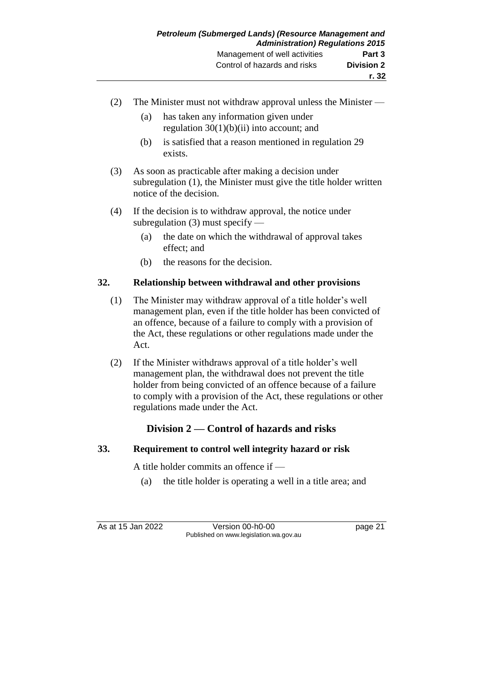- (2) The Minister must not withdraw approval unless the Minister
	- (a) has taken any information given under regulation  $30(1)(b)(ii)$  into account; and
	- (b) is satisfied that a reason mentioned in regulation 29 exists.
- (3) As soon as practicable after making a decision under subregulation (1), the Minister must give the title holder written notice of the decision.
- (4) If the decision is to withdraw approval, the notice under subregulation (3) must specify —
	- (a) the date on which the withdrawal of approval takes effect; and
	- (b) the reasons for the decision.

## **32. Relationship between withdrawal and other provisions**

- (1) The Minister may withdraw approval of a title holder's well management plan, even if the title holder has been convicted of an offence, because of a failure to comply with a provision of the Act, these regulations or other regulations made under the Act.
- (2) If the Minister withdraws approval of a title holder's well management plan, the withdrawal does not prevent the title holder from being convicted of an offence because of a failure to comply with a provision of the Act, these regulations or other regulations made under the Act.

## **Division 2 — Control of hazards and risks**

### **33. Requirement to control well integrity hazard or risk**

A title holder commits an offence if —

(a) the title holder is operating a well in a title area; and

As at 15 Jan 2022 Version 00-h0-00 page 21 Published on www.legislation.wa.gov.au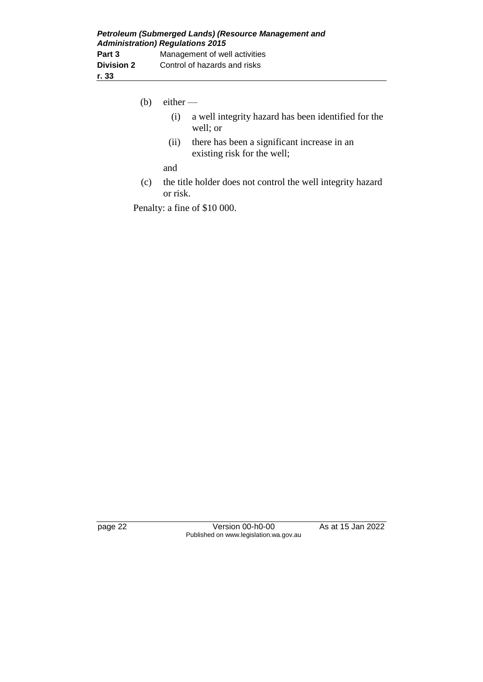- (b) either  $-$ 
	- (i) a well integrity hazard has been identified for the well; or
	- (ii) there has been a significant increase in an existing risk for the well;

and

(c) the title holder does not control the well integrity hazard or risk.

Penalty: a fine of \$10 000.

page 22 Version 00-h0-00 As at 15 Jan 2022 Published on www.legislation.wa.gov.au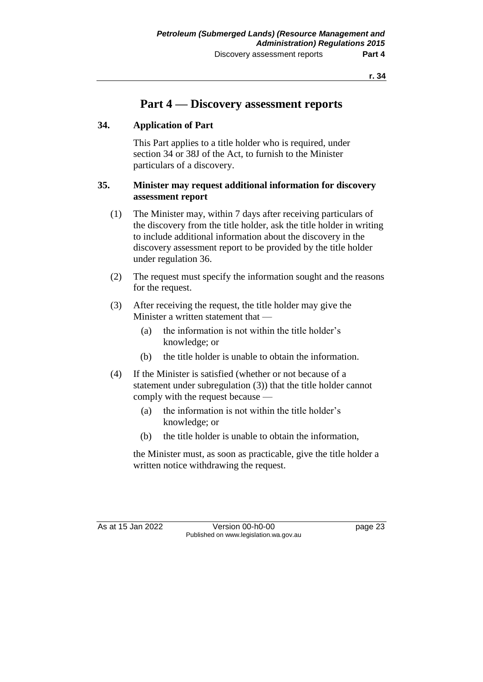**r. 34**

## **Part 4 — Discovery assessment reports**

### **34. Application of Part**

This Part applies to a title holder who is required, under section 34 or 38J of the Act, to furnish to the Minister particulars of a discovery.

#### **35. Minister may request additional information for discovery assessment report**

- (1) The Minister may, within 7 days after receiving particulars of the discovery from the title holder, ask the title holder in writing to include additional information about the discovery in the discovery assessment report to be provided by the title holder under regulation 36.
- (2) The request must specify the information sought and the reasons for the request.
- (3) After receiving the request, the title holder may give the Minister a written statement that —
	- (a) the information is not within the title holder's knowledge; or
	- (b) the title holder is unable to obtain the information.
- (4) If the Minister is satisfied (whether or not because of a statement under subregulation (3)) that the title holder cannot comply with the request because —
	- (a) the information is not within the title holder's knowledge; or
	- (b) the title holder is unable to obtain the information,

the Minister must, as soon as practicable, give the title holder a written notice withdrawing the request.

As at 15 Jan 2022 Version 00-h0-00 page 23 Published on www.legislation.wa.gov.au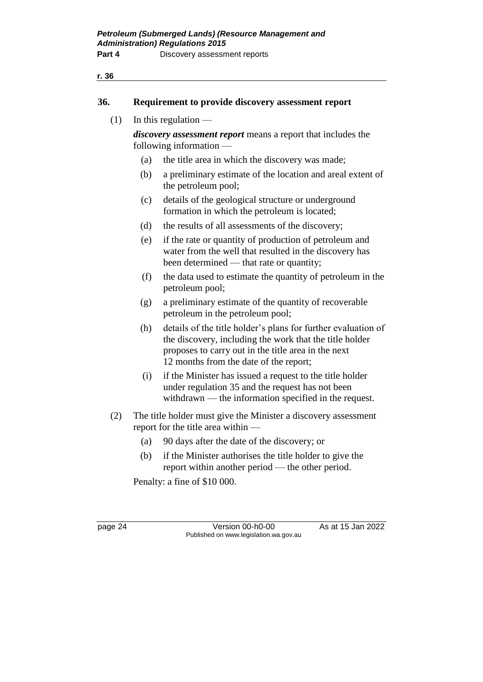#### **36. Requirement to provide discovery assessment report**

 $(1)$  In this regulation —

*discovery assessment report* means a report that includes the following information —

- (a) the title area in which the discovery was made;
- (b) a preliminary estimate of the location and areal extent of the petroleum pool;
- (c) details of the geological structure or underground formation in which the petroleum is located;
- (d) the results of all assessments of the discovery;
- (e) if the rate or quantity of production of petroleum and water from the well that resulted in the discovery has been determined — that rate or quantity;
- (f) the data used to estimate the quantity of petroleum in the petroleum pool;
- (g) a preliminary estimate of the quantity of recoverable petroleum in the petroleum pool;
- (h) details of the title holder's plans for further evaluation of the discovery, including the work that the title holder proposes to carry out in the title area in the next 12 months from the date of the report;
- (i) if the Minister has issued a request to the title holder under regulation 35 and the request has not been withdrawn — the information specified in the request.
- (2) The title holder must give the Minister a discovery assessment report for the title area within —
	- (a) 90 days after the date of the discovery; or
	- (b) if the Minister authorises the title holder to give the report within another period — the other period.

Penalty: a fine of \$10 000.

page 24 Version 00-h0-00 As at 15 Jan 2022 Published on www.legislation.wa.gov.au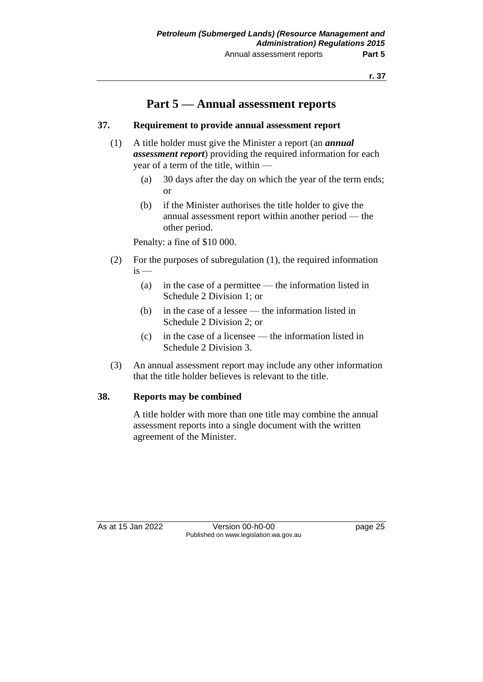## **Part 5 — Annual assessment reports**

#### **37. Requirement to provide annual assessment report**

- (1) A title holder must give the Minister a report (an *annual assessment report*) providing the required information for each year of a term of the title, within —
	- (a) 30 days after the day on which the year of the term ends; or
	- (b) if the Minister authorises the title holder to give the annual assessment report within another period — the other period.

Penalty: a fine of \$10 000.

- (2) For the purposes of subregulation (1), the required information  $is$  —
	- (a) in the case of a permittee the information listed in Schedule 2 Division 1; or
	- (b) in the case of a lessee the information listed in Schedule 2 Division 2; or
	- (c) in the case of a licensee the information listed in Schedule 2 Division 3.
- (3) An annual assessment report may include any other information that the title holder believes is relevant to the title.

#### **38. Reports may be combined**

A title holder with more than one title may combine the annual assessment reports into a single document with the written agreement of the Minister.

As at 15 Jan 2022 Version 00-h0-00 page 25 Published on www.legislation.wa.gov.au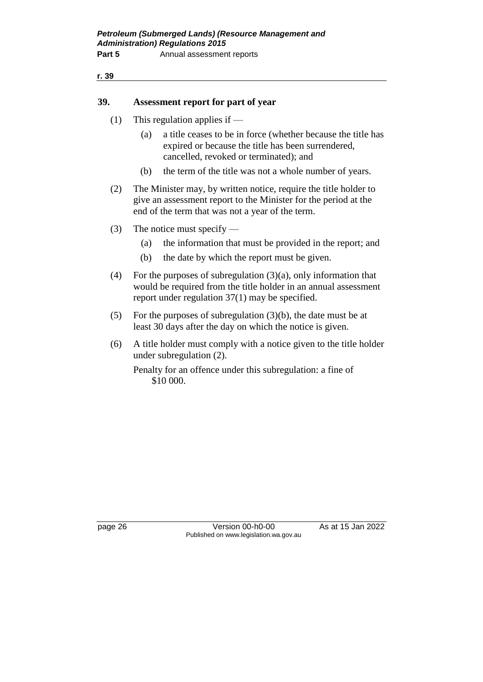#### **r. 39**

#### **39. Assessment report for part of year**

- (1) This regulation applies if
	- (a) a title ceases to be in force (whether because the title has expired or because the title has been surrendered, cancelled, revoked or terminated); and
	- (b) the term of the title was not a whole number of years.
- (2) The Minister may, by written notice, require the title holder to give an assessment report to the Minister for the period at the end of the term that was not a year of the term.
- (3) The notice must specify
	- (a) the information that must be provided in the report; and
	- (b) the date by which the report must be given.
- (4) For the purposes of subregulation (3)(a), only information that would be required from the title holder in an annual assessment report under regulation 37(1) may be specified.
- (5) For the purposes of subregulation (3)(b), the date must be at least 30 days after the day on which the notice is given.
- (6) A title holder must comply with a notice given to the title holder under subregulation (2).

Penalty for an offence under this subregulation: a fine of \$10 000.

page 26 Version 00-h0-00 As at 15 Jan 2022 Published on www.legislation.wa.gov.au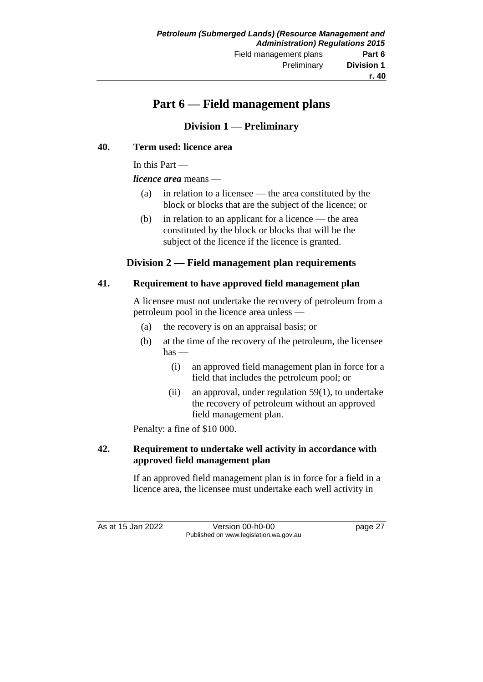# **Part 6 — Field management plans**

# **Division 1 — Preliminary**

#### **40. Term used: licence area**

In this Part —

*licence area* means —

- (a) in relation to a licensee the area constituted by the block or blocks that are the subject of the licence; or
- (b) in relation to an applicant for a licence the area constituted by the block or blocks that will be the subject of the licence if the licence is granted.

### **Division 2 — Field management plan requirements**

#### **41. Requirement to have approved field management plan**

A licensee must not undertake the recovery of petroleum from a petroleum pool in the licence area unless —

- (a) the recovery is on an appraisal basis; or
- (b) at the time of the recovery of the petroleum, the licensee has —
	- (i) an approved field management plan in force for a field that includes the petroleum pool; or
	- (ii) an approval, under regulation 59(1), to undertake the recovery of petroleum without an approved field management plan.

Penalty: a fine of \$10 000.

### **42. Requirement to undertake well activity in accordance with approved field management plan**

If an approved field management plan is in force for a field in a licence area, the licensee must undertake each well activity in

As at 15 Jan 2022 Version 00-h0-00 page 27 Published on www.legislation.wa.gov.au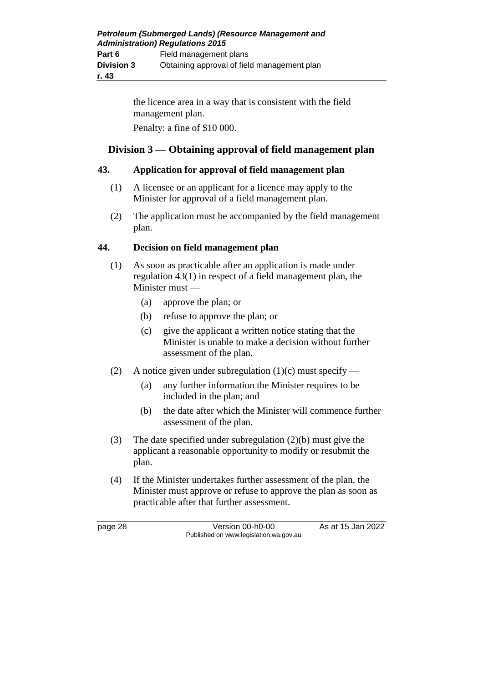the licence area in a way that is consistent with the field management plan.

Penalty: a fine of \$10 000.

# **Division 3 — Obtaining approval of field management plan**

### **43. Application for approval of field management plan**

- (1) A licensee or an applicant for a licence may apply to the Minister for approval of a field management plan.
- (2) The application must be accompanied by the field management plan.

### **44. Decision on field management plan**

- (1) As soon as practicable after an application is made under regulation 43(1) in respect of a field management plan, the Minister must —
	- (a) approve the plan; or
	- (b) refuse to approve the plan; or
	- (c) give the applicant a written notice stating that the Minister is unable to make a decision without further assessment of the plan.
- (2) A notice given under subregulation  $(1)(c)$  must specify
	- (a) any further information the Minister requires to be included in the plan; and
	- (b) the date after which the Minister will commence further assessment of the plan.
- (3) The date specified under subregulation (2)(b) must give the applicant a reasonable opportunity to modify or resubmit the plan.
- (4) If the Minister undertakes further assessment of the plan, the Minister must approve or refuse to approve the plan as soon as practicable after that further assessment.

page 28 Version 00-h0-00 As at 15 Jan 2022 Published on www.legislation.wa.gov.au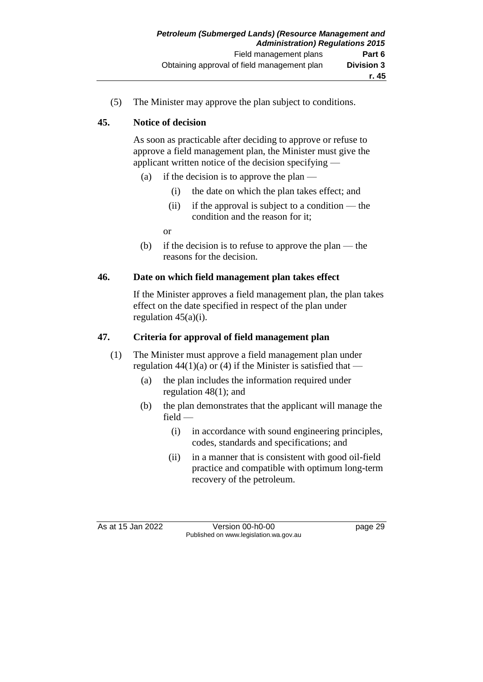(5) The Minister may approve the plan subject to conditions.

### **45. Notice of decision**

As soon as practicable after deciding to approve or refuse to approve a field management plan, the Minister must give the applicant written notice of the decision specifying —

- (a) if the decision is to approve the plan
	- (i) the date on which the plan takes effect; and
	- (ii) if the approval is subject to a condition the condition and the reason for it;

or

(b) if the decision is to refuse to approve the plan — the reasons for the decision.

### **46. Date on which field management plan takes effect**

If the Minister approves a field management plan, the plan takes effect on the date specified in respect of the plan under regulation  $45(a)(i)$ .

### **47. Criteria for approval of field management plan**

- (1) The Minister must approve a field management plan under regulation  $44(1)(a)$  or (4) if the Minister is satisfied that —
	- (a) the plan includes the information required under regulation 48(1); and
	- (b) the plan demonstrates that the applicant will manage the field —
		- (i) in accordance with sound engineering principles, codes, standards and specifications; and
		- (ii) in a manner that is consistent with good oil-field practice and compatible with optimum long-term recovery of the petroleum.

As at 15 Jan 2022 Version 00-h0-00 page 29 Published on www.legislation.wa.gov.au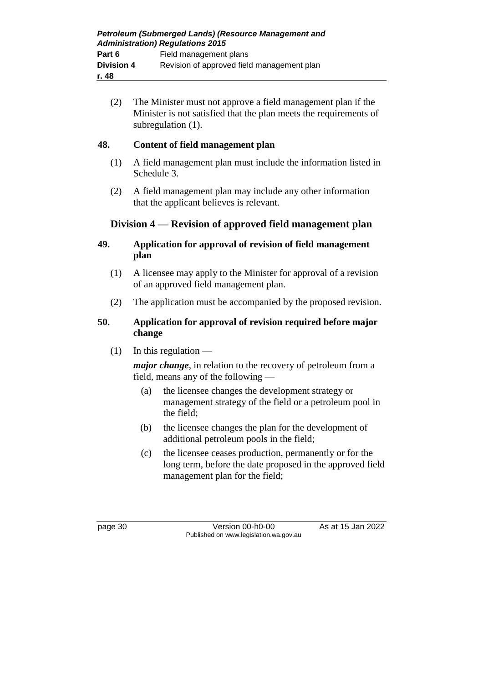(2) The Minister must not approve a field management plan if the Minister is not satisfied that the plan meets the requirements of subregulation  $(1)$ .

# **48. Content of field management plan**

- (1) A field management plan must include the information listed in Schedule 3.
- (2) A field management plan may include any other information that the applicant believes is relevant.

# **Division 4 — Revision of approved field management plan**

### **49. Application for approval of revision of field management plan**

- (1) A licensee may apply to the Minister for approval of a revision of an approved field management plan.
- (2) The application must be accompanied by the proposed revision.

### **50. Application for approval of revision required before major change**

 $(1)$  In this regulation —

*major change*, in relation to the recovery of petroleum from a field, means any of the following —

- (a) the licensee changes the development strategy or management strategy of the field or a petroleum pool in the field;
- (b) the licensee changes the plan for the development of additional petroleum pools in the field;
- (c) the licensee ceases production, permanently or for the long term, before the date proposed in the approved field management plan for the field;

page 30 Version 00-h0-00 As at 15 Jan 2022 Published on www.legislation.wa.gov.au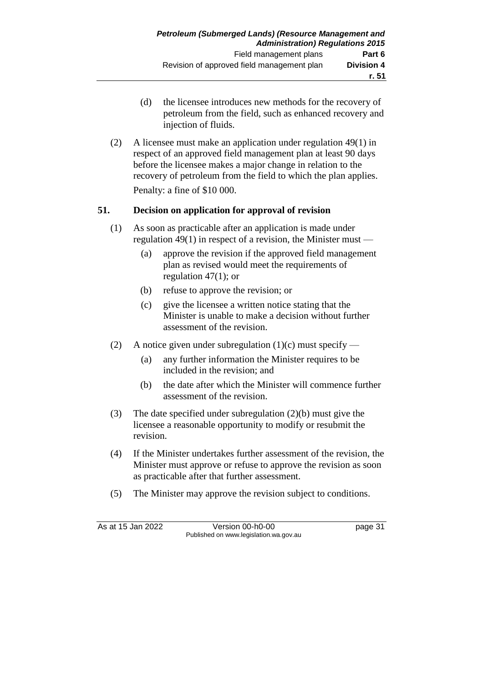- (d) the licensee introduces new methods for the recovery of petroleum from the field, such as enhanced recovery and injection of fluids.
- (2) A licensee must make an application under regulation 49(1) in respect of an approved field management plan at least 90 days before the licensee makes a major change in relation to the recovery of petroleum from the field to which the plan applies. Penalty: a fine of \$10 000.

### **51. Decision on application for approval of revision**

- (1) As soon as practicable after an application is made under regulation 49(1) in respect of a revision, the Minister must —
	- (a) approve the revision if the approved field management plan as revised would meet the requirements of regulation 47(1); or
	- (b) refuse to approve the revision; or
	- (c) give the licensee a written notice stating that the Minister is unable to make a decision without further assessment of the revision.
- (2) A notice given under subregulation  $(1)(c)$  must specify
	- (a) any further information the Minister requires to be included in the revision; and
	- (b) the date after which the Minister will commence further assessment of the revision.
- (3) The date specified under subregulation (2)(b) must give the licensee a reasonable opportunity to modify or resubmit the revision.
- (4) If the Minister undertakes further assessment of the revision, the Minister must approve or refuse to approve the revision as soon as practicable after that further assessment.
- (5) The Minister may approve the revision subject to conditions.

As at 15 Jan 2022 Version 00-h0-00 page 31 Published on www.legislation.wa.gov.au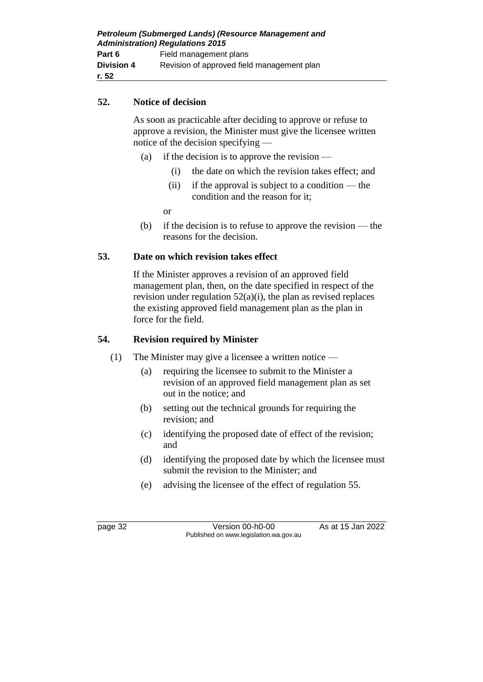| Petroleum (Submerged Lands) (Resource Management and<br><b>Administration) Regulations 2015</b> |                                            |  |
|-------------------------------------------------------------------------------------------------|--------------------------------------------|--|
| Part 6                                                                                          | Field management plans                     |  |
| <b>Division 4</b>                                                                               | Revision of approved field management plan |  |
| r. 52                                                                                           |                                            |  |

#### **52. Notice of decision**

As soon as practicable after deciding to approve or refuse to approve a revision, the Minister must give the licensee written notice of the decision specifying —

- (a) if the decision is to approve the revision
	- (i) the date on which the revision takes effect; and
	- (ii) if the approval is subject to a condition the condition and the reason for it;

or

(b) if the decision is to refuse to approve the revision — the reasons for the decision.

#### **53. Date on which revision takes effect**

If the Minister approves a revision of an approved field management plan, then, on the date specified in respect of the revision under regulation  $52(a)(i)$ , the plan as revised replaces the existing approved field management plan as the plan in force for the field.

### **54. Revision required by Minister**

- (1) The Minister may give a licensee a written notice
	- (a) requiring the licensee to submit to the Minister a revision of an approved field management plan as set out in the notice; and
	- (b) setting out the technical grounds for requiring the revision; and
	- (c) identifying the proposed date of effect of the revision; and
	- (d) identifying the proposed date by which the licensee must submit the revision to the Minister; and
	- (e) advising the licensee of the effect of regulation 55.

page 32 Version 00-h0-00 As at 15 Jan 2022 Published on www.legislation.wa.gov.au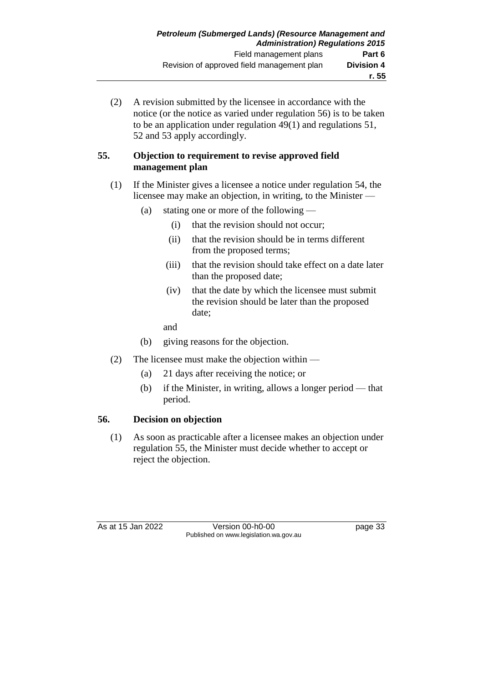(2) A revision submitted by the licensee in accordance with the notice (or the notice as varied under regulation 56) is to be taken to be an application under regulation 49(1) and regulations 51, 52 and 53 apply accordingly.

#### **55. Objection to requirement to revise approved field management plan**

### (1) If the Minister gives a licensee a notice under regulation 54, the licensee may make an objection, in writing, to the Minister —

- (a) stating one or more of the following
	- (i) that the revision should not occur;
	- (ii) that the revision should be in terms different from the proposed terms;
	- (iii) that the revision should take effect on a date later than the proposed date;
	- (iv) that the date by which the licensee must submit the revision should be later than the proposed date;
	- and
- (b) giving reasons for the objection.
- (2) The licensee must make the objection within
	- (a) 21 days after receiving the notice; or
	- (b) if the Minister, in writing, allows a longer period that period.

### **56. Decision on objection**

(1) As soon as practicable after a licensee makes an objection under regulation 55, the Minister must decide whether to accept or reject the objection.

As at 15 Jan 2022 Version 00-h0-00 page 33 Published on www.legislation.wa.gov.au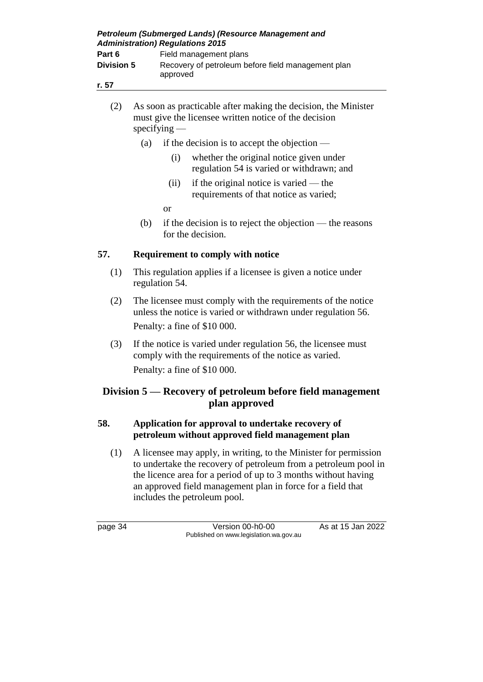| Petroleum (Submerged Lands) (Resource Management and<br><b>Administration) Regulations 2015</b> |                                                                |  |
|-------------------------------------------------------------------------------------------------|----------------------------------------------------------------|--|
| Part 6                                                                                          | Field management plans                                         |  |
| <b>Division 5</b>                                                                               | Recovery of petroleum before field management plan<br>approved |  |
| r. 57                                                                                           |                                                                |  |

- (2) As soon as practicable after making the decision, the Minister must give the licensee written notice of the decision specifying —
	- (a) if the decision is to accept the objection
		- (i) whether the original notice given under regulation 54 is varied or withdrawn; and
		- (ii) if the original notice is varied the requirements of that notice as varied;
		- or
	- (b) if the decision is to reject the objection the reasons for the decision.

### **57. Requirement to comply with notice**

- (1) This regulation applies if a licensee is given a notice under regulation 54.
- (2) The licensee must comply with the requirements of the notice unless the notice is varied or withdrawn under regulation 56. Penalty: a fine of \$10 000.
- (3) If the notice is varied under regulation 56, the licensee must comply with the requirements of the notice as varied. Penalty: a fine of \$10 000.

# **Division 5 — Recovery of petroleum before field management plan approved**

### **58. Application for approval to undertake recovery of petroleum without approved field management plan**

(1) A licensee may apply, in writing, to the Minister for permission to undertake the recovery of petroleum from a petroleum pool in the licence area for a period of up to 3 months without having an approved field management plan in force for a field that includes the petroleum pool.

page 34 Version 00-h0-00 As at 15 Jan 2022 Published on www.legislation.wa.gov.au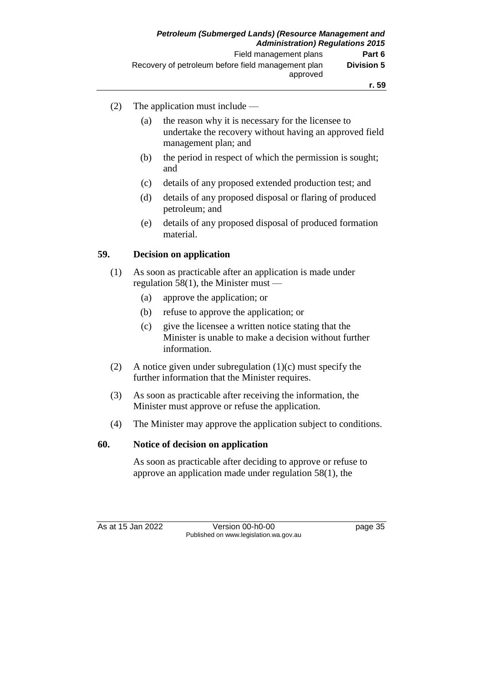- (2) The application must include
	- (a) the reason why it is necessary for the licensee to undertake the recovery without having an approved field management plan; and
	- (b) the period in respect of which the permission is sought; and
	- (c) details of any proposed extended production test; and
	- (d) details of any proposed disposal or flaring of produced petroleum; and
	- (e) details of any proposed disposal of produced formation material.

### **59. Decision on application**

- (1) As soon as practicable after an application is made under regulation 58(1), the Minister must  $-$ 
	- (a) approve the application; or
	- (b) refuse to approve the application; or
	- (c) give the licensee a written notice stating that the Minister is unable to make a decision without further information.
- (2) A notice given under subregulation (1)(c) must specify the further information that the Minister requires.
- (3) As soon as practicable after receiving the information, the Minister must approve or refuse the application.
- (4) The Minister may approve the application subject to conditions.

### **60. Notice of decision on application**

As soon as practicable after deciding to approve or refuse to approve an application made under regulation 58(1), the

As at 15 Jan 2022 Version 00-h0-00 page 35 Published on www.legislation.wa.gov.au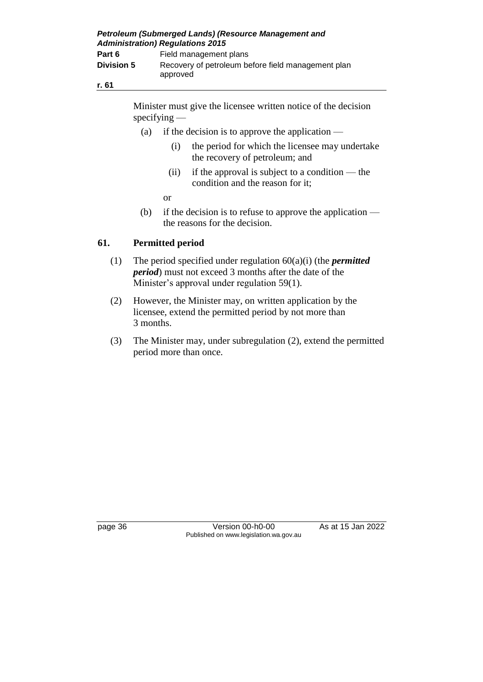| Petroleum (Submerged Lands) (Resource Management and<br><b>Administration) Regulations 2015</b> |                                                                |  |
|-------------------------------------------------------------------------------------------------|----------------------------------------------------------------|--|
| Part 6                                                                                          | Field management plans                                         |  |
| <b>Division 5</b>                                                                               | Recovery of petroleum before field management plan<br>approved |  |
| r. 61                                                                                           |                                                                |  |

Minister must give the licensee written notice of the decision specifying —

- (a) if the decision is to approve the application
	- (i) the period for which the licensee may undertake the recovery of petroleum; and
	- (ii) if the approval is subject to a condition the condition and the reason for it;

or

(b) if the decision is to refuse to approve the application  $$ the reasons for the decision.

### **61. Permitted period**

- (1) The period specified under regulation 60(a)(i) (the *permitted period*) must not exceed 3 months after the date of the Minister's approval under regulation 59(1).
- (2) However, the Minister may, on written application by the licensee, extend the permitted period by not more than 3 months.
- (3) The Minister may, under subregulation (2), extend the permitted period more than once.

page 36 Version 00-h0-00 As at 15 Jan 2022 Published on www.legislation.wa.gov.au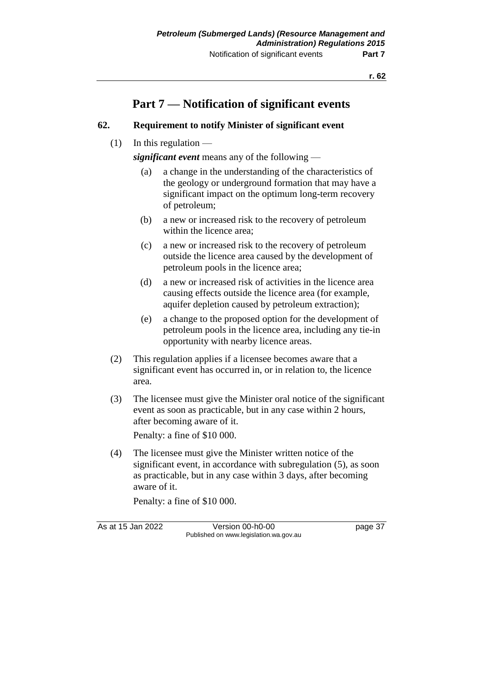# **Part 7 — Notification of significant events**

### **62. Requirement to notify Minister of significant event**

 $(1)$  In this regulation —

*significant event* means any of the following —

- (a) a change in the understanding of the characteristics of the geology or underground formation that may have a significant impact on the optimum long-term recovery of petroleum;
- (b) a new or increased risk to the recovery of petroleum within the licence area;
- (c) a new or increased risk to the recovery of petroleum outside the licence area caused by the development of petroleum pools in the licence area;
- (d) a new or increased risk of activities in the licence area causing effects outside the licence area (for example, aquifer depletion caused by petroleum extraction);
- (e) a change to the proposed option for the development of petroleum pools in the licence area, including any tie-in opportunity with nearby licence areas.
- (2) This regulation applies if a licensee becomes aware that a significant event has occurred in, or in relation to, the licence area.
- (3) The licensee must give the Minister oral notice of the significant event as soon as practicable, but in any case within 2 hours, after becoming aware of it.

Penalty: a fine of \$10 000.

(4) The licensee must give the Minister written notice of the significant event, in accordance with subregulation (5), as soon as practicable, but in any case within 3 days, after becoming aware of it.

Penalty: a fine of \$10 000.

As at 15 Jan 2022 Version 00-h0-00 page 37 Published on www.legislation.wa.gov.au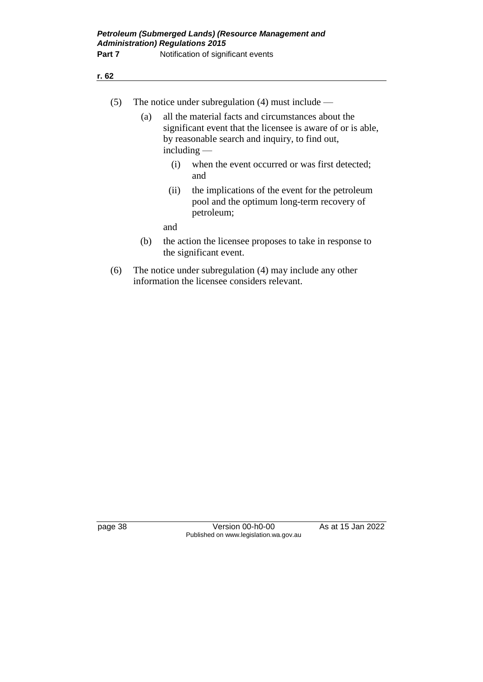| (5) |     |      | The notice under subregulation $(4)$ must include —                                                                                                                                  |
|-----|-----|------|--------------------------------------------------------------------------------------------------------------------------------------------------------------------------------------|
|     | (a) |      | all the material facts and circumstances about the<br>significant event that the licensee is aware of or is able,<br>by reasonable search and inquiry, to find out,<br>including $-$ |
|     |     | (i)  | when the event occurred or was first detected;<br>and                                                                                                                                |
|     |     | (ii) | the implications of the event for the petroleum<br>pool and the optimum long-term recovery of<br>petroleum;                                                                          |
|     |     | and  |                                                                                                                                                                                      |
|     | (b) |      | the action the licensee proposes to take in response to<br>the significant event.                                                                                                    |
| (6) |     |      | The notice under subregulation $(A)$ may include any other                                                                                                                           |

(6) The notice under subregulation (4) may include any other information the licensee considers relevant.

**r. 62**

page 38 Version 00-h0-00 As at 15 Jan 2022 Published on www.legislation.wa.gov.au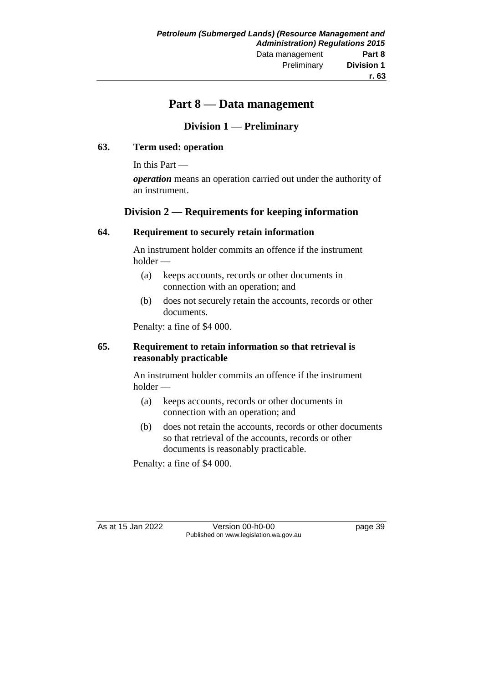# **Part 8 — Data management**

# **Division 1 — Preliminary**

#### **63. Term used: operation**

In this Part —

*operation* means an operation carried out under the authority of an instrument.

### **Division 2 — Requirements for keeping information**

#### **64. Requirement to securely retain information**

An instrument holder commits an offence if the instrument holder —

- (a) keeps accounts, records or other documents in connection with an operation; and
- (b) does not securely retain the accounts, records or other documents.

Penalty: a fine of \$4 000.

#### **65. Requirement to retain information so that retrieval is reasonably practicable**

An instrument holder commits an offence if the instrument holder —

- (a) keeps accounts, records or other documents in connection with an operation; and
- (b) does not retain the accounts, records or other documents so that retrieval of the accounts, records or other documents is reasonably practicable.

Penalty: a fine of \$4 000.

As at 15 Jan 2022 Version 00-h0-00 page 39 Published on www.legislation.wa.gov.au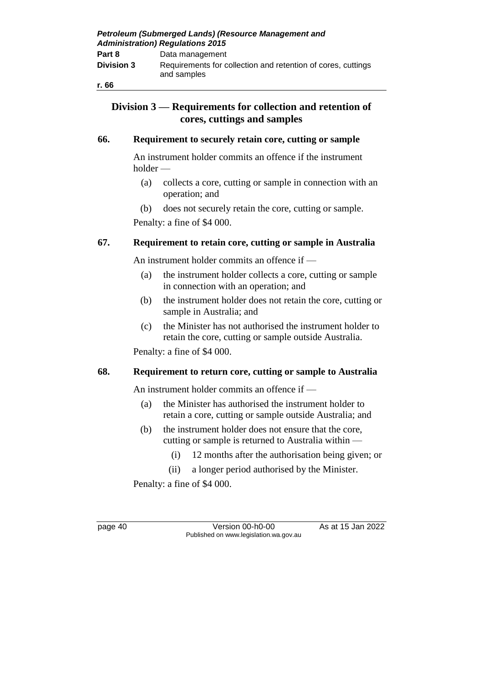| Petroleum (Submerged Lands) (Resource Management and<br><b>Administration) Regulations 2015</b> |                                                                             |  |
|-------------------------------------------------------------------------------------------------|-----------------------------------------------------------------------------|--|
| Part 8                                                                                          | Data management                                                             |  |
| <b>Division 3</b>                                                                               | Requirements for collection and retention of cores, cuttings<br>and samples |  |

#### **r. 66**

### **Division 3 — Requirements for collection and retention of cores, cuttings and samples**

#### **66. Requirement to securely retain core, cutting or sample**

An instrument holder commits an offence if the instrument holder —

- (a) collects a core, cutting or sample in connection with an operation; and
- (b) does not securely retain the core, cutting or sample.

Penalty: a fine of \$4 000.

#### **67. Requirement to retain core, cutting or sample in Australia**

An instrument holder commits an offence if —

- (a) the instrument holder collects a core, cutting or sample in connection with an operation; and
- (b) the instrument holder does not retain the core, cutting or sample in Australia; and
- (c) the Minister has not authorised the instrument holder to retain the core, cutting or sample outside Australia.

Penalty: a fine of \$4 000.

#### **68. Requirement to return core, cutting or sample to Australia**

An instrument holder commits an offence if —

- (a) the Minister has authorised the instrument holder to retain a core, cutting or sample outside Australia; and
- (b) the instrument holder does not ensure that the core, cutting or sample is returned to Australia within —
	- (i) 12 months after the authorisation being given; or
	- (ii) a longer period authorised by the Minister.

Penalty: a fine of \$4 000.

page 40 Version 00-h0-00 As at 15 Jan 2022 Published on www.legislation.wa.gov.au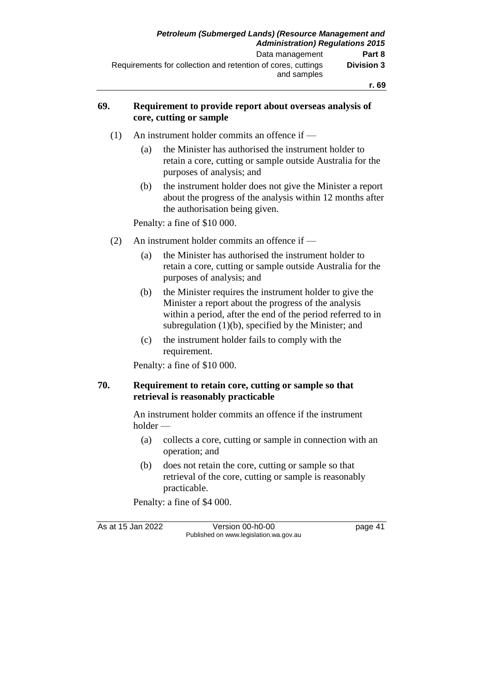#### **69. Requirement to provide report about overseas analysis of core, cutting or sample**

- (1) An instrument holder commits an offence if
	- (a) the Minister has authorised the instrument holder to retain a core, cutting or sample outside Australia for the purposes of analysis; and
	- (b) the instrument holder does not give the Minister a report about the progress of the analysis within 12 months after the authorisation being given.

Penalty: a fine of \$10 000.

- (2) An instrument holder commits an offence if
	- (a) the Minister has authorised the instrument holder to retain a core, cutting or sample outside Australia for the purposes of analysis; and
	- (b) the Minister requires the instrument holder to give the Minister a report about the progress of the analysis within a period, after the end of the period referred to in subregulation (1)(b), specified by the Minister; and
	- (c) the instrument holder fails to comply with the requirement.

Penalty: a fine of \$10 000.

#### **70. Requirement to retain core, cutting or sample so that retrieval is reasonably practicable**

An instrument holder commits an offence if the instrument holder —

- (a) collects a core, cutting or sample in connection with an operation; and
- (b) does not retain the core, cutting or sample so that retrieval of the core, cutting or sample is reasonably practicable.

Penalty: a fine of \$4 000.

As at 15 Jan 2022 Version 00-h0-00 page 41 Published on www.legislation.wa.gov.au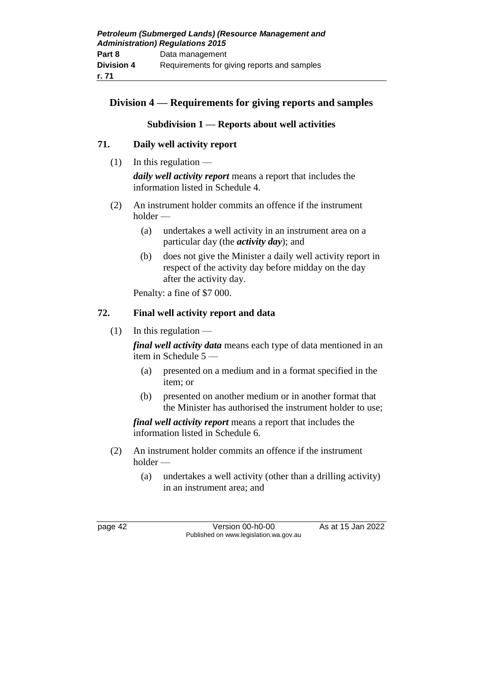# **Division 4 — Requirements for giving reports and samples**

### **Subdivision 1 — Reports about well activities**

### **71. Daily well activity report**

- $(1)$  In this regulation *daily well activity report* means a report that includes the information listed in Schedule 4.
- (2) An instrument holder commits an offence if the instrument holder —
	- (a) undertakes a well activity in an instrument area on a particular day (the *activity day*); and
	- (b) does not give the Minister a daily well activity report in respect of the activity day before midday on the day after the activity day.

Penalty: a fine of \$7 000.

### **72. Final well activity report and data**

 $(1)$  In this regulation —

*final well activity data* means each type of data mentioned in an item in Schedule 5 —

- (a) presented on a medium and in a format specified in the item; or
- (b) presented on another medium or in another format that the Minister has authorised the instrument holder to use;

*final well activity report* means a report that includes the information listed in Schedule 6.

- (2) An instrument holder commits an offence if the instrument holder —
	- (a) undertakes a well activity (other than a drilling activity) in an instrument area; and

page 42 Version 00-h0-00 As at 15 Jan 2022 Published on www.legislation.wa.gov.au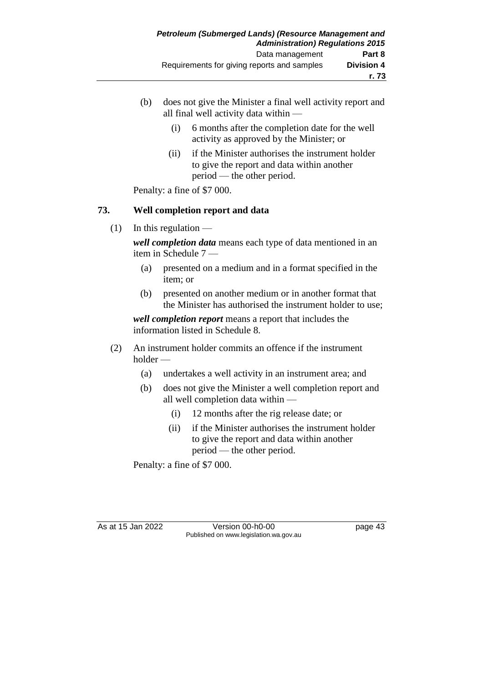- (b) does not give the Minister a final well activity report and all final well activity data within —
	- (i) 6 months after the completion date for the well activity as approved by the Minister; or
	- (ii) if the Minister authorises the instrument holder to give the report and data within another period — the other period.

Penalty: a fine of \$7 000.

### **73. Well completion report and data**

 $(1)$  In this regulation —

*well completion data* means each type of data mentioned in an item in Schedule 7 —

- (a) presented on a medium and in a format specified in the item; or
- (b) presented on another medium or in another format that the Minister has authorised the instrument holder to use;

*well completion report* means a report that includes the information listed in Schedule 8.

- (2) An instrument holder commits an offence if the instrument holder —
	- (a) undertakes a well activity in an instrument area; and
	- (b) does not give the Minister a well completion report and all well completion data within —
		- (i) 12 months after the rig release date; or
		- (ii) if the Minister authorises the instrument holder to give the report and data within another period — the other period.

Penalty: a fine of \$7 000.

As at 15 Jan 2022 Version 00-h0-00 page 43 Published on www.legislation.wa.gov.au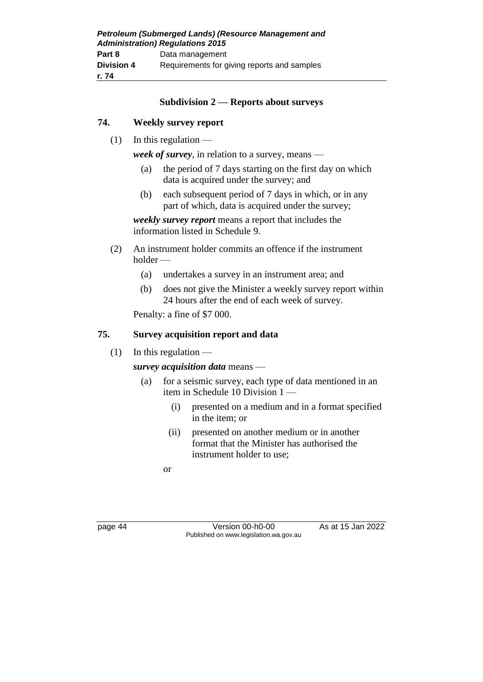| Petroleum (Submerged Lands) (Resource Management and<br><b>Administration) Regulations 2015</b> |                                             |  |
|-------------------------------------------------------------------------------------------------|---------------------------------------------|--|
| Part 8                                                                                          | Data management                             |  |
| <b>Division 4</b>                                                                               | Requirements for giving reports and samples |  |
| r. 74                                                                                           |                                             |  |

#### **Subdivision 2 — Reports about surveys**

#### **74. Weekly survey report**

 $(1)$  In this regulation —

*week of survey*, in relation to a survey, means —

- (a) the period of 7 days starting on the first day on which data is acquired under the survey; and
- (b) each subsequent period of 7 days in which, or in any part of which, data is acquired under the survey;

*weekly survey report* means a report that includes the information listed in Schedule 9.

- (2) An instrument holder commits an offence if the instrument holder —
	- (a) undertakes a survey in an instrument area; and
	- (b) does not give the Minister a weekly survey report within 24 hours after the end of each week of survey.

Penalty: a fine of \$7 000.

#### **75. Survey acquisition report and data**

 $(1)$  In this regulation —

*survey acquisition data* means —

- (a) for a seismic survey, each type of data mentioned in an item in Schedule 10 Division 1 —
	- (i) presented on a medium and in a format specified in the item; or
	- (ii) presented on another medium or in another format that the Minister has authorised the instrument holder to use;

or

page 44 Version 00-h0-00 As at 15 Jan 2022 Published on www.legislation.wa.gov.au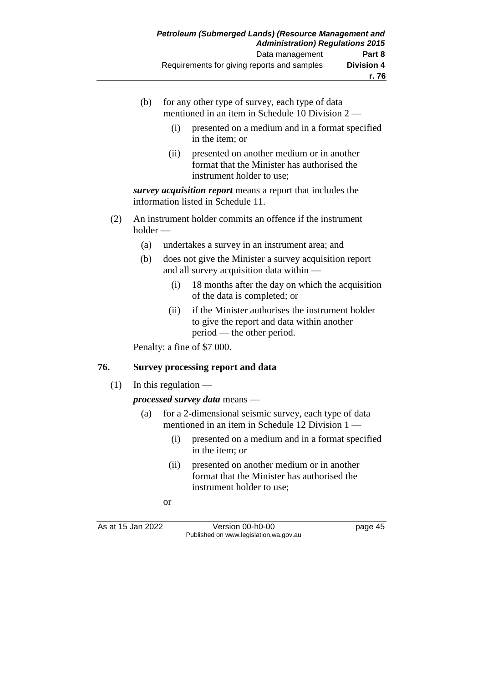- (b) for any other type of survey, each type of data mentioned in an item in Schedule 10 Division 2 —
	- (i) presented on a medium and in a format specified in the item; or
	- (ii) presented on another medium or in another format that the Minister has authorised the instrument holder to use;

*survey acquisition report* means a report that includes the information listed in Schedule 11.

- (2) An instrument holder commits an offence if the instrument holder —
	- (a) undertakes a survey in an instrument area; and
	- (b) does not give the Minister a survey acquisition report and all survey acquisition data within —
		- (i) 18 months after the day on which the acquisition of the data is completed; or
		- (ii) if the Minister authorises the instrument holder to give the report and data within another period — the other period.

Penalty: a fine of \$7 000.

#### **76. Survey processing report and data**

 $(1)$  In this regulation —

*processed survey data* means —

- (a) for a 2-dimensional seismic survey, each type of data mentioned in an item in Schedule 12 Division 1 —
	- (i) presented on a medium and in a format specified in the item; or
	- (ii) presented on another medium or in another format that the Minister has authorised the instrument holder to use;
	- or

As at 15 Jan 2022 Version 00-h0-00 page 45 Published on www.legislation.wa.gov.au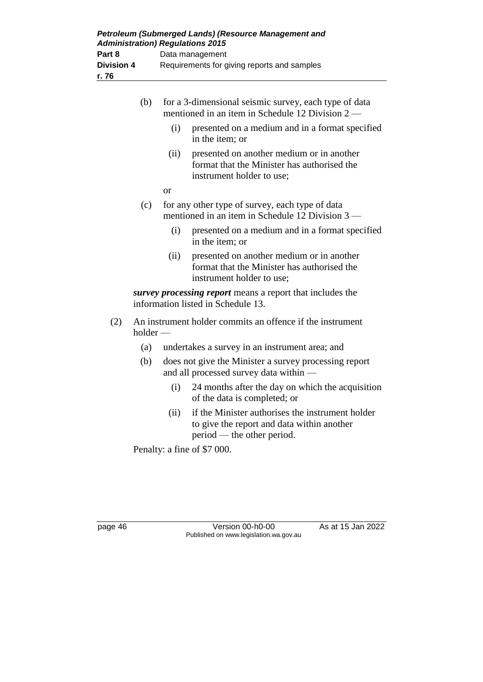|     | (b)        | for a 3-dimensional seismic survey, each type of data<br>mentioned in an item in Schedule 12 Division $2-$ |                                                                                                                       |
|-----|------------|------------------------------------------------------------------------------------------------------------|-----------------------------------------------------------------------------------------------------------------------|
|     |            | (i)                                                                                                        | presented on a medium and in a format specified<br>in the item; or                                                    |
|     |            | (ii)                                                                                                       | presented on another medium or in another<br>format that the Minister has authorised the<br>instrument holder to use; |
|     |            | <b>or</b>                                                                                                  |                                                                                                                       |
|     | (c)        |                                                                                                            | for any other type of survey, each type of data<br>mentioned in an item in Schedule 12 Division 3                     |
|     |            | (i)                                                                                                        | presented on a medium and in a format specified<br>in the item; or                                                    |
|     |            | (ii)                                                                                                       | presented on another medium or in another<br>format that the Minister has authorised the<br>instrument holder to use; |
|     |            |                                                                                                            | survey processing report means a report that includes the<br>information listed in Schedule 13.                       |
| (2) | $holder -$ |                                                                                                            | An instrument holder commits an offence if the instrument                                                             |
|     | (a)        |                                                                                                            | undertakes a survey in an instrument area; and                                                                        |
|     | (b)        |                                                                                                            | does not give the Minister a survey processing report<br>and all processed survey data within -                       |
|     |            | (i)                                                                                                        | 24 months after the day on which the acquisition<br>of the data is completed; or                                      |
|     |            | (ii)                                                                                                       | if the Minister authorises the instrument holder                                                                      |

to give the report and data within another period — the other period.

Penalty: a fine of \$7 000.

page 46 Version 00-h0-00 As at 15 Jan 2022 Published on www.legislation.wa.gov.au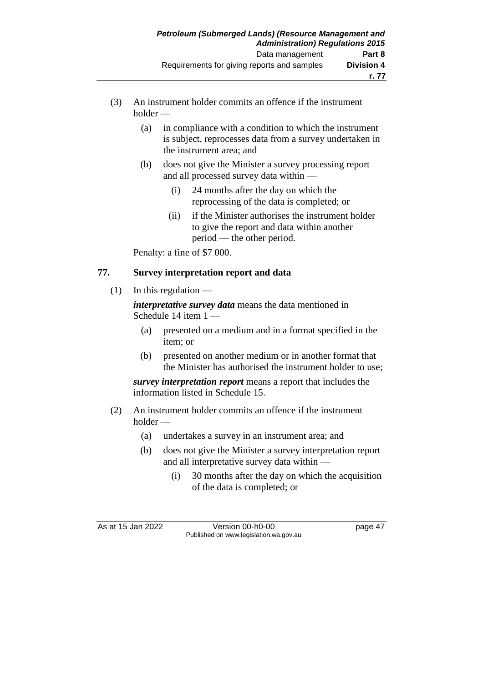- (3) An instrument holder commits an offence if the instrument holder —
	- (a) in compliance with a condition to which the instrument is subject, reprocesses data from a survey undertaken in the instrument area; and
	- (b) does not give the Minister a survey processing report and all processed survey data within —
		- (i) 24 months after the day on which the reprocessing of the data is completed; or
		- (ii) if the Minister authorises the instrument holder to give the report and data within another period — the other period.

Penalty: a fine of \$7 000.

# **77. Survey interpretation report and data**

 $(1)$  In this regulation —

*interpretative survey data* means the data mentioned in Schedule 14 item 1 —

- (a) presented on a medium and in a format specified in the item; or
- (b) presented on another medium or in another format that the Minister has authorised the instrument holder to use;

*survey interpretation report* means a report that includes the information listed in Schedule 15.

- (2) An instrument holder commits an offence if the instrument holder —
	- (a) undertakes a survey in an instrument area; and
	- (b) does not give the Minister a survey interpretation report and all interpretative survey data within —
		- (i) 30 months after the day on which the acquisition of the data is completed; or

As at 15 Jan 2022 Version 00-h0-00 page 47 Published on www.legislation.wa.gov.au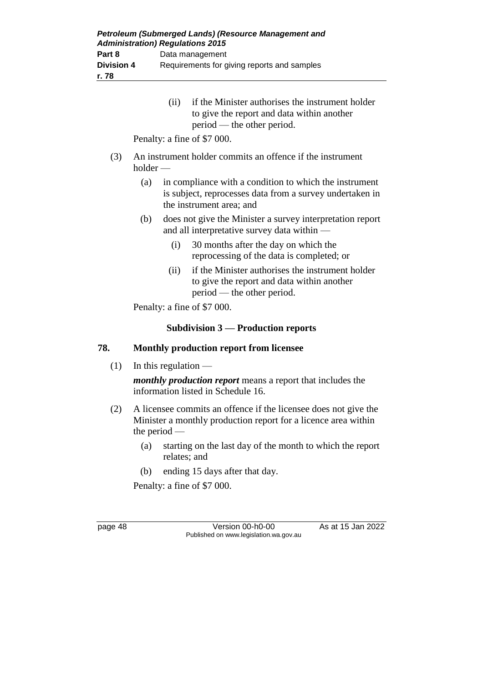(ii) if the Minister authorises the instrument holder to give the report and data within another period — the other period.

Penalty: a fine of \$7 000.

- (3) An instrument holder commits an offence if the instrument holder —
	- (a) in compliance with a condition to which the instrument is subject, reprocesses data from a survey undertaken in the instrument area; and
	- (b) does not give the Minister a survey interpretation report and all interpretative survey data within —
		- (i) 30 months after the day on which the reprocessing of the data is completed; or
		- (ii) if the Minister authorises the instrument holder to give the report and data within another period — the other period.

Penalty: a fine of \$7 000.

### **Subdivision 3 — Production reports**

### **78. Monthly production report from licensee**

 $(1)$  In this regulation —

*monthly production report* means a report that includes the information listed in Schedule 16.

- (2) A licensee commits an offence if the licensee does not give the Minister a monthly production report for a licence area within the period —
	- (a) starting on the last day of the month to which the report relates; and
	- (b) ending 15 days after that day.

Penalty: a fine of \$7 000.

page 48 Version 00-h0-00 As at 15 Jan 2022 Published on www.legislation.wa.gov.au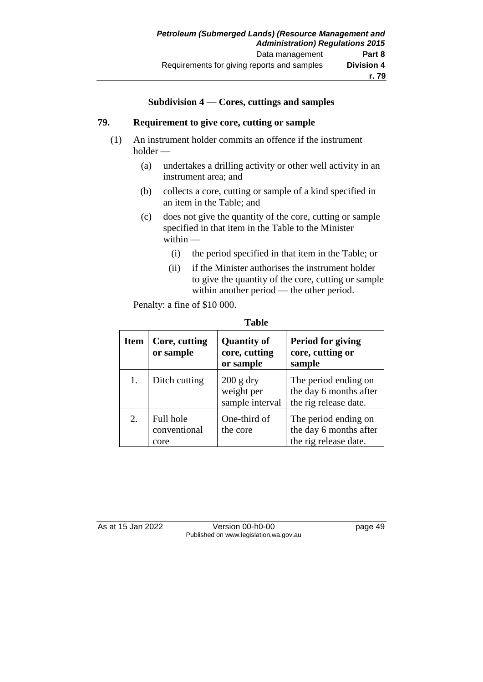#### **Subdivision 4 — Cores, cuttings and samples**

#### **79. Requirement to give core, cutting or sample**

- (1) An instrument holder commits an offence if the instrument holder —
	- (a) undertakes a drilling activity or other well activity in an instrument area; and
	- (b) collects a core, cutting or sample of a kind specified in an item in the Table; and
	- (c) does not give the quantity of the core, cutting or sample specified in that item in the Table to the Minister within —
		- (i) the period specified in that item in the Table; or
		- (ii) if the Minister authorises the instrument holder to give the quantity of the core, cutting or sample within another period — the other period.

Penalty: a fine of \$10 000.

| m<br>н<br>Ш |
|-------------|
|-------------|

| <b>Item</b> | Core, cutting<br>or sample        | <b>Quantity of</b><br>core, cutting<br>or sample | Period for giving<br>core, cutting or<br>sample                         |
|-------------|-----------------------------------|--------------------------------------------------|-------------------------------------------------------------------------|
| 1.          | Ditch cutting                     | $200$ g dry<br>weight per<br>sample interval     | The period ending on<br>the day 6 months after<br>the rig release date. |
| 2.          | Full hole<br>conventional<br>core | One-third of<br>the core                         | The period ending on<br>the day 6 months after<br>the rig release date. |

As at 15 Jan 2022 Version 00-h0-00 page 49 Published on www.legislation.wa.gov.au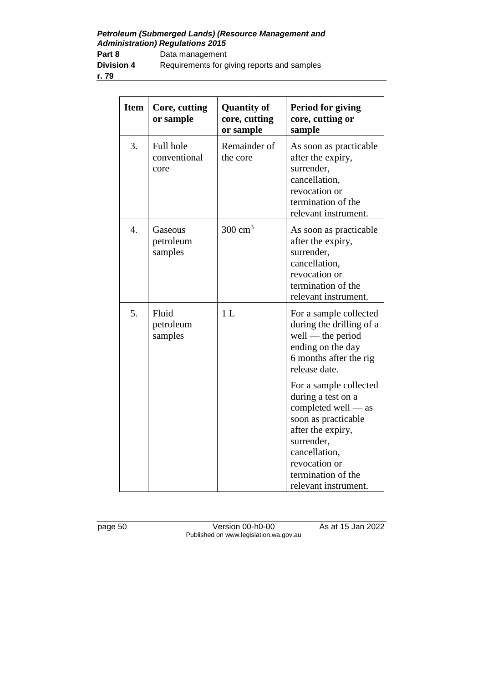*Petroleum (Submerged Lands) (Resource Management and Administration) Regulations 2015*

Part 8 Data management **Division 4** Requirements for giving reports and samples

**r. 79**

| <b>Item</b> | Core, cutting<br>or sample        | <b>Quantity of</b><br>core, cutting<br>or sample | <b>Period for giving</b><br>core, cutting or<br>sample                                                                                                                                                          |
|-------------|-----------------------------------|--------------------------------------------------|-----------------------------------------------------------------------------------------------------------------------------------------------------------------------------------------------------------------|
| 3.          | Full hole<br>conventional<br>core | Remainder of<br>the core                         | As soon as practicable<br>after the expiry,<br>surrender,<br>cancellation,<br>revocation or<br>termination of the<br>relevant instrument.                                                                       |
| 4.          | Gaseous<br>petroleum<br>samples   | $300 \text{ cm}^3$                               | As soon as practicable<br>after the expiry,<br>surrender,<br>cancellation,<br>revocation or<br>termination of the<br>relevant instrument.                                                                       |
| 5.          | Fluid<br>petroleum<br>samples     | 1 <sub>L</sub>                                   | For a sample collected<br>during the drilling of a<br>well — the period<br>ending on the day<br>6 months after the rig<br>release date.                                                                         |
|             |                                   |                                                  | For a sample collected<br>during a test on a<br>completed well $-$ as<br>soon as practicable<br>after the expiry,<br>surrender,<br>cancellation,<br>revocation or<br>termination of the<br>relevant instrument. |

page 50 Version 00-h0-00 As at 15 Jan 2022 Published on www.legislation.wa.gov.au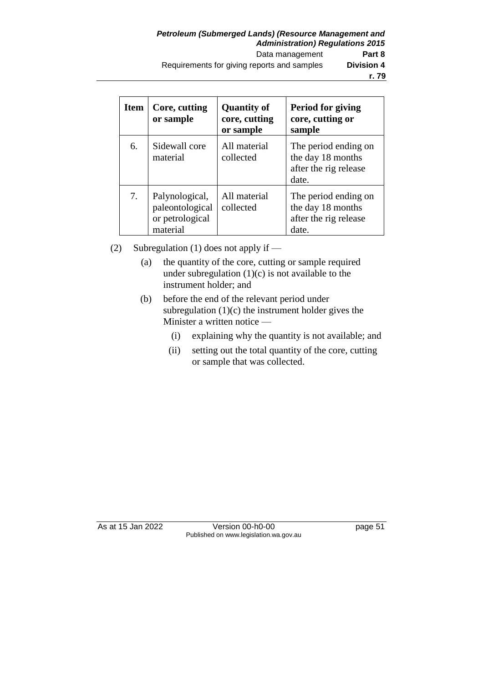| Item | Core, cutting<br>or sample                           | <b>Quantity of</b><br>core, cutting<br>or sample | Period for giving<br>core, cutting or<br>sample                             |
|------|------------------------------------------------------|--------------------------------------------------|-----------------------------------------------------------------------------|
| 6.   | Sidewall core<br>material                            | All material<br>collected                        | The period ending on<br>the day 18 months<br>after the rig release<br>date. |
| 7.   | Palynological,<br>paleontological<br>or petrological | All material<br>collected                        | The period ending on<br>the day 18 months<br>after the rig release          |

(2) Subregulation (1) does not apply if —

material

- (a) the quantity of the core, cutting or sample required under subregulation  $(1)(c)$  is not available to the instrument holder; and
- (b) before the end of the relevant period under subregulation (1)(c) the instrument holder gives the Minister a written notice —
	- (i) explaining why the quantity is not available; and

date.

(ii) setting out the total quantity of the core, cutting or sample that was collected.

As at 15 Jan 2022 Version 00-h0-00 page 51 Published on www.legislation.wa.gov.au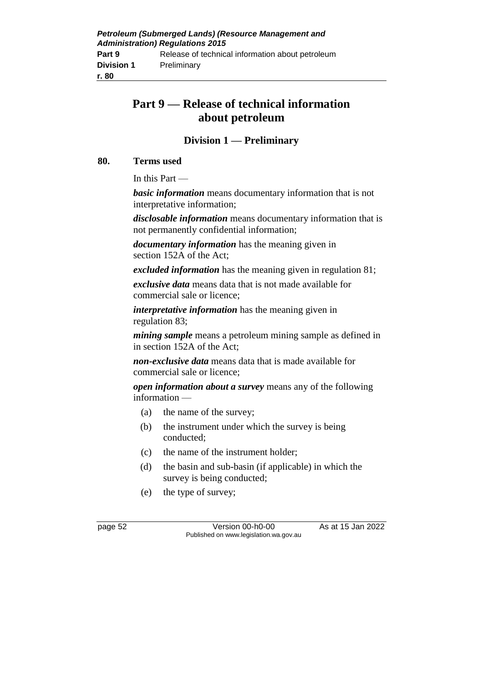# **Part 9 — Release of technical information about petroleum**

# **Division 1 — Preliminary**

#### **80. Terms used**

In this Part —

*basic information* means documentary information that is not interpretative information;

*disclosable information* means documentary information that is not permanently confidential information;

*documentary information* has the meaning given in section 152A of the Act;

*excluded information* has the meaning given in regulation 81;

*exclusive data* means data that is not made available for commercial sale or licence;

*interpretative information* has the meaning given in regulation 83;

*mining sample* means a petroleum mining sample as defined in in section 152A of the Act;

*non-exclusive data* means data that is made available for commercial sale or licence;

*open information about a survey* means any of the following information —

- (a) the name of the survey;
- (b) the instrument under which the survey is being conducted;
- (c) the name of the instrument holder;
- (d) the basin and sub-basin (if applicable) in which the survey is being conducted;
- (e) the type of survey;

page 52 Version 00-h0-00 As at 15 Jan 2022 Published on www.legislation.wa.gov.au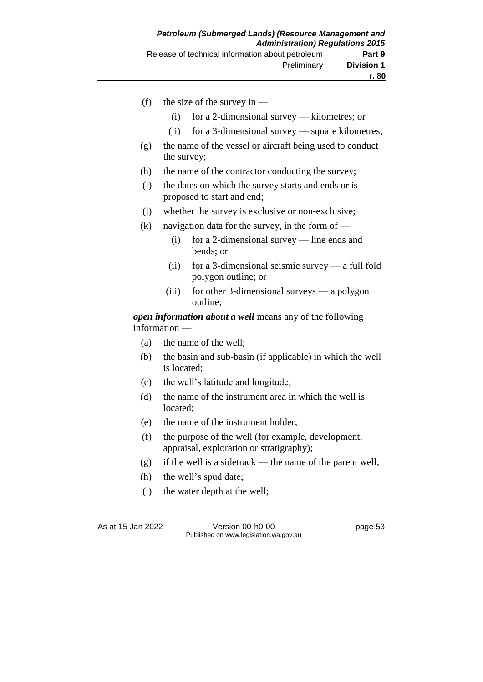- (f) the size of the survey in
	- (i) for a 2-dimensional survey kilometres; or
	- (ii) for a 3-dimensional survey square kilometres;
- (g) the name of the vessel or aircraft being used to conduct the survey;
- (h) the name of the contractor conducting the survey;
- (i) the dates on which the survey starts and ends or is proposed to start and end;
- (j) whether the survey is exclusive or non-exclusive;
- (k) navigation data for the survey, in the form of  $-$ 
	- (i) for a 2-dimensional survey line ends and bends; or
	- (ii) for a 3-dimensional seismic survey a full fold polygon outline; or
	- (iii) for other 3-dimensional surveys a polygon outline;

*open information about a well* means any of the following information —

- (a) the name of the well;
- (b) the basin and sub-basin (if applicable) in which the well is located;
- (c) the well's latitude and longitude;
- (d) the name of the instrument area in which the well is located;
- (e) the name of the instrument holder;
- (f) the purpose of the well (for example, development, appraisal, exploration or stratigraphy);
- (g) if the well is a sidetrack the name of the parent well;
- (h) the well's spud date;
- (i) the water depth at the well;

As at 15 Jan 2022 Version 00-h0-00 page 53 Published on www.legislation.wa.gov.au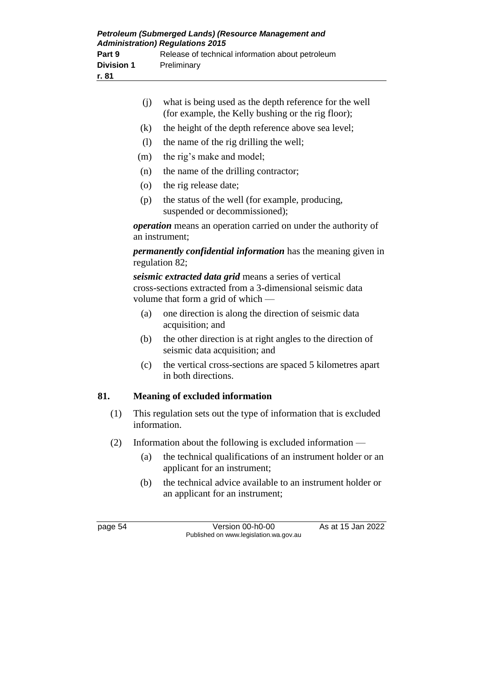| Petroleum (Submerged Lands) (Resource Management and<br><b>Administration) Regulations 2015</b> |                                                  |  |
|-------------------------------------------------------------------------------------------------|--------------------------------------------------|--|
| Part 9                                                                                          | Release of technical information about petroleum |  |
| <b>Division 1</b>                                                                               | Preliminary                                      |  |
| r. 81                                                                                           |                                                  |  |

|     | (i)                                                                                    | what is being used as the depth reference for the well<br>(for example, the Kelly bushing or the rig floor);                                                 |  |  |  |
|-----|----------------------------------------------------------------------------------------|--------------------------------------------------------------------------------------------------------------------------------------------------------------|--|--|--|
|     | (k)                                                                                    | the height of the depth reference above sea level;                                                                                                           |  |  |  |
|     | (1)                                                                                    | the name of the rig drilling the well;                                                                                                                       |  |  |  |
|     | (m)                                                                                    | the rig's make and model;                                                                                                                                    |  |  |  |
|     | (n)                                                                                    | the name of the drilling contractor;                                                                                                                         |  |  |  |
|     | (0)                                                                                    | the rig release date;                                                                                                                                        |  |  |  |
|     | (p)                                                                                    | the status of the well (for example, producing,<br>suspended or decommissioned);                                                                             |  |  |  |
|     | operation means an operation carried on under the authority of<br>an instrument;       |                                                                                                                                                              |  |  |  |
|     | <i>permanently confidential information</i> has the meaning given in<br>regulation 82; |                                                                                                                                                              |  |  |  |
|     |                                                                                        | seismic extracted data grid means a series of vertical<br>cross-sections extracted from a 3-dimensional seismic data<br>volume that form a grid of which $-$ |  |  |  |
|     | (a)                                                                                    | one direction is along the direction of seismic data<br>acquisition; and                                                                                     |  |  |  |
|     | (b)                                                                                    | the other direction is at right angles to the direction of<br>seismic data acquisition; and                                                                  |  |  |  |
|     | (c)                                                                                    | the vertical cross-sections are spaced 5 kilometres apart<br>in both directions.                                                                             |  |  |  |
| 81. |                                                                                        | <b>Meaning of excluded information</b>                                                                                                                       |  |  |  |
| (1) | This regulation sets out the type of information that is excluded<br>information.      |                                                                                                                                                              |  |  |  |

- (2) Information about the following is excluded information
	- (a) the technical qualifications of an instrument holder or an applicant for an instrument;
	- (b) the technical advice available to an instrument holder or an applicant for an instrument;

page 54 Version 00-h0-00 As at 15 Jan 2022 Published on www.legislation.wa.gov.au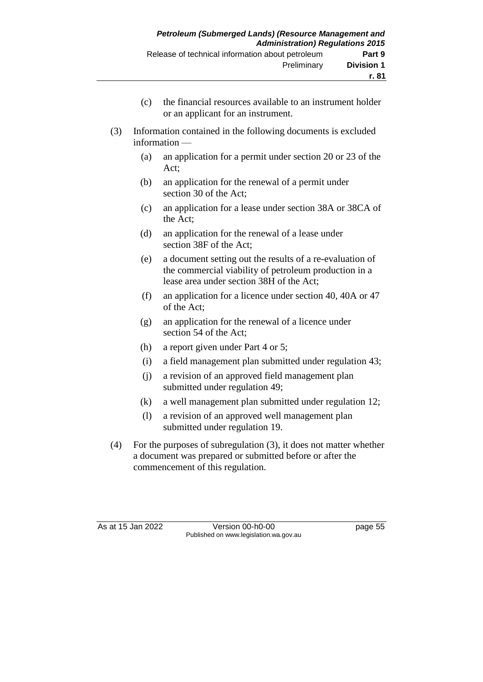- (c) the financial resources available to an instrument holder or an applicant for an instrument.
- (3) Information contained in the following documents is excluded information —
	- (a) an application for a permit under section 20 or 23 of the Act;
	- (b) an application for the renewal of a permit under section 30 of the Act;
	- (c) an application for a lease under section 38A or 38CA of the Act;
	- (d) an application for the renewal of a lease under section 38F of the Act;
	- (e) a document setting out the results of a re-evaluation of the commercial viability of petroleum production in a lease area under section 38H of the Act;
	- (f) an application for a licence under section 40, 40A or 47 of the Act;
	- (g) an application for the renewal of a licence under section 54 of the Act;
	- (h) a report given under Part 4 or 5;
	- (i) a field management plan submitted under regulation 43;
	- (j) a revision of an approved field management plan submitted under regulation 49;
	- (k) a well management plan submitted under regulation 12;
	- (l) a revision of an approved well management plan submitted under regulation 19.
- (4) For the purposes of subregulation (3), it does not matter whether a document was prepared or submitted before or after the commencement of this regulation.

As at 15 Jan 2022 Version 00-h0-00 page 55 Published on www.legislation.wa.gov.au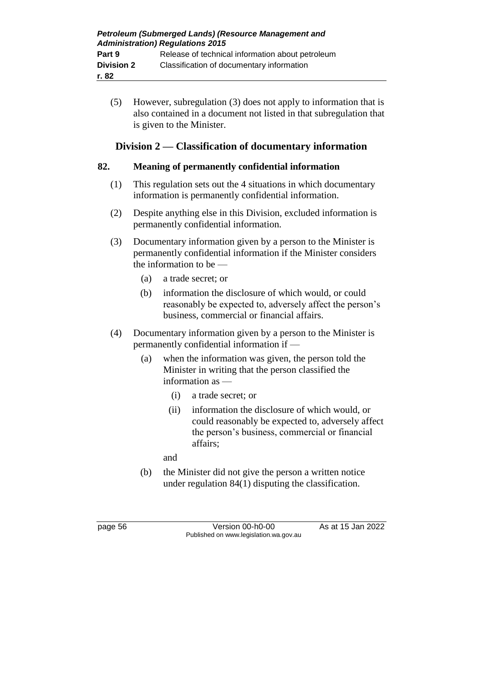(5) However, subregulation (3) does not apply to information that is also contained in a document not listed in that subregulation that is given to the Minister.

# **Division 2 — Classification of documentary information**

#### **82. Meaning of permanently confidential information**

- (1) This regulation sets out the 4 situations in which documentary information is permanently confidential information.
- (2) Despite anything else in this Division, excluded information is permanently confidential information.
- (3) Documentary information given by a person to the Minister is permanently confidential information if the Minister considers the information to be —
	- (a) a trade secret; or
	- (b) information the disclosure of which would, or could reasonably be expected to, adversely affect the person's business, commercial or financial affairs.
- (4) Documentary information given by a person to the Minister is permanently confidential information if —
	- (a) when the information was given, the person told the Minister in writing that the person classified the information as —
		- (i) a trade secret; or
		- (ii) information the disclosure of which would, or could reasonably be expected to, adversely affect the person's business, commercial or financial affairs;

and

(b) the Minister did not give the person a written notice under regulation 84(1) disputing the classification.

page 56 Version 00-h0-00 As at 15 Jan 2022 Published on www.legislation.wa.gov.au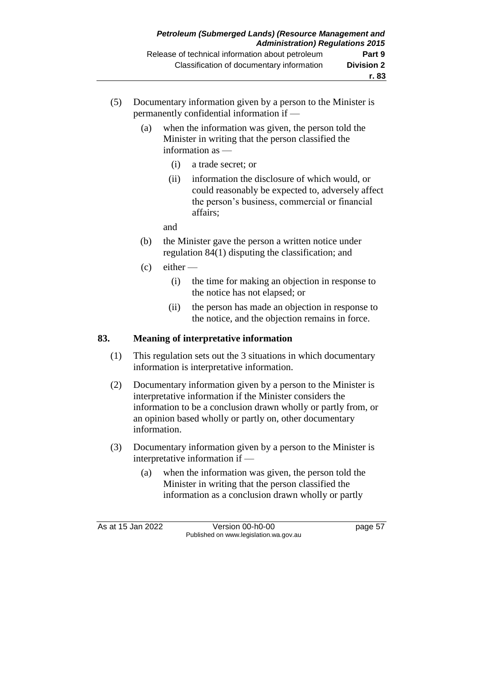- (5) Documentary information given by a person to the Minister is permanently confidential information if —
	- (a) when the information was given, the person told the Minister in writing that the person classified the information as —
		- (i) a trade secret; or
		- (ii) information the disclosure of which would, or could reasonably be expected to, adversely affect the person's business, commercial or financial affairs;

and

- (b) the Minister gave the person a written notice under regulation 84(1) disputing the classification; and
- $(c)$  either
	- (i) the time for making an objection in response to the notice has not elapsed; or
	- (ii) the person has made an objection in response to the notice, and the objection remains in force.

### **83. Meaning of interpretative information**

- (1) This regulation sets out the 3 situations in which documentary information is interpretative information.
- (2) Documentary information given by a person to the Minister is interpretative information if the Minister considers the information to be a conclusion drawn wholly or partly from, or an opinion based wholly or partly on, other documentary information.
- (3) Documentary information given by a person to the Minister is interpretative information if —
	- (a) when the information was given, the person told the Minister in writing that the person classified the information as a conclusion drawn wholly or partly

As at 15 Jan 2022 Version 00-h0-00 page 57 Published on www.legislation.wa.gov.au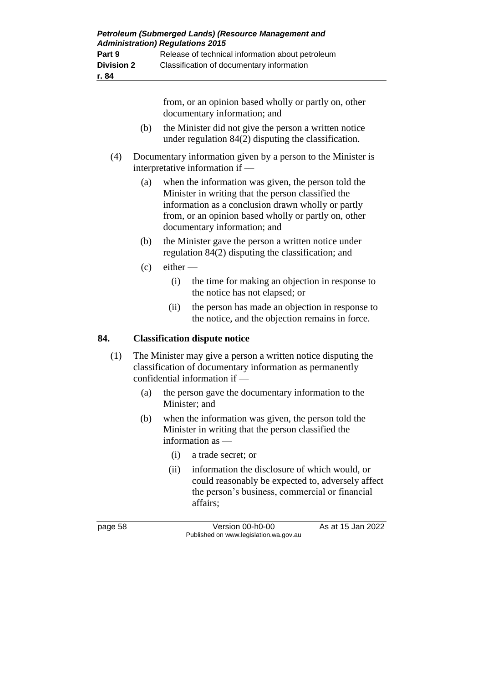|     |                                                                                                 | from, or an opinion based wholly or partly on, other<br>documentary information; and                                                                                                                                                                    |                                                                                                                                                                  |  |  |  |
|-----|-------------------------------------------------------------------------------------------------|---------------------------------------------------------------------------------------------------------------------------------------------------------------------------------------------------------------------------------------------------------|------------------------------------------------------------------------------------------------------------------------------------------------------------------|--|--|--|
|     | (b)                                                                                             | the Minister did not give the person a written notice<br>under regulation 84(2) disputing the classification.                                                                                                                                           |                                                                                                                                                                  |  |  |  |
| (4) | Documentary information given by a person to the Minister is<br>interpretative information if - |                                                                                                                                                                                                                                                         |                                                                                                                                                                  |  |  |  |
|     | (a)                                                                                             | when the information was given, the person told the<br>Minister in writing that the person classified the<br>information as a conclusion drawn wholly or partly<br>from, or an opinion based wholly or partly on, other<br>documentary information; and |                                                                                                                                                                  |  |  |  |
|     | (b)                                                                                             | the Minister gave the person a written notice under<br>regulation 84(2) disputing the classification; and                                                                                                                                               |                                                                                                                                                                  |  |  |  |
|     | (c)                                                                                             | $e$ ither —                                                                                                                                                                                                                                             |                                                                                                                                                                  |  |  |  |
|     |                                                                                                 | (i)                                                                                                                                                                                                                                                     | the time for making an objection in response to<br>the notice has not elapsed; or                                                                                |  |  |  |
|     |                                                                                                 | (ii)                                                                                                                                                                                                                                                    | the person has made an objection in response to<br>the notice, and the objection remains in force.                                                               |  |  |  |
| 84. | <b>Classification dispute notice</b>                                                            |                                                                                                                                                                                                                                                         |                                                                                                                                                                  |  |  |  |
| (1) |                                                                                                 |                                                                                                                                                                                                                                                         | The Minister may give a person a written notice disputing the<br>classification of documentary information as permanently<br>confidential information if -       |  |  |  |
|     | (a)                                                                                             |                                                                                                                                                                                                                                                         | the person gave the documentary information to the<br>Minister; and                                                                                              |  |  |  |
|     | (b)                                                                                             |                                                                                                                                                                                                                                                         | when the information was given, the person told the<br>Minister in writing that the person classified the<br>information as -                                    |  |  |  |
|     |                                                                                                 | (i)                                                                                                                                                                                                                                                     | a trade secret; or                                                                                                                                               |  |  |  |
|     |                                                                                                 | (ii)                                                                                                                                                                                                                                                    | information the disclosure of which would, or<br>could reasonably be expected to, adversely affect<br>the person's business, commercial or financial<br>affairs; |  |  |  |
|     |                                                                                                 |                                                                                                                                                                                                                                                         |                                                                                                                                                                  |  |  |  |

page 58 Version 00-h0-00 As at 15 Jan 2022 Published on www.legislation.wa.gov.au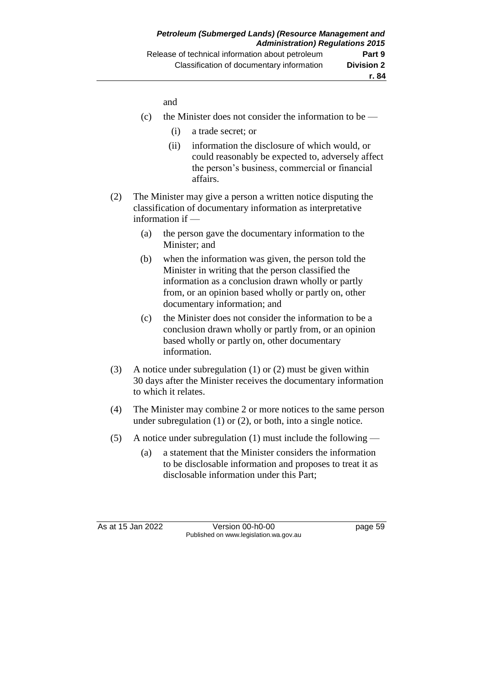and

- (c) the Minister does not consider the information to be  $-$ 
	- (i) a trade secret; or
	- (ii) information the disclosure of which would, or could reasonably be expected to, adversely affect the person's business, commercial or financial affairs.
- (2) The Minister may give a person a written notice disputing the classification of documentary information as interpretative information if —
	- (a) the person gave the documentary information to the Minister; and
	- (b) when the information was given, the person told the Minister in writing that the person classified the information as a conclusion drawn wholly or partly from, or an opinion based wholly or partly on, other documentary information; and
	- (c) the Minister does not consider the information to be a conclusion drawn wholly or partly from, or an opinion based wholly or partly on, other documentary information.
- (3) A notice under subregulation (1) or (2) must be given within 30 days after the Minister receives the documentary information to which it relates.
- (4) The Minister may combine 2 or more notices to the same person under subregulation (1) or (2), or both, into a single notice.
- (5) A notice under subregulation (1) must include the following
	- (a) a statement that the Minister considers the information to be disclosable information and proposes to treat it as disclosable information under this Part;

As at 15 Jan 2022 Version 00-h0-00 page 59 Published on www.legislation.wa.gov.au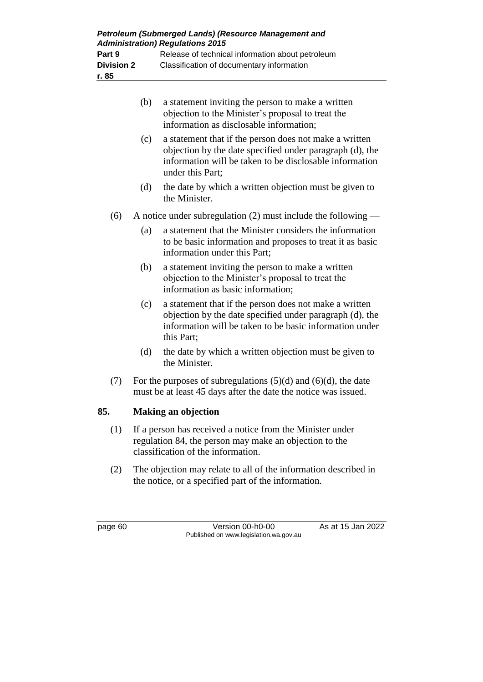| Petroleum (Submerged Lands) (Resource Management and<br><b>Administration) Regulations 2015</b> |                                                  |  |  |  |
|-------------------------------------------------------------------------------------------------|--------------------------------------------------|--|--|--|
| Part 9                                                                                          | Release of technical information about petroleum |  |  |  |
| <b>Division 2</b>                                                                               | Classification of documentary information        |  |  |  |
| r. 85                                                                                           |                                                  |  |  |  |

- (b) a statement inviting the person to make a written objection to the Minister's proposal to treat the information as disclosable information; (c) a statement that if the person does not make a written objection by the date specified under paragraph (d), the information will be taken to be disclosable information under this Part; (d) the date by which a written objection must be given to the Minister. (6) A notice under subregulation (2) must include the following — (a) a statement that the Minister considers the information to be basic information and proposes to treat it as basic information under this Part; (b) a statement inviting the person to make a written objection to the Minister's proposal to treat the information as basic information; (c) a statement that if the person does not make a written objection by the date specified under paragraph (d), the information will be taken to be basic information under this Part; (d) the date by which a written objection must be given to the Minister.
- (7) For the purposes of subregulations  $(5)(d)$  and  $(6)(d)$ , the date must be at least 45 days after the date the notice was issued.

# **85. Making an objection**

- (1) If a person has received a notice from the Minister under regulation 84, the person may make an objection to the classification of the information.
- (2) The objection may relate to all of the information described in the notice, or a specified part of the information.

page 60 Version 00-h0-00 As at 15 Jan 2022 Published on www.legislation.wa.gov.au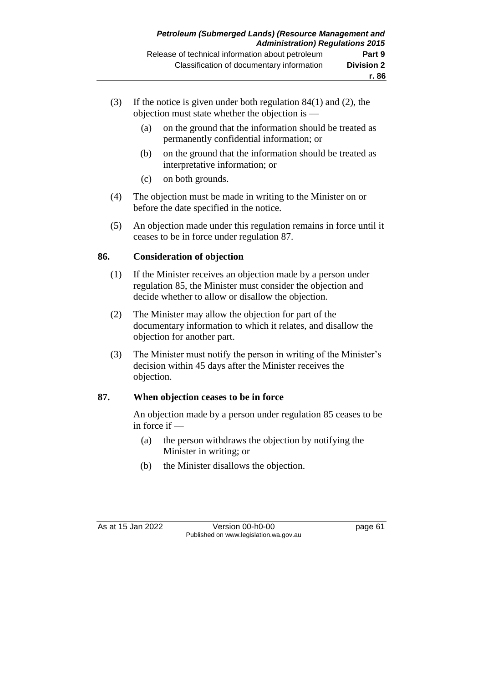- (3) If the notice is given under both regulation 84(1) and (2), the objection must state whether the objection is —
	- (a) on the ground that the information should be treated as permanently confidential information; or
	- (b) on the ground that the information should be treated as interpretative information; or
	- (c) on both grounds.
- (4) The objection must be made in writing to the Minister on or before the date specified in the notice.
- (5) An objection made under this regulation remains in force until it ceases to be in force under regulation 87.

### **86. Consideration of objection**

- (1) If the Minister receives an objection made by a person under regulation 85, the Minister must consider the objection and decide whether to allow or disallow the objection.
- (2) The Minister may allow the objection for part of the documentary information to which it relates, and disallow the objection for another part.
- (3) The Minister must notify the person in writing of the Minister's decision within 45 days after the Minister receives the objection.

### **87. When objection ceases to be in force**

An objection made by a person under regulation 85 ceases to be in force if —

- (a) the person withdraws the objection by notifying the Minister in writing; or
- (b) the Minister disallows the objection.

As at 15 Jan 2022 Version 00-h0-00 page 61 Published on www.legislation.wa.gov.au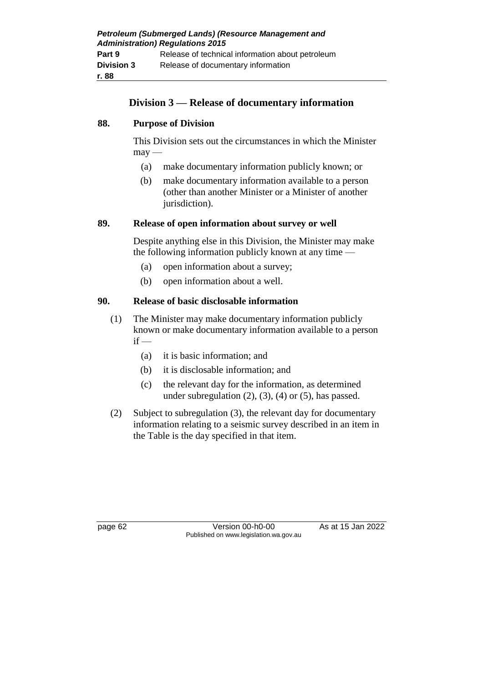# **Division 3 — Release of documentary information**

#### **88. Purpose of Division**

This Division sets out the circumstances in which the Minister  $may -$ 

- (a) make documentary information publicly known; or
- (b) make documentary information available to a person (other than another Minister or a Minister of another jurisdiction).

#### **89. Release of open information about survey or well**

Despite anything else in this Division, the Minister may make the following information publicly known at any time —

- (a) open information about a survey;
- (b) open information about a well.

### **90. Release of basic disclosable information**

- (1) The Minister may make documentary information publicly known or make documentary information available to a person  $if -$ 
	- (a) it is basic information; and
	- (b) it is disclosable information; and
	- (c) the relevant day for the information, as determined under subregulation  $(2)$ ,  $(3)$ ,  $(4)$  or  $(5)$ , has passed.
- (2) Subject to subregulation (3), the relevant day for documentary information relating to a seismic survey described in an item in the Table is the day specified in that item.

page 62 Version 00-h0-00 As at 15 Jan 2022 Published on www.legislation.wa.gov.au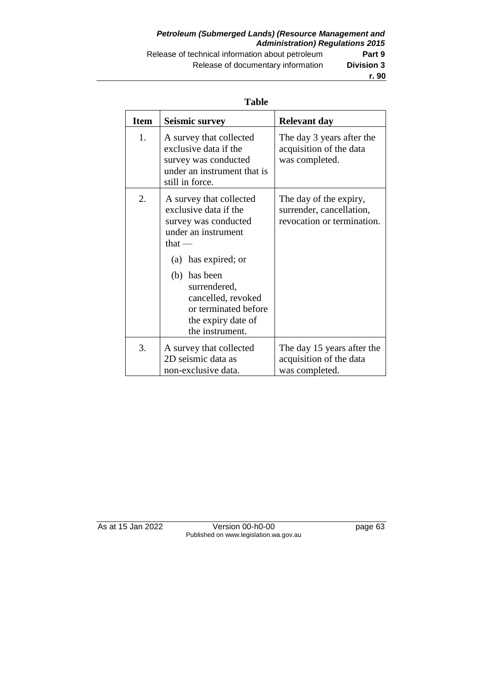### *Petroleum (Submerged Lands) (Resource Management and Administration) Regulations 2015* Release of technical information about petroleum **Part 9** Release of documentary information **Division 3**

**r. 90**

#### **Table**

| <b>Item</b>    | <b>Seismic survey</b>                                                                                                      | <b>Relevant day</b>                                                              |
|----------------|----------------------------------------------------------------------------------------------------------------------------|----------------------------------------------------------------------------------|
| $\mathbf{1}$ . | A survey that collected<br>exclusive data if the<br>survey was conducted<br>under an instrument that is<br>still in force. | The day 3 years after the<br>acquisition of the data<br>was completed.           |
| 2.             | A survey that collected<br>exclusive data if the<br>survey was conducted<br>under an instrument<br>that $-$                | The day of the expiry,<br>surrender, cancellation,<br>revocation or termination. |
|                | (a) has expired; or                                                                                                        |                                                                                  |
|                | (b) has been<br>surrendered,<br>cancelled, revoked<br>or terminated before<br>the expiry date of<br>the instrument.        |                                                                                  |
| 3.             | A survey that collected<br>2D seismic data as<br>non-exclusive data.                                                       | The day 15 years after the<br>acquisition of the data<br>was completed.          |

As at 15 Jan 2022 Version 00-h0-00 page 63 Published on www.legislation.wa.gov.au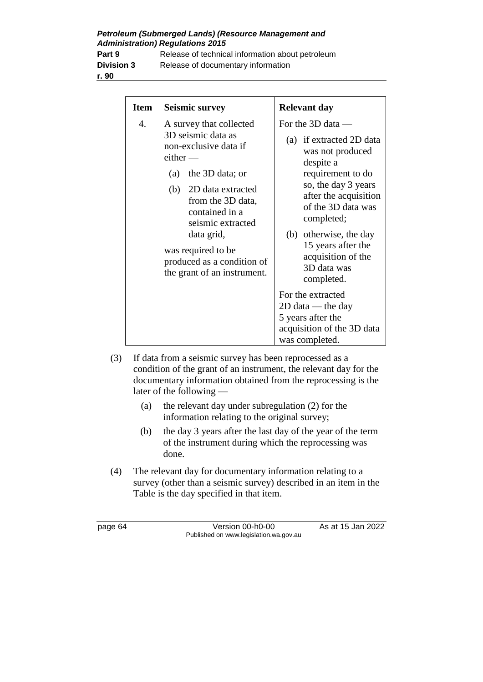*Petroleum (Submerged Lands) (Resource Management and Administration) Regulations 2015*

**r. 90**

**Part 9** Release of technical information about petroleum **Division 3** Release of documentary information

| <b>Item</b> | <b>Seismic survey</b>                                                                                                                                                                                                                                                                                | <b>Relevant day</b>                                                                                                                                                                                                                                                                                               |
|-------------|------------------------------------------------------------------------------------------------------------------------------------------------------------------------------------------------------------------------------------------------------------------------------------------------------|-------------------------------------------------------------------------------------------------------------------------------------------------------------------------------------------------------------------------------------------------------------------------------------------------------------------|
| 4.          | A survey that collected<br>3D seismic data as<br>non-exclusive data if<br>$e$ ither —<br>(a) the $3D$ data; or<br>(b) 2D data extracted<br>from the 3D data,<br>contained in a<br>seismic extracted<br>data grid,<br>was required to be<br>produced as a condition of<br>the grant of an instrument. | For the $3D$ data —<br>(a) if extracted 2D data<br>was not produced<br>despite a<br>requirement to do<br>so, the day 3 years<br>after the acquisition<br>of the 3D data was<br>completed;<br>(b) otherwise, the day<br>15 years after the<br>acquisition of the<br>3D data was<br>completed.<br>For the extracted |
|             |                                                                                                                                                                                                                                                                                                      | $2D$ data — the day<br>5 years after the<br>acquisition of the 3D data                                                                                                                                                                                                                                            |
|             |                                                                                                                                                                                                                                                                                                      | was completed.                                                                                                                                                                                                                                                                                                    |

- (3) If data from a seismic survey has been reprocessed as a condition of the grant of an instrument, the relevant day for the documentary information obtained from the reprocessing is the later of the following —
	- (a) the relevant day under subregulation (2) for the information relating to the original survey;
	- (b) the day 3 years after the last day of the year of the term of the instrument during which the reprocessing was done.
- (4) The relevant day for documentary information relating to a survey (other than a seismic survey) described in an item in the Table is the day specified in that item.

page 64 Version 00-h0-00 As at 15 Jan 2022 Published on www.legislation.wa.gov.au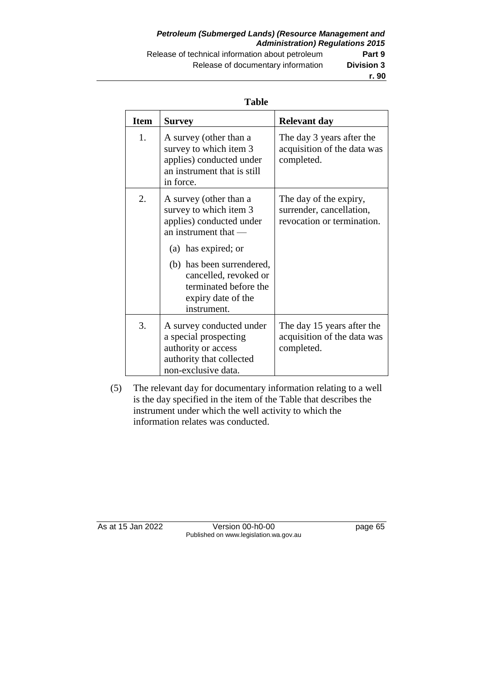#### *Petroleum (Submerged Lands) (Resource Management and Administration) Regulations 2015* Release of technical information about petroleum **Part 9** Release of documentary information **Division 3**

#### **Table**

| <b>Item</b> | Survey                                                                                                                      | <b>Relevant day</b>                                                              |
|-------------|-----------------------------------------------------------------------------------------------------------------------------|----------------------------------------------------------------------------------|
| 1.          | A survey (other than a<br>survey to which item 3<br>applies) conducted under<br>an instrument that is still<br>in force.    | The day 3 years after the<br>acquisition of the data was<br>completed.           |
| 2.          | A survey (other than a<br>survey to which item 3<br>applies) conducted under<br>an instrument that —<br>(a) has expired; or | The day of the expiry,<br>surrender, cancellation,<br>revocation or termination. |
|             | (b) has been surrendered,<br>cancelled, revoked or<br>terminated before the<br>expiry date of the<br>instrument.            |                                                                                  |
| 3.          | A survey conducted under<br>a special prospecting<br>authority or access<br>authority that collected<br>non-exclusive data. | The day 15 years after the<br>acquisition of the data was<br>completed.          |

(5) The relevant day for documentary information relating to a well is the day specified in the item of the Table that describes the instrument under which the well activity to which the information relates was conducted.

As at 15 Jan 2022 Version 00-h0-00 page 65 Published on www.legislation.wa.gov.au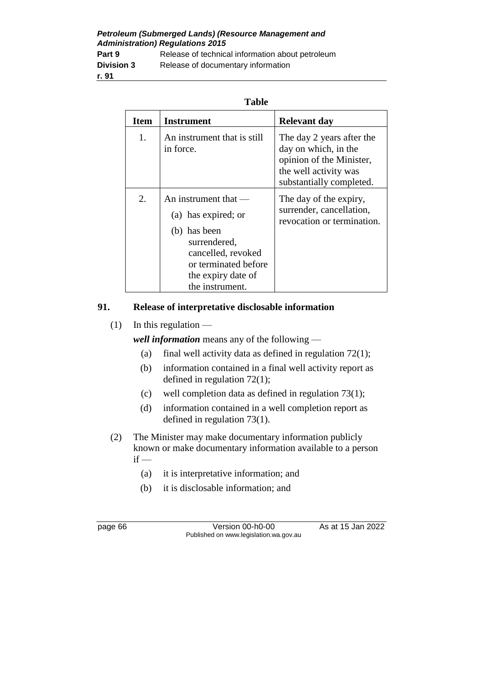*Petroleum (Submerged Lands) (Resource Management and Administration) Regulations 2015* **Part 9** Release of technical information about petroleum **Division 3** Release of documentary information **r. 91**

| <b>Item</b> | Instrument                                                                                                                                                           | <b>Relevant day</b>                                                                                                                |
|-------------|----------------------------------------------------------------------------------------------------------------------------------------------------------------------|------------------------------------------------------------------------------------------------------------------------------------|
| 1.          | An instrument that is still<br>in force.                                                                                                                             | The day 2 years after the<br>day on which, in the<br>opinion of the Minister,<br>the well activity was<br>substantially completed. |
| 2.          | An instrument that $-$<br>(a) has expired; or<br>(b) has been<br>surrendered,<br>cancelled, revoked<br>or terminated before<br>the expiry date of<br>the instrument. | The day of the expiry,<br>surrender, cancellation,<br>revocation or termination.                                                   |

#### **91. Release of interpretative disclosable information**

 $(1)$  In this regulation —

*well information* means any of the following —

- (a) final well activity data as defined in regulation  $72(1)$ ;
- (b) information contained in a final well activity report as defined in regulation 72(1);
- (c) well completion data as defined in regulation 73(1);
- (d) information contained in a well completion report as defined in regulation 73(1).
- (2) The Minister may make documentary information publicly known or make documentary information available to a person  $if -$ 
	- (a) it is interpretative information; and
	- (b) it is disclosable information; and

page 66 Version 00-h0-00 As at 15 Jan 2022 Published on www.legislation.wa.gov.au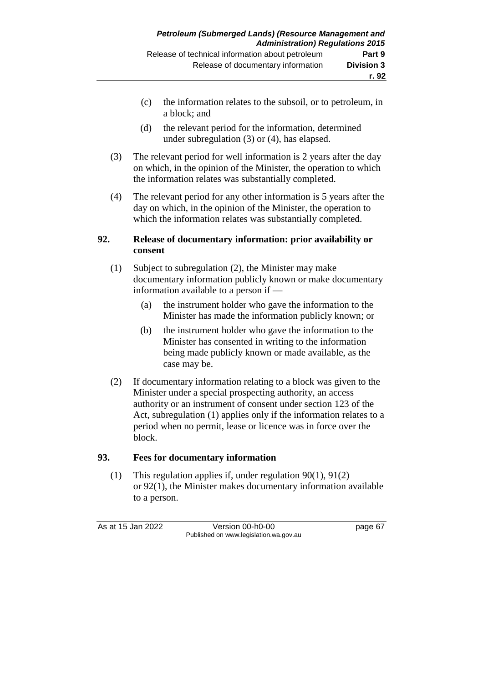- (c) the information relates to the subsoil, or to petroleum, in a block; and
- (d) the relevant period for the information, determined under subregulation (3) or (4), has elapsed.
- (3) The relevant period for well information is 2 years after the day on which, in the opinion of the Minister, the operation to which the information relates was substantially completed.
- (4) The relevant period for any other information is 5 years after the day on which, in the opinion of the Minister, the operation to which the information relates was substantially completed.

### **92. Release of documentary information: prior availability or consent**

- (1) Subject to subregulation (2), the Minister may make documentary information publicly known or make documentary information available to a person if —
	- (a) the instrument holder who gave the information to the Minister has made the information publicly known; or
	- (b) the instrument holder who gave the information to the Minister has consented in writing to the information being made publicly known or made available, as the case may be.
- (2) If documentary information relating to a block was given to the Minister under a special prospecting authority, an access authority or an instrument of consent under section 123 of the Act, subregulation (1) applies only if the information relates to a period when no permit, lease or licence was in force over the block.

### **93. Fees for documentary information**

(1) This regulation applies if, under regulation 90(1), 91(2) or 92(1), the Minister makes documentary information available to a person.

As at 15 Jan 2022 Version 00-h0-00 page 67 Published on www.legislation.wa.gov.au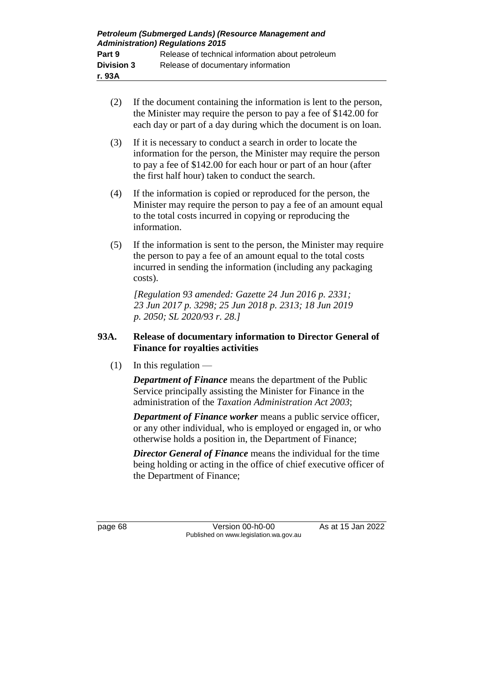| Petroleum (Submerged Lands) (Resource Management and<br><b>Administration) Regulations 2015</b> |                                                  |  |
|-------------------------------------------------------------------------------------------------|--------------------------------------------------|--|
| Part 9                                                                                          | Release of technical information about petroleum |  |
| <b>Division 3</b>                                                                               | Release of documentary information               |  |
| r. 93A                                                                                          |                                                  |  |

- (2) If the document containing the information is lent to the person, the Minister may require the person to pay a fee of \$142.00 for each day or part of a day during which the document is on loan.
- (3) If it is necessary to conduct a search in order to locate the information for the person, the Minister may require the person to pay a fee of \$142.00 for each hour or part of an hour (after the first half hour) taken to conduct the search.
- (4) If the information is copied or reproduced for the person, the Minister may require the person to pay a fee of an amount equal to the total costs incurred in copying or reproducing the information.
- (5) If the information is sent to the person, the Minister may require the person to pay a fee of an amount equal to the total costs incurred in sending the information (including any packaging costs).

*[Regulation 93 amended: Gazette 24 Jun 2016 p. 2331; 23 Jun 2017 p. 3298; 25 Jun 2018 p. 2313; 18 Jun 2019 p. 2050; SL 2020/93 r. 28.]*

### **93A. Release of documentary information to Director General of Finance for royalties activities**

 $(1)$  In this regulation —

*Department of Finance* means the department of the Public Service principally assisting the Minister for Finance in the administration of the *Taxation Administration Act 2003*;

*Department of Finance worker* means a public service officer, or any other individual, who is employed or engaged in, or who otherwise holds a position in, the Department of Finance;

*Director General of Finance* means the individual for the time being holding or acting in the office of chief executive officer of the Department of Finance;

page 68 Version 00-h0-00 As at 15 Jan 2022 Published on www.legislation.wa.gov.au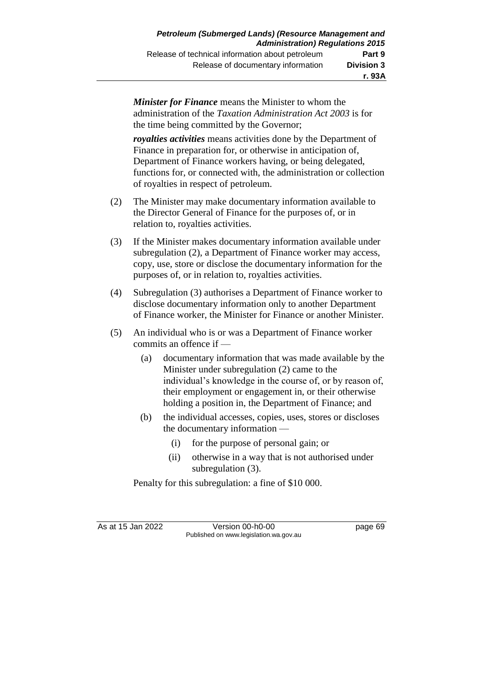*Minister for Finance* means the Minister to whom the administration of the *Taxation Administration Act 2003* is for the time being committed by the Governor;

*royalties activities* means activities done by the Department of Finance in preparation for, or otherwise in anticipation of, Department of Finance workers having, or being delegated, functions for, or connected with, the administration or collection of royalties in respect of petroleum.

- (2) The Minister may make documentary information available to the Director General of Finance for the purposes of, or in relation to, royalties activities.
- (3) If the Minister makes documentary information available under subregulation (2), a Department of Finance worker may access, copy, use, store or disclose the documentary information for the purposes of, or in relation to, royalties activities.
- (4) Subregulation (3) authorises a Department of Finance worker to disclose documentary information only to another Department of Finance worker, the Minister for Finance or another Minister.
- (5) An individual who is or was a Department of Finance worker commits an offence if —
	- (a) documentary information that was made available by the Minister under subregulation (2) came to the individual's knowledge in the course of, or by reason of, their employment or engagement in, or their otherwise holding a position in, the Department of Finance; and
	- (b) the individual accesses, copies, uses, stores or discloses the documentary information —
		- (i) for the purpose of personal gain; or
		- (ii) otherwise in a way that is not authorised under subregulation (3).

Penalty for this subregulation: a fine of \$10 000.

As at 15 Jan 2022 Version 00-h0-00 page 69 Published on www.legislation.wa.gov.au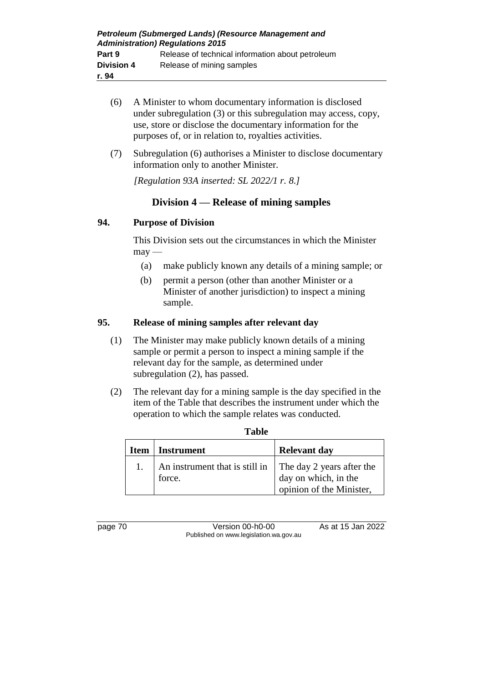- (6) A Minister to whom documentary information is disclosed under subregulation (3) or this subregulation may access, copy, use, store or disclose the documentary information for the purposes of, or in relation to, royalties activities.
- (7) Subregulation (6) authorises a Minister to disclose documentary information only to another Minister.

*[Regulation 93A inserted: SL 2022/1 r. 8.]*

## **Division 4 — Release of mining samples**

### **94. Purpose of Division**

This Division sets out the circumstances in which the Minister  $may -$ 

- (a) make publicly known any details of a mining sample; or
- (b) permit a person (other than another Minister or a Minister of another jurisdiction) to inspect a mining sample.

### **95. Release of mining samples after relevant day**

- (1) The Minister may make publicly known details of a mining sample or permit a person to inspect a mining sample if the relevant day for the sample, as determined under subregulation (2), has passed.
- (2) The relevant day for a mining sample is the day specified in the item of the Table that describes the instrument under which the operation to which the sample relates was conducted.

| <b>Item</b> | Instrument                                                         | <b>Relevant day</b>                              |
|-------------|--------------------------------------------------------------------|--------------------------------------------------|
|             | An instrument that is still in The day 2 years after the<br>force. | day on which, in the<br>opinion of the Minister, |

**Table**

page 70 Version 00-h0-00 As at 15 Jan 2022 Published on www.legislation.wa.gov.au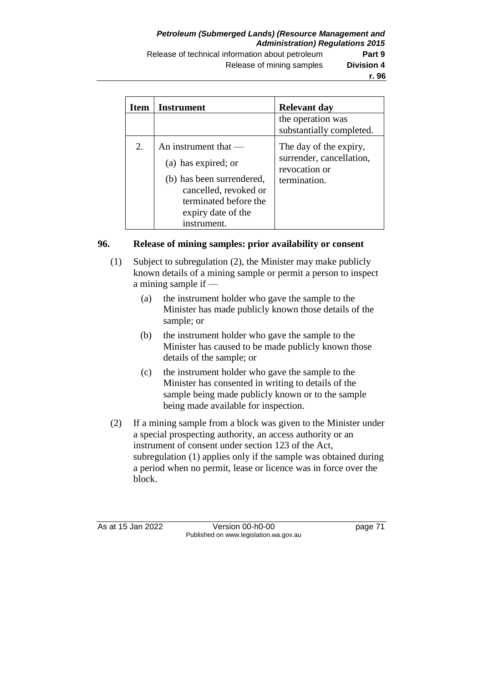| <b>Item</b> | Instrument                                                                                                                                                        | <b>Relevant day</b>                                                                 |
|-------------|-------------------------------------------------------------------------------------------------------------------------------------------------------------------|-------------------------------------------------------------------------------------|
|             |                                                                                                                                                                   | the operation was<br>substantially completed.                                       |
| 2.          | An instrument that $-$<br>(a) has expired; or<br>(b) has been surrendered,<br>cancelled, revoked or<br>terminated before the<br>expiry date of the<br>instrument. | The day of the expiry,<br>surrender, cancellation,<br>revocation or<br>termination. |

### **96. Release of mining samples: prior availability or consent**

- (1) Subject to subregulation (2), the Minister may make publicly known details of a mining sample or permit a person to inspect a mining sample if —
	- (a) the instrument holder who gave the sample to the Minister has made publicly known those details of the sample; or
	- (b) the instrument holder who gave the sample to the Minister has caused to be made publicly known those details of the sample; or
	- (c) the instrument holder who gave the sample to the Minister has consented in writing to details of the sample being made publicly known or to the sample being made available for inspection.
- (2) If a mining sample from a block was given to the Minister under a special prospecting authority, an access authority or an instrument of consent under section 123 of the Act, subregulation (1) applies only if the sample was obtained during a period when no permit, lease or licence was in force over the block.

As at 15 Jan 2022 Version 00-h0-00 page 71 Published on www.legislation.wa.gov.au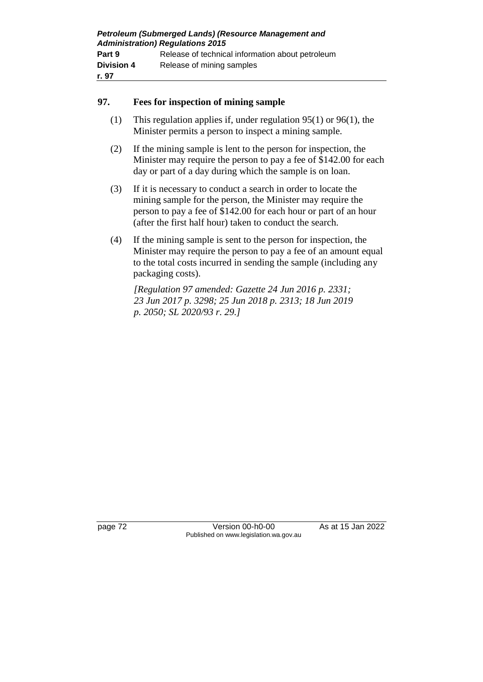| Petroleum (Submerged Lands) (Resource Management and<br><b>Administration) Regulations 2015</b> |                                                  |  |
|-------------------------------------------------------------------------------------------------|--------------------------------------------------|--|
|                                                                                                 |                                                  |  |
| Part 9                                                                                          | Release of technical information about petroleum |  |
| <b>Division 4</b>                                                                               | Release of mining samples                        |  |
| r. 97                                                                                           |                                                  |  |

### **97. Fees for inspection of mining sample**

- (1) This regulation applies if, under regulation 95(1) or 96(1), the Minister permits a person to inspect a mining sample.
- (2) If the mining sample is lent to the person for inspection, the Minister may require the person to pay a fee of \$142.00 for each day or part of a day during which the sample is on loan.
- (3) If it is necessary to conduct a search in order to locate the mining sample for the person, the Minister may require the person to pay a fee of \$142.00 for each hour or part of an hour (after the first half hour) taken to conduct the search.
- (4) If the mining sample is sent to the person for inspection, the Minister may require the person to pay a fee of an amount equal to the total costs incurred in sending the sample (including any packaging costs).

*[Regulation 97 amended: Gazette 24 Jun 2016 p. 2331; 23 Jun 2017 p. 3298; 25 Jun 2018 p. 2313; 18 Jun 2019 p. 2050; SL 2020/93 r. 29.]*

page 72 Version 00-h0-00 As at 15 Jan 2022 Published on www.legislation.wa.gov.au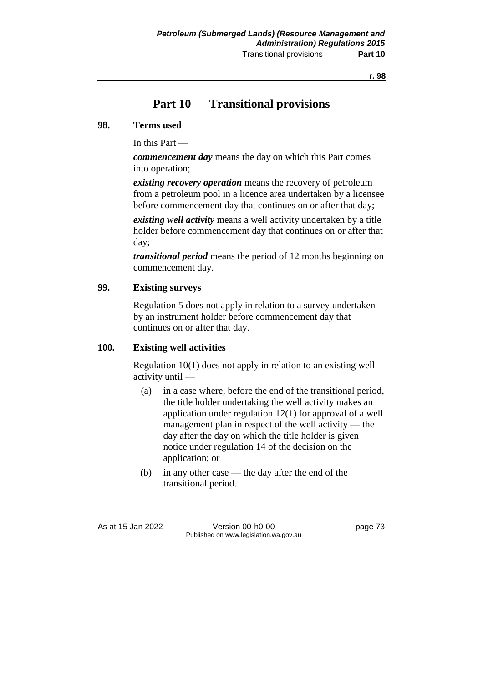## **Part 10 — Transitional provisions**

#### **98. Terms used**

In this Part —

*commencement day* means the day on which this Part comes into operation;

*existing recovery operation* means the recovery of petroleum from a petroleum pool in a licence area undertaken by a licensee before commencement day that continues on or after that day;

*existing well activity* means a well activity undertaken by a title holder before commencement day that continues on or after that day;

*transitional period* means the period of 12 months beginning on commencement day.

### **99. Existing surveys**

Regulation 5 does not apply in relation to a survey undertaken by an instrument holder before commencement day that continues on or after that day.

#### **100. Existing well activities**

Regulation 10(1) does not apply in relation to an existing well activity until —

- (a) in a case where, before the end of the transitional period, the title holder undertaking the well activity makes an application under regulation 12(1) for approval of a well management plan in respect of the well activity — the day after the day on which the title holder is given notice under regulation 14 of the decision on the application; or
- (b) in any other case the day after the end of the transitional period.

As at 15 Jan 2022 Version 00-h0-00 page 73 Published on www.legislation.wa.gov.au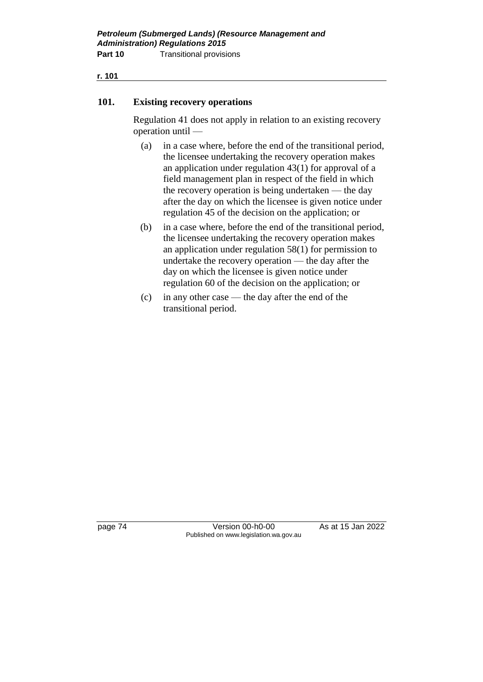**r. 101**

#### **101. Existing recovery operations**

Regulation 41 does not apply in relation to an existing recovery operation until —

- (a) in a case where, before the end of the transitional period, the licensee undertaking the recovery operation makes an application under regulation 43(1) for approval of a field management plan in respect of the field in which the recovery operation is being undertaken — the day after the day on which the licensee is given notice under regulation 45 of the decision on the application; or
- (b) in a case where, before the end of the transitional period, the licensee undertaking the recovery operation makes an application under regulation 58(1) for permission to undertake the recovery operation — the day after the day on which the licensee is given notice under regulation 60 of the decision on the application; or
- (c) in any other case the day after the end of the transitional period.

page 74 Version 00-h0-00 As at 15 Jan 2022 Published on www.legislation.wa.gov.au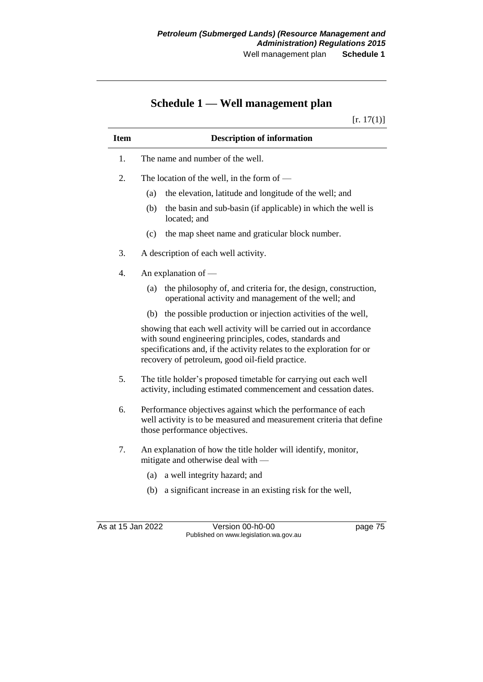# **Schedule 1 — Well management plan**

 $[r. 17(1)]$ 

| <b>Item</b> | <b>Description of information</b>                                                                                                                                                                                                                        |  |  |
|-------------|----------------------------------------------------------------------------------------------------------------------------------------------------------------------------------------------------------------------------------------------------------|--|--|
| 1.          | The name and number of the well.                                                                                                                                                                                                                         |  |  |
| 2.          | The location of the well, in the form of $-$                                                                                                                                                                                                             |  |  |
|             | the elevation, latitude and longitude of the well; and<br>(a)                                                                                                                                                                                            |  |  |
|             | the basin and sub-basin (if applicable) in which the well is<br>(b)<br>located; and                                                                                                                                                                      |  |  |
|             | (c)<br>the map sheet name and graticular block number.                                                                                                                                                                                                   |  |  |
| 3.          | A description of each well activity.                                                                                                                                                                                                                     |  |  |
| 4.          | An explanation of —                                                                                                                                                                                                                                      |  |  |
|             | the philosophy of, and criteria for, the design, construction,<br>(a)<br>operational activity and management of the well; and                                                                                                                            |  |  |
|             | (b) the possible production or injection activities of the well,                                                                                                                                                                                         |  |  |
|             | showing that each well activity will be carried out in accordance<br>with sound engineering principles, codes, standards and<br>specifications and, if the activity relates to the exploration for or<br>recovery of petroleum, good oil-field practice. |  |  |
| 5.          | The title holder's proposed timetable for carrying out each well<br>activity, including estimated commencement and cessation dates.                                                                                                                      |  |  |
| 6.          | Performance objectives against which the performance of each<br>well activity is to be measured and measurement criteria that define<br>those performance objectives.                                                                                    |  |  |
| 7.          | An explanation of how the title holder will identify, monitor,<br>mitigate and otherwise deal with —<br>a well integrity hazard; and<br>(a)                                                                                                              |  |  |
|             | a significant increase in an existing risk for the well,<br>(b)                                                                                                                                                                                          |  |  |

As at 15 Jan 2022 Version 00-h0-00 page 75 Published on www.legislation.wa.gov.au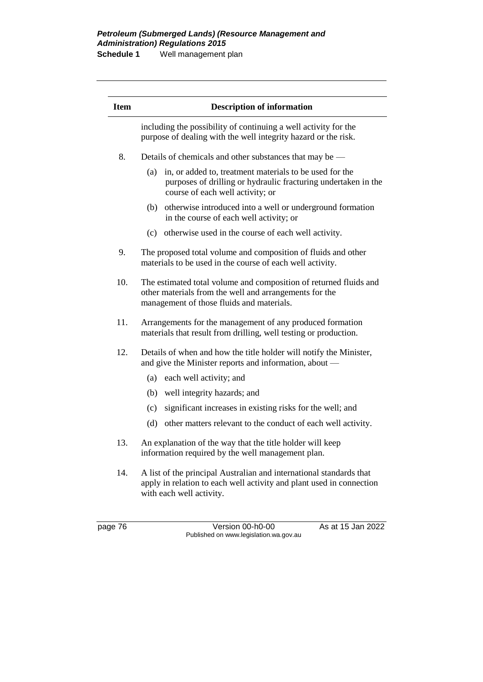#### *Petroleum (Submerged Lands) (Resource Management and Administration) Regulations 2015* **Schedule 1** Well management plan

page 76 Version 00-h0-00 As at 15 Jan 2022 Published on www.legislation.wa.gov.au **Item Description of information** including the possibility of continuing a well activity for the purpose of dealing with the well integrity hazard or the risk. 8. Details of chemicals and other substances that may be — (a) in, or added to, treatment materials to be used for the purposes of drilling or hydraulic fracturing undertaken in the course of each well activity; or (b) otherwise introduced into a well or underground formation in the course of each well activity; or (c) otherwise used in the course of each well activity. 9. The proposed total volume and composition of fluids and other materials to be used in the course of each well activity. 10. The estimated total volume and composition of returned fluids and other materials from the well and arrangements for the management of those fluids and materials. 11. Arrangements for the management of any produced formation materials that result from drilling, well testing or production. 12. Details of when and how the title holder will notify the Minister, and give the Minister reports and information, about — (a) each well activity; and (b) well integrity hazards; and (c) significant increases in existing risks for the well; and (d) other matters relevant to the conduct of each well activity. 13. An explanation of the way that the title holder will keep information required by the well management plan. 14. A list of the principal Australian and international standards that apply in relation to each well activity and plant used in connection with each well activity.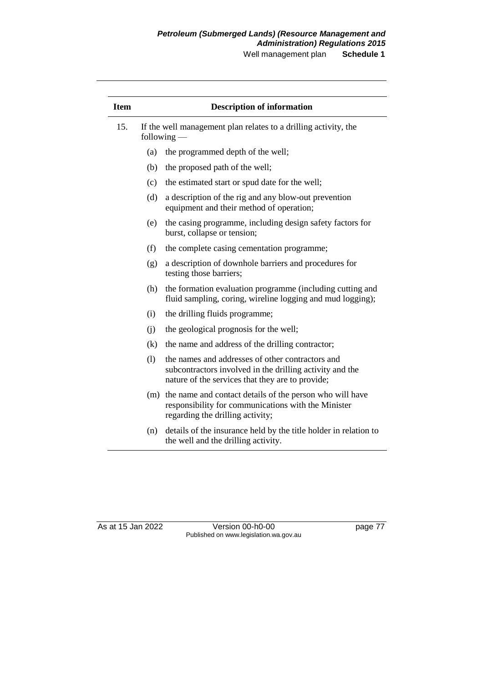Well management plan **Schedule 1**

| <b>Item</b> |                                                                                  | <b>Description of information</b>                                                                                                                                |
|-------------|----------------------------------------------------------------------------------|------------------------------------------------------------------------------------------------------------------------------------------------------------------|
| 15.         | If the well management plan relates to a drilling activity, the<br>following $-$ |                                                                                                                                                                  |
|             | (a)                                                                              | the programmed depth of the well;                                                                                                                                |
|             | (b)                                                                              | the proposed path of the well;                                                                                                                                   |
|             | (c)                                                                              | the estimated start or spud date for the well;                                                                                                                   |
|             | (d)                                                                              | a description of the rig and any blow-out prevention<br>equipment and their method of operation;                                                                 |
|             | (e)                                                                              | the casing programme, including design safety factors for<br>burst, collapse or tension;                                                                         |
|             | (f)                                                                              | the complete casing cementation programme;                                                                                                                       |
|             | (g)                                                                              | a description of downhole barriers and procedures for<br>testing those barriers;                                                                                 |
|             | (h)                                                                              | the formation evaluation programme (including cutting and<br>fluid sampling, coring, wireline logging and mud logging);                                          |
|             | (i)                                                                              | the drilling fluids programme;                                                                                                                                   |
|             | (i)                                                                              | the geological prognosis for the well;                                                                                                                           |
|             | (k)                                                                              | the name and address of the drilling contractor;                                                                                                                 |
|             | (1)                                                                              | the names and addresses of other contractors and<br>subcontractors involved in the drilling activity and the<br>nature of the services that they are to provide; |
|             | (m)                                                                              | the name and contact details of the person who will have<br>responsibility for communications with the Minister<br>regarding the drilling activity;              |
|             |                                                                                  | $(n)$ details of the insurance hold by the title holder in relation to                                                                                           |

(n) details of the insurance held by the title holder in relation to the well and the drilling activity.

| As at 15 Jan 2022 |  |
|-------------------|--|
|-------------------|--|

Version 00-h0-00 page 77 Published on www.legislation.wa.gov.au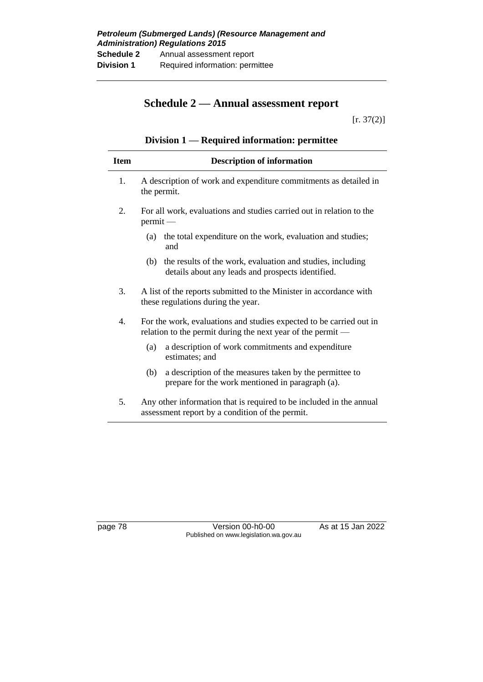## **Schedule 2 — Annual assessment report**

 $[r. 37(2)]$ 

## **Division 1 — Required information: permittee**

| <b>Item</b>      | <b>Description of information</b>                                                                                                  |
|------------------|------------------------------------------------------------------------------------------------------------------------------------|
| 1.               | A description of work and expenditure commitments as detailed in<br>the permit.                                                    |
| $\overline{2}$ . | For all work, evaluations and studies carried out in relation to the<br>permit                                                     |
|                  | (a) the total expenditure on the work, evaluation and studies;<br>and                                                              |
|                  | the results of the work, evaluation and studies, including<br>(b)<br>details about any leads and prospects identified.             |
| 3.               | A list of the reports submitted to the Minister in accordance with<br>these regulations during the year.                           |
| $\overline{4}$ . | For the work, evaluations and studies expected to be carried out in<br>relation to the permit during the next year of the permit — |
|                  | a description of work commitments and expenditure<br>(a)<br>estimates; and                                                         |
|                  | a description of the measures taken by the permittee to<br>(b)<br>prepare for the work mentioned in paragraph (a).                 |
| 5.               | Any other information that is required to be included in the annual<br>assessment report by a condition of the permit.             |

page 78 Version 00-h0-00 As at 15 Jan 2022 Published on www.legislation.wa.gov.au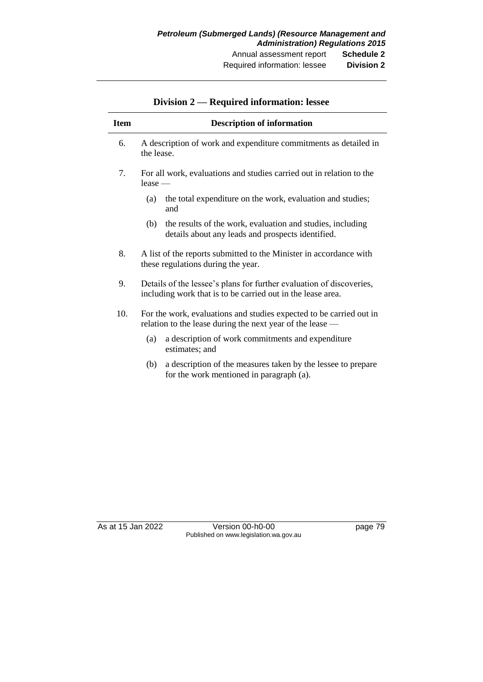| <b>Item</b> | <b>Description of information</b>                                                                                                   |  |  |
|-------------|-------------------------------------------------------------------------------------------------------------------------------------|--|--|
| 6.          | A description of work and expenditure commitments as detailed in<br>the lease.                                                      |  |  |
| $7_{\cdot}$ | For all work, evaluations and studies carried out in relation to the<br>$lease -$                                                   |  |  |
|             | the total expenditure on the work, evaluation and studies;<br>(a)<br>and                                                            |  |  |
|             | the results of the work, evaluation and studies, including<br>(b)<br>details about any leads and prospects identified.              |  |  |
| 8.          | A list of the reports submitted to the Minister in accordance with<br>these regulations during the year.                            |  |  |
| 9.          | Details of the lessee's plans for further evaluation of discoveries,<br>including work that is to be carried out in the lease area. |  |  |
| 10.         | For the work, evaluations and studies expected to be carried out in<br>relation to the lease during the next year of the lease —    |  |  |
|             | a description of work commitments and expenditure<br>(a)<br>estimates; and                                                          |  |  |
|             | a description of the measures taken by the lessee to prepare<br>(b)<br>for the work mentioned in paragraph (a).                     |  |  |

## **Division 2 — Required information: lessee**

As at 15 Jan 2022 Version 00-h0-00 page 79 Published on www.legislation.wa.gov.au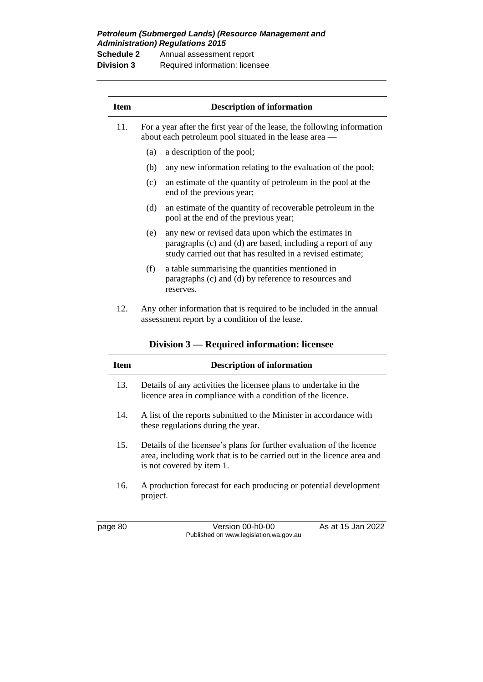*Petroleum (Submerged Lands) (Resource Management and Administration) Regulations 2015*

| <b>Schedule 2</b> | Annual assessment report       |
|-------------------|--------------------------------|
| <b>Division 3</b> | Required information: licensee |

| <b>Item</b> |                                                                                                                                   | <b>Description of information</b>                                                                                                                                                |  |
|-------------|-----------------------------------------------------------------------------------------------------------------------------------|----------------------------------------------------------------------------------------------------------------------------------------------------------------------------------|--|
| 11.         | For a year after the first year of the lease, the following information<br>about each petroleum pool situated in the lease area — |                                                                                                                                                                                  |  |
|             | (a)                                                                                                                               | a description of the pool;                                                                                                                                                       |  |
|             | (b)                                                                                                                               | any new information relating to the evaluation of the pool;                                                                                                                      |  |
|             | (c)                                                                                                                               | an estimate of the quantity of petroleum in the pool at the<br>end of the previous year;                                                                                         |  |
|             | (d)                                                                                                                               | an estimate of the quantity of recoverable petroleum in the<br>pool at the end of the previous year;                                                                             |  |
|             | (e)                                                                                                                               | any new or revised data upon which the estimates in<br>paragraphs (c) and (d) are based, including a report of any<br>study carried out that has resulted in a revised estimate; |  |
|             | (f)                                                                                                                               | a table summarising the quantities mentioned in<br>paragraphs (c) and (d) by reference to resources and<br>reserves.                                                             |  |
| 12.         |                                                                                                                                   | Any other information that is required to be included in the annual<br>assessment report by a condition of the lease.                                                            |  |

| Division $3$ — Required information: licensee |  |  |
|-----------------------------------------------|--|--|
|                                               |  |  |

| Item | <b>Description of information</b>                                                                                                                                            |
|------|------------------------------------------------------------------------------------------------------------------------------------------------------------------------------|
| 13.  | Details of any activities the licensee plans to undertake in the<br>licence area in compliance with a condition of the licence.                                              |
| 14.  | A list of the reports submitted to the Minister in accordance with<br>these regulations during the year.                                                                     |
| 15.  | Details of the licensee's plans for further evaluation of the licence<br>area, including work that is to be carried out in the licence area and<br>is not covered by item 1. |
| 16.  | A production forecast for each producing or potential development<br>project.                                                                                                |

page 80 Version 00-h0-00 As at 15 Jan 2022 Published on www.legislation.wa.gov.au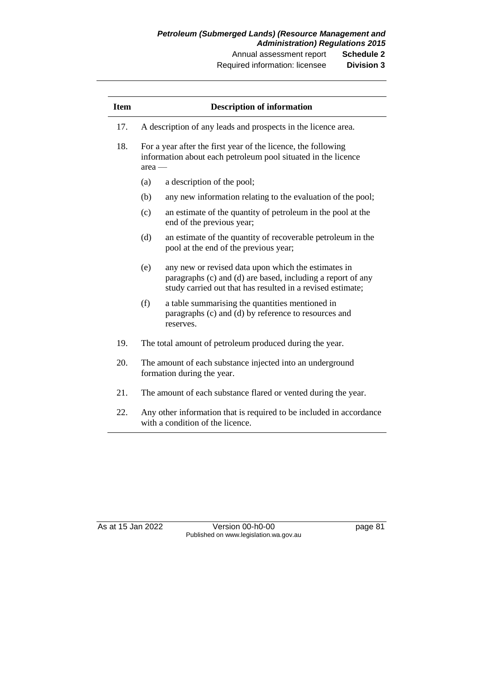Required information: licensee **Division 3**

| <b>Item</b> |                                                                                                                                            | <b>Description of information</b>                                                                                                                                                |
|-------------|--------------------------------------------------------------------------------------------------------------------------------------------|----------------------------------------------------------------------------------------------------------------------------------------------------------------------------------|
| 17.         |                                                                                                                                            | A description of any leads and prospects in the licence area.                                                                                                                    |
| 18.         | For a year after the first year of the licence, the following<br>information about each petroleum pool situated in the licence<br>$area$ — |                                                                                                                                                                                  |
|             | (a)                                                                                                                                        | a description of the pool;                                                                                                                                                       |
|             | (b)                                                                                                                                        | any new information relating to the evaluation of the pool;                                                                                                                      |
|             | (c)                                                                                                                                        | an estimate of the quantity of petroleum in the pool at the<br>end of the previous year;                                                                                         |
|             | (d)                                                                                                                                        | an estimate of the quantity of recoverable petroleum in the<br>pool at the end of the previous year;                                                                             |
|             | (e)                                                                                                                                        | any new or revised data upon which the estimates in<br>paragraphs (c) and (d) are based, including a report of any<br>study carried out that has resulted in a revised estimate; |
|             | (f)                                                                                                                                        | a table summarising the quantities mentioned in<br>paragraphs (c) and (d) by reference to resources and<br>reserves.                                                             |
| 19.         |                                                                                                                                            | The total amount of petroleum produced during the year.                                                                                                                          |
| 20.         | The amount of each substance injected into an underground<br>formation during the year.                                                    |                                                                                                                                                                                  |
| 21.         |                                                                                                                                            | The amount of each substance flared or vented during the year.                                                                                                                   |

22. Any other information that is required to be included in accordance with a condition of the licence.

| As at 15 Jan 2022 |
|-------------------|
|-------------------|

Version 00-h0-00 page 81 Published on www.legislation.wa.gov.au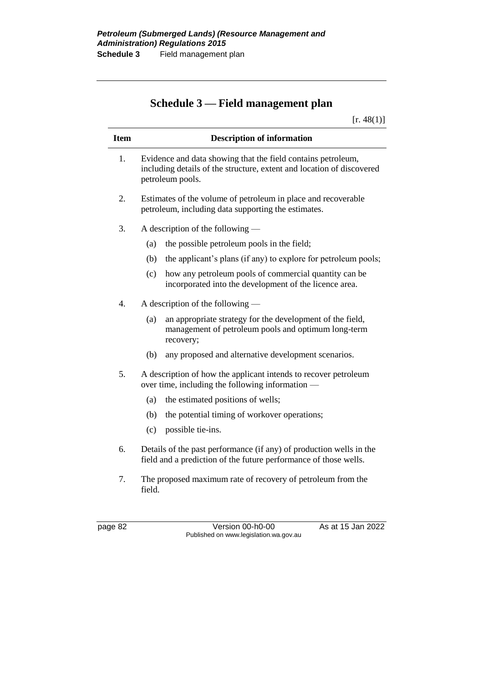# **Schedule 3 — Field management plan**

 $[r. 48(1)]$ 

| <b>Item</b> | <b>Description of information</b>                                                                                                                         |  |  |
|-------------|-----------------------------------------------------------------------------------------------------------------------------------------------------------|--|--|
| 1.          | Evidence and data showing that the field contains petroleum,<br>including details of the structure, extent and location of discovered<br>petroleum pools. |  |  |
| 2.          | Estimates of the volume of petroleum in place and recoverable<br>petroleum, including data supporting the estimates.                                      |  |  |
| 3.          | A description of the following —                                                                                                                          |  |  |
|             | the possible petroleum pools in the field;<br>(a)                                                                                                         |  |  |
|             | the applicant's plans (if any) to explore for petroleum pools;<br>(b)                                                                                     |  |  |
|             | how any petroleum pools of commercial quantity can be<br>(c)<br>incorporated into the development of the licence area.                                    |  |  |
| 4.          | A description of the following $-$                                                                                                                        |  |  |
|             | an appropriate strategy for the development of the field,<br>(a)<br>management of petroleum pools and optimum long-term<br>recovery;                      |  |  |
|             | any proposed and alternative development scenarios.<br>(b)                                                                                                |  |  |
| 5.          | A description of how the applicant intends to recover petroleum<br>over time, including the following information -                                       |  |  |
|             | the estimated positions of wells;<br>(a)                                                                                                                  |  |  |
|             | the potential timing of workover operations;<br>(b)                                                                                                       |  |  |
|             | (c)<br>possible tie-ins.                                                                                                                                  |  |  |
| 6.          | Details of the past performance (if any) of production wells in the<br>field and a prediction of the future performance of those wells.                   |  |  |
| 7.          | The proposed maximum rate of recovery of petroleum from the<br>field.                                                                                     |  |  |

page 82 Version 00-h0-00 As at 15 Jan 2022 Published on www.legislation.wa.gov.au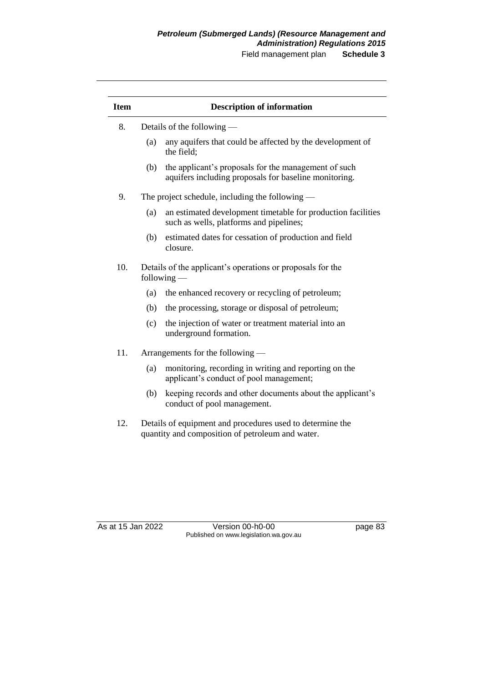## *Petroleum (Submerged Lands) (Resource Management and Administration) Regulations 2015*

Field management plan **Schedule 3**

| <b>Item</b>                      |     | <b>Description of information</b>                                                                             |
|----------------------------------|-----|---------------------------------------------------------------------------------------------------------------|
| 8.<br>Details of the following — |     |                                                                                                               |
|                                  | (a) | any aquifers that could be affected by the development of<br>the field;                                       |
|                                  | (b) | the applicant's proposals for the management of such<br>aquifers including proposals for baseline monitoring. |
| 9.                               |     | The project schedule, including the following $-$                                                             |
|                                  | (a) | an estimated development timetable for production facilities<br>such as wells, platforms and pipelines;       |
|                                  | (b) | estimated dates for cessation of production and field<br>closure.                                             |
| 10.                              |     | Details of the applicant's operations or proposals for the<br>following $-$                                   |
|                                  | (a) | the enhanced recovery or recycling of petroleum;                                                              |
|                                  | (b) | the processing, storage or disposal of petroleum;                                                             |
|                                  | (c) | the injection of water or treatment material into an<br>underground formation.                                |
| 11.                              |     | Arrangements for the following —                                                                              |
|                                  | (a) | monitoring, recording in writing and reporting on the<br>applicant's conduct of pool management;              |
|                                  | (b) | keeping records and other documents about the applicant's<br>conduct of pool management.                      |
| 12.                              |     | Details of equipment and procedures used to determine the<br>quantity and composition of petroleum and water. |

As at 15 Jan 2022 Version 00-h0-00 page 83 Published on www.legislation.wa.gov.au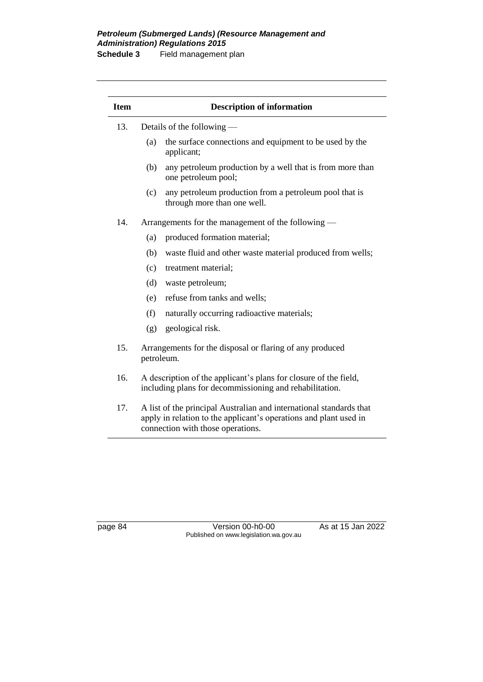#### *Petroleum (Submerged Lands) (Resource Management and Administration) Regulations 2015* **Schedule 3** Field management plan

| <b>Item</b> | <b>Description of information</b>                                                                                                                                             |                                                                                       |  |
|-------------|-------------------------------------------------------------------------------------------------------------------------------------------------------------------------------|---------------------------------------------------------------------------------------|--|
| 13.         | Details of the following —                                                                                                                                                    |                                                                                       |  |
|             | (a)                                                                                                                                                                           | the surface connections and equipment to be used by the<br>applicant;                 |  |
|             | (b)                                                                                                                                                                           | any petroleum production by a well that is from more than<br>one petroleum pool;      |  |
|             | (c)                                                                                                                                                                           | any petroleum production from a petroleum pool that is<br>through more than one well. |  |
| 14.         |                                                                                                                                                                               | Arrangements for the management of the following —                                    |  |
|             | (a)                                                                                                                                                                           | produced formation material;                                                          |  |
|             | (b)                                                                                                                                                                           | waste fluid and other waste material produced from wells;                             |  |
|             | (c)                                                                                                                                                                           | treatment material;                                                                   |  |
|             | (d)                                                                                                                                                                           | waste petroleum;                                                                      |  |
|             | (e)                                                                                                                                                                           | refuse from tanks and wells;                                                          |  |
|             | (f)                                                                                                                                                                           | naturally occurring radioactive materials;                                            |  |
|             | (g)                                                                                                                                                                           | geological risk.                                                                      |  |
| 15.         | petroleum.                                                                                                                                                                    | Arrangements for the disposal or flaring of any produced                              |  |
| 16.         | A description of the applicant's plans for closure of the field,<br>including plans for decommissioning and rehabilitation.                                                   |                                                                                       |  |
| 17.         | A list of the principal Australian and international standards that<br>apply in relation to the applicant's operations and plant used in<br>connection with those operations. |                                                                                       |  |

page 84 Version 00-h0-00 As at 15 Jan 2022 Published on www.legislation.wa.gov.au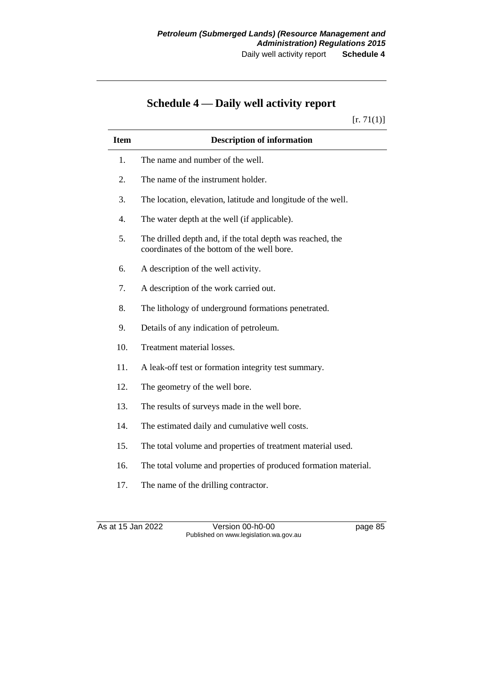# **Schedule 4 — Daily well activity report**

 $[r. 71(1)]$ 

| <b>Item</b> | <b>Description of information</b>                                                                         |
|-------------|-----------------------------------------------------------------------------------------------------------|
| 1.          | The name and number of the well.                                                                          |
| 2.          | The name of the instrument holder.                                                                        |
| 3.          | The location, elevation, latitude and longitude of the well.                                              |
| 4.          | The water depth at the well (if applicable).                                                              |
| 5.          | The drilled depth and, if the total depth was reached, the<br>coordinates of the bottom of the well bore. |
| 6.          | A description of the well activity.                                                                       |
| 7.          | A description of the work carried out.                                                                    |
| 8.          | The lithology of underground formations penetrated.                                                       |
| 9.          | Details of any indication of petroleum.                                                                   |
| 10.         | Treatment material losses.                                                                                |
| 11.         | A leak-off test or formation integrity test summary.                                                      |
| 12.         | The geometry of the well bore.                                                                            |
| 13.         | The results of surveys made in the well bore.                                                             |
| 14.         | The estimated daily and cumulative well costs.                                                            |
| 15.         | The total volume and properties of treatment material used.                                               |
| 16.         | The total volume and properties of produced formation material.                                           |
| 17.         | The name of the drilling contractor.                                                                      |
|             |                                                                                                           |

As at 15 Jan 2022 Version 00-h0-00 page 85 Published on www.legislation.wa.gov.au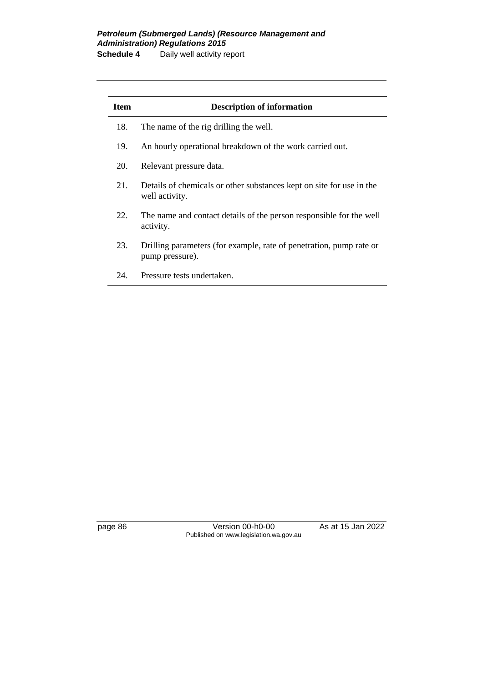#### *Petroleum (Submerged Lands) (Resource Management and Administration) Regulations 2015* **Schedule 4** Daily well activity report

**Item Description of information** 18. The name of the rig drilling the well. 19. An hourly operational breakdown of the work carried out. 20. Relevant pressure data. 21. Details of chemicals or other substances kept on site for use in the well activity. 22. The name and contact details of the person responsible for the well activity. 23. Drilling parameters (for example, rate of penetration, pump rate or pump pressure). 24. Pressure tests undertaken.

page 86 **Version 00-h0-00** As at 15 Jan 2022 Published on www.legislation.wa.gov.au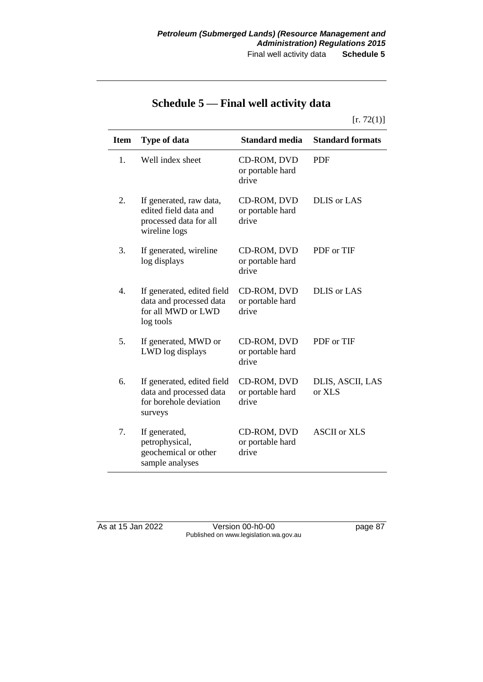# **Schedule 5 — Final well activity data**

 $[r. 72(1)]$ 

| <b>Item</b> | <b>Type of data</b>                                                                         | <b>Standard media</b>                    | <b>Standard formats</b>    |
|-------------|---------------------------------------------------------------------------------------------|------------------------------------------|----------------------------|
| 1.          | Well index sheet                                                                            | CD-ROM, DVD<br>or portable hard<br>drive | <b>PDF</b>                 |
| 2.          | If generated, raw data,<br>edited field data and<br>processed data for all<br>wireline logs | CD-ROM, DVD<br>or portable hard<br>drive | <b>DLIS</b> or LAS         |
| 3.          | If generated, wireline<br>log displays                                                      | CD-ROM, DVD<br>or portable hard<br>drive | PDF or TIF                 |
| 4.          | If generated, edited field<br>data and processed data<br>for all MWD or LWD<br>log tools    | CD-ROM, DVD<br>or portable hard<br>drive | <b>DLIS</b> or LAS         |
| 5.          | If generated, MWD or<br>LWD log displays                                                    | CD-ROM, DVD<br>or portable hard<br>drive | PDF or TIF                 |
| 6.          | If generated, edited field<br>data and processed data<br>for borehole deviation<br>surveys  | CD-ROM, DVD<br>or portable hard<br>drive | DLIS, ASCII, LAS<br>or XLS |
| 7.          | If generated,<br>petrophysical,<br>geochemical or other<br>sample analyses                  | CD-ROM, DVD<br>or portable hard<br>drive | <b>ASCII</b> or XLS        |

As at 15 Jan 2022 Version 00-h0-00 page 87 Published on www.legislation.wa.gov.au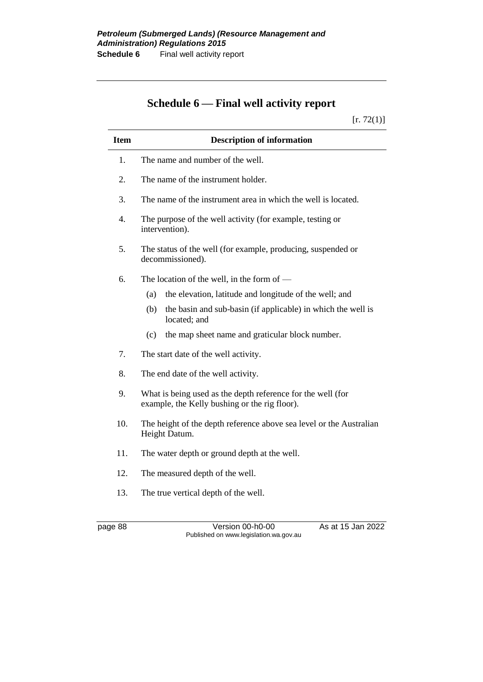# **Schedule 6 — Final well activity report**

 $[r. 72(1)]$ 

| <b>Item</b> | <b>Description of information</b>                                                                            |  |  |
|-------------|--------------------------------------------------------------------------------------------------------------|--|--|
| 1.          | The name and number of the well.                                                                             |  |  |
| 2.          | The name of the instrument holder.                                                                           |  |  |
| 3.          | The name of the instrument area in which the well is located.                                                |  |  |
| 4.          | The purpose of the well activity (for example, testing or<br>intervention).                                  |  |  |
| 5.          | The status of the well (for example, producing, suspended or<br>decommissioned).                             |  |  |
| 6.          | The location of the well, in the form of $-$                                                                 |  |  |
|             | the elevation, latitude and longitude of the well; and<br>(a)                                                |  |  |
|             | (b)<br>the basin and sub-basin (if applicable) in which the well is<br>located; and                          |  |  |
|             | the map sheet name and graticular block number.<br>(c)                                                       |  |  |
| 7.          | The start date of the well activity.                                                                         |  |  |
| 8.          | The end date of the well activity.                                                                           |  |  |
| 9.          | What is being used as the depth reference for the well (for<br>example, the Kelly bushing or the rig floor). |  |  |
| 10.         | The height of the depth reference above sea level or the Australian<br>Height Datum.                         |  |  |
| 11.         | The water depth or ground depth at the well.                                                                 |  |  |
| 12.         | The measured depth of the well.                                                                              |  |  |
| 13.         | The true vertical depth of the well.                                                                         |  |  |

page 88 Version 00-h0-00 As at 15 Jan 2022 Published on www.legislation.wa.gov.au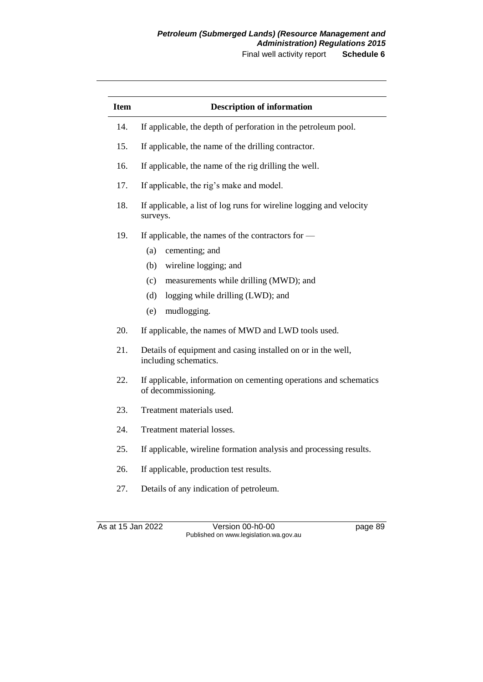Final well activity report **Schedule 6**

| <b>Item</b> | <b>Description of information</b>                                                        |  |
|-------------|------------------------------------------------------------------------------------------|--|
| 14.         | If applicable, the depth of perforation in the petroleum pool.                           |  |
| 15.         | If applicable, the name of the drilling contractor.                                      |  |
| 16.         | If applicable, the name of the rig drilling the well.                                    |  |
| 17.         | If applicable, the rig's make and model.                                                 |  |
| 18.         | If applicable, a list of log runs for wireline logging and velocity<br>surveys.          |  |
| 19.         | If applicable, the names of the contractors for -                                        |  |
|             | (a)<br>cementing; and                                                                    |  |
|             | wireline logging; and<br>(b)                                                             |  |
|             | (c)<br>measurements while drilling (MWD); and                                            |  |
|             | (d)<br>logging while drilling (LWD); and                                                 |  |
|             | mudlogging.<br>(e)                                                                       |  |
| 20.         | If applicable, the names of MWD and LWD tools used.                                      |  |
| 21.         | Details of equipment and casing installed on or in the well,<br>including schematics.    |  |
| 22.         | If applicable, information on cementing operations and schematics<br>of decommissioning. |  |
| 23.         | Treatment materials used.                                                                |  |
| 24.         | Treatment material losses.                                                               |  |
| 25.         | If applicable, wireline formation analysis and processing results.                       |  |
| 26.         | If applicable, production test results.                                                  |  |
| 27.         | Details of any indication of petroleum.                                                  |  |
|             | As at 15 Jan 2022<br>Version 00-h0-00<br>page 89                                         |  |

Published on www.legislation.wa.gov.au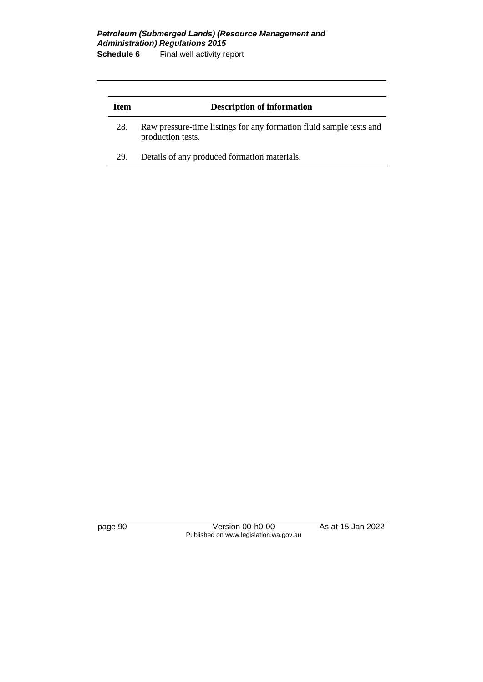#### *Petroleum (Submerged Lands) (Resource Management and Administration) Regulations 2015* **Schedule 6** Final well activity report

| <b>Item</b> | <b>Description of information</b>                                                        |  |
|-------------|------------------------------------------------------------------------------------------|--|
| 28.         | Raw pressure-time listings for any formation fluid sample tests and<br>production tests. |  |
| 29.         | Details of any produced formation materials.                                             |  |

page 90 Version 00-h0-00 As at 15 Jan 2022 Published on www.legislation.wa.gov.au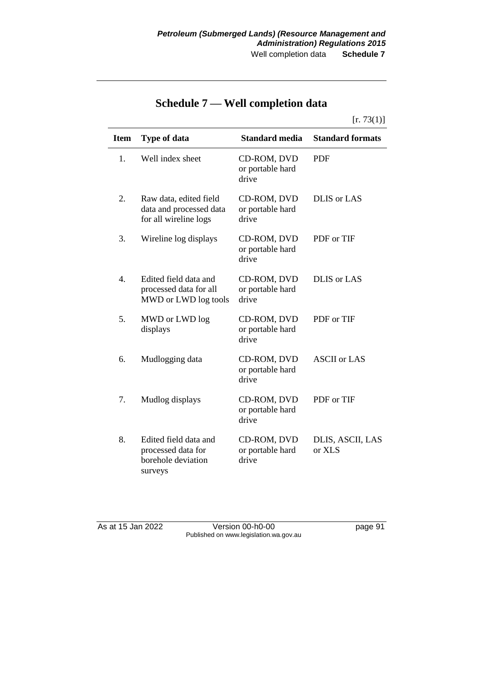| Item | <b>Type of data</b>                                                          | <b>Standard media</b>                    | <b>Standard formats</b>    |
|------|------------------------------------------------------------------------------|------------------------------------------|----------------------------|
| 1.   | Well index sheet                                                             | CD-ROM, DVD<br>or portable hard<br>drive | <b>PDF</b>                 |
| 2.   | Raw data, edited field<br>data and processed data<br>for all wireline logs   | CD-ROM, DVD<br>or portable hard<br>drive | <b>DLIS</b> or LAS         |
| 3.   | Wireline log displays                                                        | CD-ROM, DVD<br>or portable hard<br>drive | PDF or TIF                 |
| 4.   | Edited field data and<br>processed data for all<br>MWD or LWD log tools      | CD-ROM, DVD<br>or portable hard<br>drive | <b>DLIS</b> or LAS         |
| 5.   | MWD or LWD log<br>displays                                                   | CD-ROM, DVD<br>or portable hard<br>drive | PDF or TIF                 |
| 6.   | Mudlogging data                                                              | CD-ROM, DVD<br>or portable hard<br>drive | <b>ASCII</b> or LAS        |
| 7.   | Mudlog displays                                                              | CD-ROM, DVD<br>or portable hard<br>drive | PDF or TIF                 |
| 8.   | Edited field data and<br>processed data for<br>borehole deviation<br>surveys | CD-ROM, DVD<br>or portable hard<br>drive | DLIS, ASCII, LAS<br>or XLS |

# **Schedule 7 — Well completion data**

As at 15 Jan 2022 Version 00-h0-00 page 91 Published on www.legislation.wa.gov.au

 $[r. 73(1)]$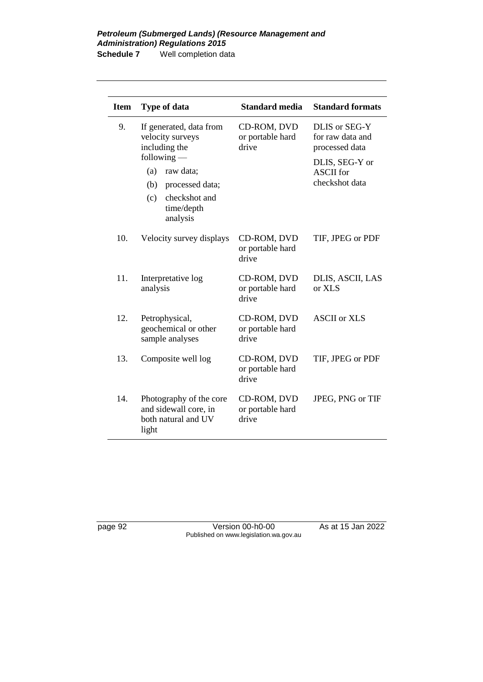| <b>Item</b> | Type of data                                                                                      | <b>Standard media</b>                    | <b>Standard formats</b>                              |
|-------------|---------------------------------------------------------------------------------------------------|------------------------------------------|------------------------------------------------------|
| 9.          | If generated, data from<br>velocity surveys<br>including the                                      | CD-ROM, DVD<br>or portable hard<br>drive | DLIS or SEG-Y<br>for raw data and<br>processed data  |
|             | $following -$<br>(a)<br>raw data;<br>(b)<br>processed data;<br>checkshot and<br>(c)<br>time/depth |                                          | DLIS, SEG-Y or<br><b>ASCII</b> for<br>checkshot data |
| 10.         | analysis<br>Velocity survey displays                                                              | CD-ROM, DVD<br>or portable hard<br>drive | TIF, JPEG or PDF                                     |
| 11.         | Interpretative log<br>analysis                                                                    | CD-ROM, DVD<br>or portable hard<br>drive | DLIS, ASCII, LAS<br>or XLS                           |
| 12.         | Petrophysical,<br>geochemical or other<br>sample analyses                                         | CD-ROM, DVD<br>or portable hard<br>drive | <b>ASCII</b> or XLS                                  |
| 13.         | Composite well log                                                                                | CD-ROM, DVD<br>or portable hard<br>drive | TIF, JPEG or PDF                                     |
| 14.         | Photography of the core<br>and sidewall core, in<br>both natural and UV<br>light                  | CD-ROM, DVD<br>or portable hard<br>drive | JPEG, PNG or TIF                                     |

page 92 Version 00-h0-00 As at 15 Jan 2022 Published on www.legislation.wa.gov.au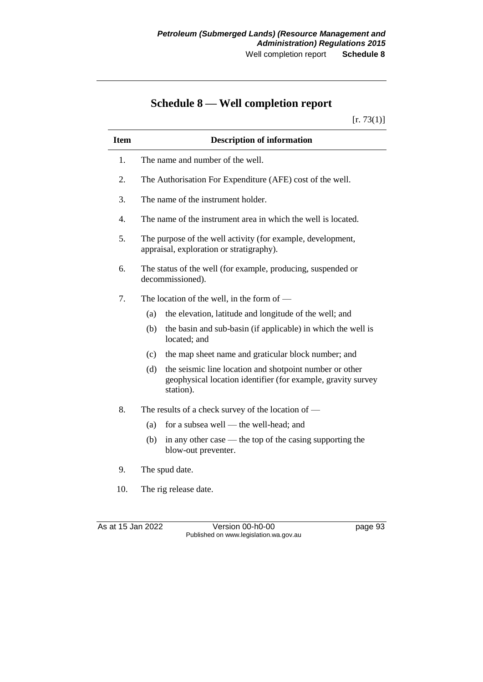# **Schedule 8 — Well completion report**

 $[r. 73(1)]$ 

| <b>Item</b>      | <b>Description of information</b>                                                                                                           |  |  |
|------------------|---------------------------------------------------------------------------------------------------------------------------------------------|--|--|
| 1.               | The name and number of the well.                                                                                                            |  |  |
| 2.               | The Authorisation For Expenditure (AFE) cost of the well.                                                                                   |  |  |
| 3.               | The name of the instrument holder.                                                                                                          |  |  |
| $\overline{4}$ . | The name of the instrument area in which the well is located.                                                                               |  |  |
| 5.               | The purpose of the well activity (for example, development,<br>appraisal, exploration or stratigraphy).                                     |  |  |
| 6.               | The status of the well (for example, producing, suspended or<br>decommissioned).                                                            |  |  |
| 7.               | The location of the well, in the form of $-$                                                                                                |  |  |
|                  | the elevation, latitude and longitude of the well; and<br>(a)                                                                               |  |  |
|                  | the basin and sub-basin (if applicable) in which the well is<br>(b)<br>located; and                                                         |  |  |
|                  | the map sheet name and graticular block number; and<br>(c)                                                                                  |  |  |
|                  | the seismic line location and shotpoint number or other<br>(d)<br>geophysical location identifier (for example, gravity survey<br>station). |  |  |
| 8.               | The results of a check survey of the location of —                                                                                          |  |  |
|                  | for a subsea well — the well-head; and<br>(a)                                                                                               |  |  |
|                  | in any other case $-$ the top of the casing supporting the<br>(b)<br>blow-out preventer.                                                    |  |  |
| 9.               | The spud date.                                                                                                                              |  |  |
| 10.              | The rig release date.                                                                                                                       |  |  |
|                  |                                                                                                                                             |  |  |
|                  | As at 15 Jan 2022<br>Version 00-h0-00<br>page 93                                                                                            |  |  |

Published on www.legislation.wa.gov.au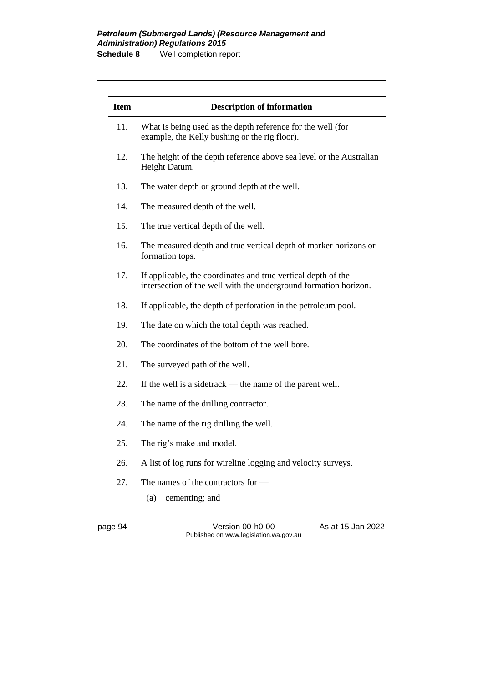#### *Petroleum (Submerged Lands) (Resource Management and Administration) Regulations 2015* **Schedule 8** Well completion report

| <b>Item</b> | <b>Description of information</b>                                                                                                 |
|-------------|-----------------------------------------------------------------------------------------------------------------------------------|
| 11.         | What is being used as the depth reference for the well (for<br>example, the Kelly bushing or the rig floor).                      |
| 12.         | The height of the depth reference above sea level or the Australian<br>Height Datum.                                              |
| 13.         | The water depth or ground depth at the well.                                                                                      |
| 14.         | The measured depth of the well.                                                                                                   |
| 15.         | The true vertical depth of the well.                                                                                              |
| 16.         | The measured depth and true vertical depth of marker horizons or<br>formation tops.                                               |
| 17.         | If applicable, the coordinates and true vertical depth of the<br>intersection of the well with the underground formation horizon. |
| 18.         | If applicable, the depth of perforation in the petroleum pool.                                                                    |
| 19.         | The date on which the total depth was reached.                                                                                    |
| 20.         | The coordinates of the bottom of the well bore.                                                                                   |
| 21.         | The surveyed path of the well.                                                                                                    |
| 22.         | If the well is a side track — the name of the parent well.                                                                        |
| 23.         | The name of the drilling contractor.                                                                                              |
| 24.         | The name of the rig drilling the well.                                                                                            |
| 25.         | The rig's make and model.                                                                                                         |
| 26.         | A list of log runs for wireline logging and velocity surveys.                                                                     |
| 27.         | The names of the contractors for -                                                                                                |
|             | (a)<br>cementing; and                                                                                                             |

page 94 Version 00-h0-00 As at 15 Jan 2022 Published on www.legislation.wa.gov.au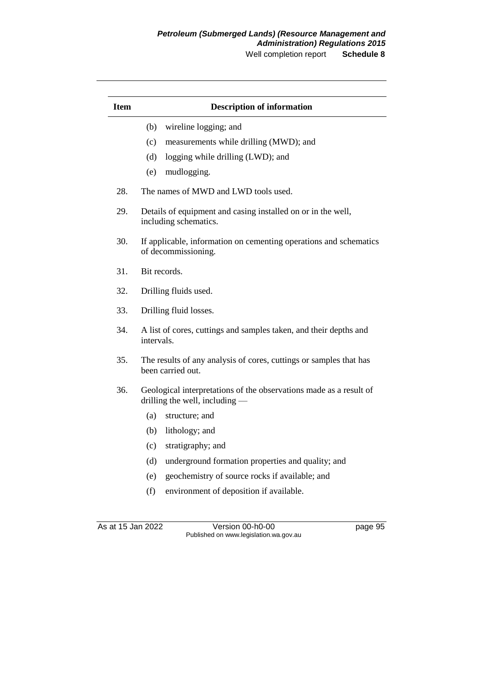### *Petroleum (Submerged Lands) (Resource Management and Administration) Regulations 2015*

Well completion report **Schedule 8**

| <b>Item</b> | <b>Description of information</b>                                                                    |  |
|-------------|------------------------------------------------------------------------------------------------------|--|
|             | (b)<br>wireline logging; and                                                                         |  |
|             | (c)<br>measurements while drilling (MWD); and                                                        |  |
|             | (d)<br>logging while drilling (LWD); and                                                             |  |
|             | mudlogging.<br>(e)                                                                                   |  |
| 28.         | The names of MWD and LWD tools used.                                                                 |  |
| 29.         | Details of equipment and casing installed on or in the well,<br>including schematics.                |  |
| 30.         | If applicable, information on cementing operations and schematics<br>of decommissioning.             |  |
| 31.         | Bit records.                                                                                         |  |
| 32.         | Drilling fluids used.                                                                                |  |
| 33.         | Drilling fluid losses.                                                                               |  |
| 34.         | A list of cores, cuttings and samples taken, and their depths and<br>intervals.                      |  |
| 35.         | The results of any analysis of cores, cuttings or samples that has<br>been carried out.              |  |
| 36.         | Geological interpretations of the observations made as a result of<br>drilling the well, including — |  |
|             | (a)<br>structure; and                                                                                |  |
|             | (b)<br>lithology; and                                                                                |  |
|             | stratigraphy; and<br>(c)                                                                             |  |
|             | underground formation properties and quality; and<br>(d)                                             |  |
|             | geochemistry of source rocks if available; and<br>(e)                                                |  |
|             | (f)<br>environment of deposition if available.                                                       |  |
|             |                                                                                                      |  |
|             | As at 15 Jan 2022<br>Version 00-h0-00<br>page 95<br>Published on www.legislation.wa.gov.au           |  |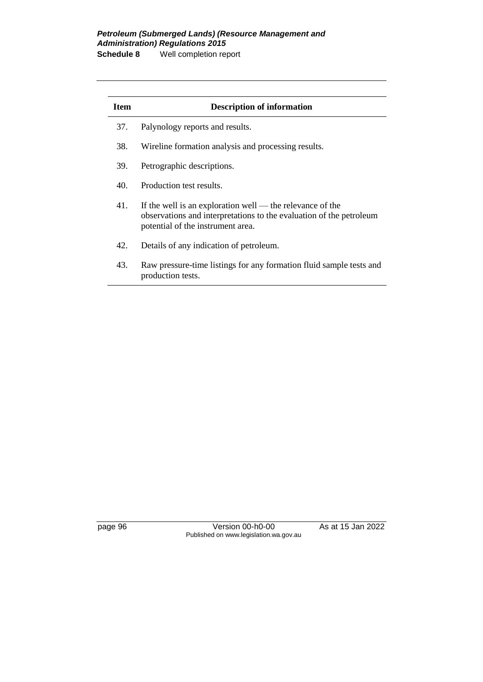#### *Petroleum (Submerged Lands) (Resource Management and Administration) Regulations 2015* **Schedule 8** Well completion report

| <b>Item</b> | <b>Description of information</b>                                                                                                                                     |  |  |
|-------------|-----------------------------------------------------------------------------------------------------------------------------------------------------------------------|--|--|
| 37.         | Palynology reports and results.                                                                                                                                       |  |  |
| 38.         | Wireline formation analysis and processing results.                                                                                                                   |  |  |
| 39.         | Petrographic descriptions.                                                                                                                                            |  |  |
| 40.         | Production test results.                                                                                                                                              |  |  |
| 41.         | If the well is an exploration well — the relevance of the<br>observations and interpretations to the evaluation of the petroleum<br>potential of the instrument area. |  |  |
| 42.         | Details of any indication of petroleum.                                                                                                                               |  |  |
| 43.         | Raw pressure-time listings for any formation fluid sample tests and<br>production tests.                                                                              |  |  |

page 96 Version 00-h0-00 As at 15 Jan 2022 Published on www.legislation.wa.gov.au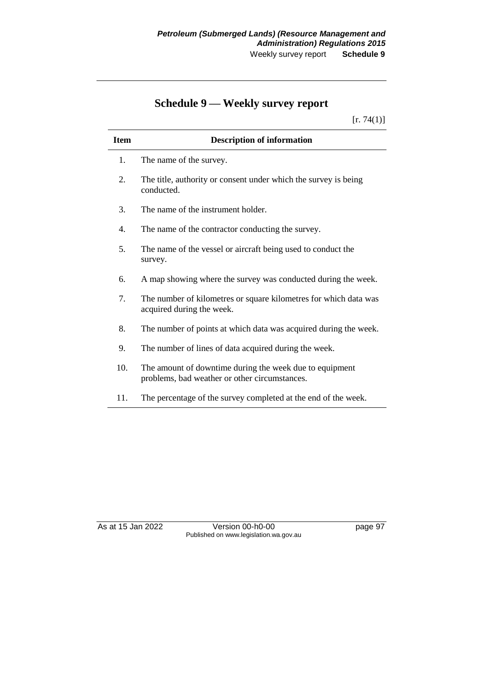# **Schedule 9 — Weekly survey report**

 $[r. 74(1)]$ 

| <b>Item</b> | <b>Description of information</b>                                                                        |
|-------------|----------------------------------------------------------------------------------------------------------|
| 1.          | The name of the survey.                                                                                  |
| 2.          | The title, authority or consent under which the survey is being<br>conducted.                            |
| 3.          | The name of the instrument holder.                                                                       |
| 4.          | The name of the contractor conducting the survey.                                                        |
| 5.          | The name of the vessel or aircraft being used to conduct the<br>survey.                                  |
| 6.          | A map showing where the survey was conducted during the week.                                            |
| 7.          | The number of kilometres or square kilometres for which data was<br>acquired during the week.            |
| 8.          | The number of points at which data was acquired during the week.                                         |
| 9.          | The number of lines of data acquired during the week.                                                    |
| 10.         | The amount of downtime during the week due to equipment<br>problems, bad weather or other circumstances. |
| 11.         | The percentage of the survey completed at the end of the week.                                           |

As at 15 Jan 2022 Version 00-h0-00 page 97 Published on www.legislation.wa.gov.au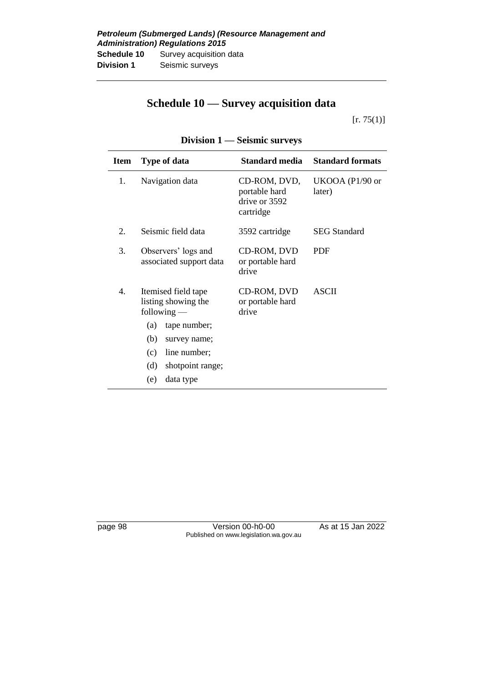# **Schedule 10 — Survey acquisition data**

 $[r. 75(1)]$ 

| <b>Item</b> | <b>Type of data</b>                                                                                                                                                             | Standard media                                              | <b>Standard formats</b>   |
|-------------|---------------------------------------------------------------------------------------------------------------------------------------------------------------------------------|-------------------------------------------------------------|---------------------------|
| 1.          | Navigation data                                                                                                                                                                 | CD-ROM, DVD,<br>portable hard<br>drive or 3592<br>cartridge | UKOOA (P1/90 or<br>later) |
| 2.          | Seismic field data                                                                                                                                                              | 3592 cartridge                                              | <b>SEG Standard</b>       |
| 3.          | Observers' logs and<br>associated support data                                                                                                                                  | CD-ROM, DVD<br>or portable hard<br>drive                    | <b>PDF</b>                |
| 4.          | Itemised field tape<br>listing showing the<br>$following -$<br>tape number;<br>(a)<br>(b)<br>survey name;<br>line number;<br>(c)<br>(d)<br>shotpoint range;<br>(e)<br>data type | CD-ROM, DVD<br>or portable hard<br>drive                    | <b>ASCII</b>              |
|             |                                                                                                                                                                                 |                                                             |                           |

## **Division 1 — Seismic surveys**

page 98 Version 00-h0-00 As at 15 Jan 2022 Published on www.legislation.wa.gov.au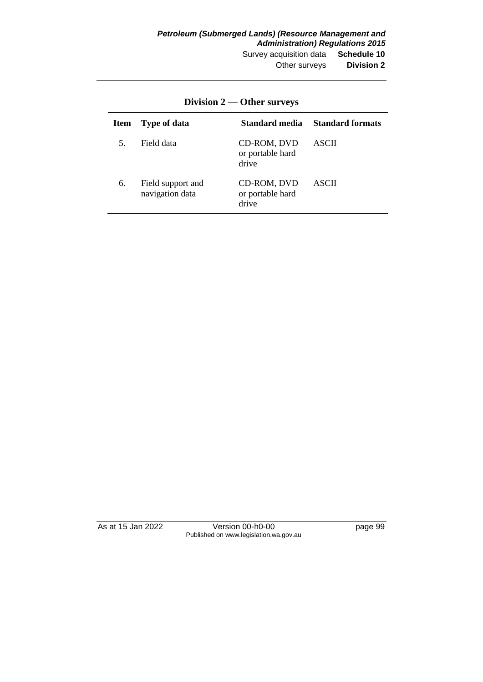| Item | <b>Type of data</b>                  | Standard media                           | <b>Standard formats</b> |
|------|--------------------------------------|------------------------------------------|-------------------------|
| 5.   | Field data                           | CD-ROM, DVD<br>or portable hard<br>drive | ASCII                   |
| 6.   | Field support and<br>navigation data | CD-ROM, DVD<br>or portable hard<br>drive | ASCII                   |

**Division 2 — Other surveys**

As at 15 Jan 2022 Version 00-h0-00 page 99 Published on www.legislation.wa.gov.au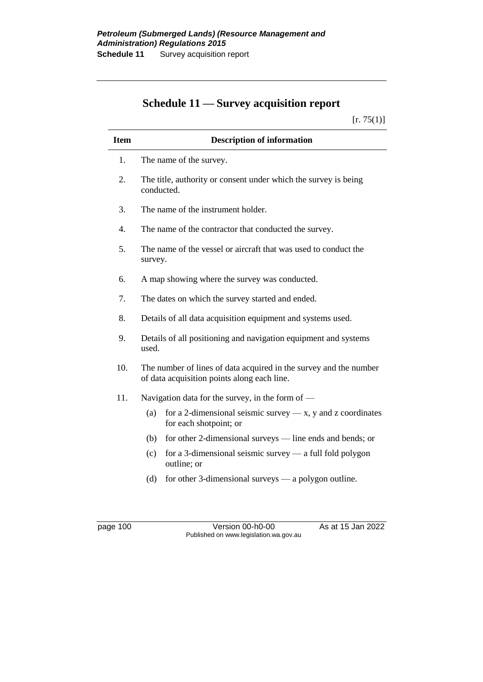# **Schedule 11 — Survey acquisition report**

 $[r. 75(1)]$ 

| <b>Item</b> | <b>Description of information</b>                                                                                |  |  |
|-------------|------------------------------------------------------------------------------------------------------------------|--|--|
| 1.          | The name of the survey.                                                                                          |  |  |
| 2.          | The title, authority or consent under which the survey is being<br>conducted.                                    |  |  |
| 3.          | The name of the instrument holder.                                                                               |  |  |
| 4.          | The name of the contractor that conducted the survey.                                                            |  |  |
| 5.          | The name of the vessel or aircraft that was used to conduct the<br>survey.                                       |  |  |
| 6.          | A map showing where the survey was conducted.                                                                    |  |  |
| 7.          | The dates on which the survey started and ended.                                                                 |  |  |
| 8.          | Details of all data acquisition equipment and systems used.                                                      |  |  |
| 9.          | Details of all positioning and navigation equipment and systems<br>used.                                         |  |  |
| 10.         | The number of lines of data acquired in the survey and the number<br>of data acquisition points along each line. |  |  |
| 11.         | Navigation data for the survey, in the form of $-$                                                               |  |  |
|             | for a 2-dimensional seismic survey $-x$ , y and z coordinates<br>(a)<br>for each shotpoint; or                   |  |  |
|             | for other 2-dimensional surveys — line ends and bends; or<br>(b)                                                 |  |  |
|             | for a 3-dimensional seismic survey $-$ a full fold polygon<br>(c)<br>outline; or                                 |  |  |
|             | for other 3-dimensional surveys $-$ a polygon outline.<br>(d)                                                    |  |  |

page 100 Version 00-h0-00 As at 15 Jan 2022 Published on www.legislation.wa.gov.au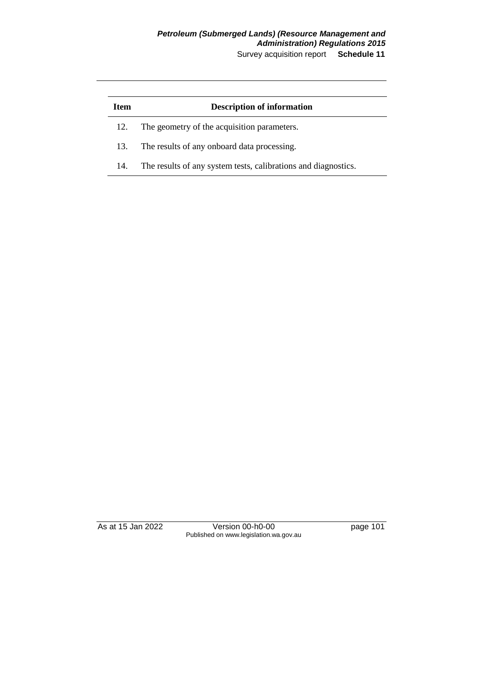## *Petroleum (Submerged Lands) (Resource Management and Administration) Regulations 2015*

Survey acquisition report **Schedule 11**

| Item | <b>Description of information</b>                              |
|------|----------------------------------------------------------------|
| 12.  | The geometry of the acquisition parameters.                    |
| 13.  | The results of any onboard data processing.                    |
| 14.  | The results of any system tests, calibrations and diagnostics. |

As at 15 Jan 2022 Version 00-h0-00 page 101 Published on www.legislation.wa.gov.au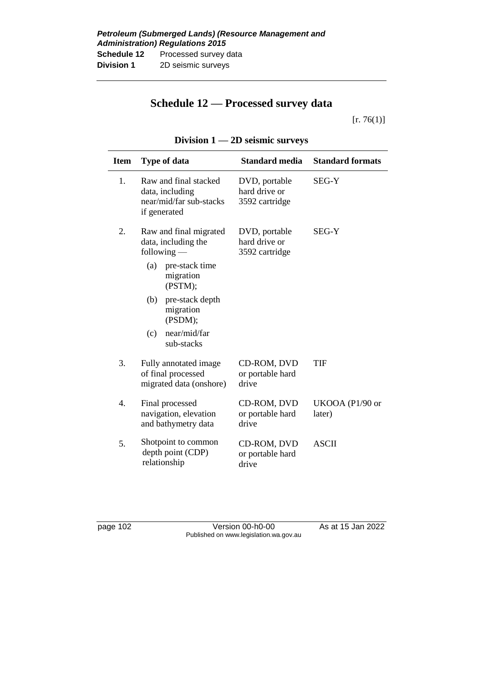## **Schedule 12 — Processed survey data**

 $[r. 76(1)]$ 

| <b>Item</b>      | <b>Type of data</b>                                                                 | <b>Standard media</b>                            | <b>Standard formats</b>   |
|------------------|-------------------------------------------------------------------------------------|--------------------------------------------------|---------------------------|
| 1.               | Raw and final stacked<br>data, including<br>near/mid/far sub-stacks<br>if generated | DVD, portable<br>hard drive or<br>3592 cartridge | SEG-Y                     |
| 2.               | Raw and final migrated<br>data, including the<br>$following -$                      | DVD, portable<br>hard drive or<br>3592 cartridge | <b>SEG-Y</b>              |
|                  | (a)<br>pre-stack time<br>migration<br>(PSTM);                                       |                                                  |                           |
|                  | pre-stack depth<br>(b)<br>migration<br>(PSDM);                                      |                                                  |                           |
|                  | near/mid/far<br>(c)<br>sub-stacks                                                   |                                                  |                           |
| 3.               | Fully annotated image<br>of final processed<br>migrated data (onshore)              | CD-ROM, DVD<br>or portable hard<br>drive         | TIF                       |
| $\overline{4}$ . | Final processed<br>navigation, elevation<br>and bathymetry data                     | CD-ROM, DVD<br>or portable hard<br>drive         | UKOOA (P1/90 or<br>later) |
| 5.               | Shotpoint to common<br>depth point (CDP)<br>relationship                            | CD-ROM, DVD<br>or portable hard<br>drive         | <b>ASCII</b>              |

### **Division 1 — 2D seismic surveys**

page 102 Version 00-h0-00 As at 15 Jan 2022 Published on www.legislation.wa.gov.au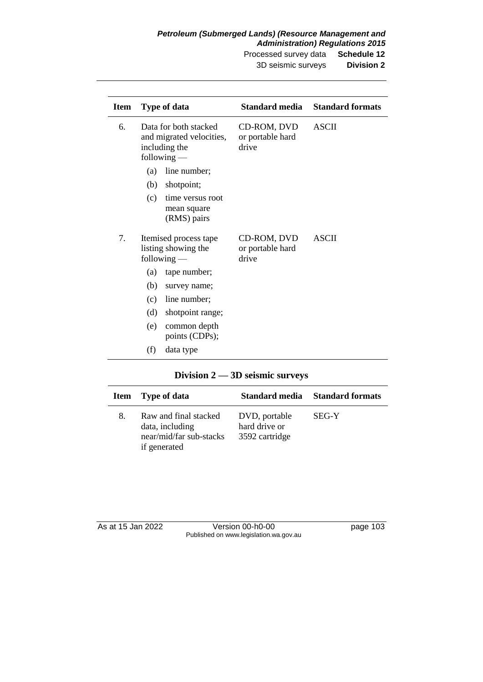#### *Petroleum (Submerged Lands) (Resource Management and Administration) Regulations 2015*

Processed survey data **Schedule 12** 3D seismic surveys **Division 2**

| <b>Item</b> |     | <b>Type of data</b>                                                                 | Standard media                           | <b>Standard formats</b> |
|-------------|-----|-------------------------------------------------------------------------------------|------------------------------------------|-------------------------|
| 6.          |     | Data for both stacked<br>and migrated velocities,<br>including the<br>$following -$ | CD-ROM, DVD<br>or portable hard<br>drive | <b>ASCII</b>            |
|             | (a) | line number;                                                                        |                                          |                         |
|             | (b) | shotpoint;                                                                          |                                          |                         |
|             | (c) | time versus root<br>mean square<br>(RMS) pairs                                      |                                          |                         |
| 7.          |     | Itemised process tape<br>listing showing the<br>$following -$                       | CD-ROM, DVD<br>or portable hard<br>drive | <b>ASCII</b>            |
|             | (a) | tape number;                                                                        |                                          |                         |
|             | (b) | survey name;                                                                        |                                          |                         |
|             | (c) | line number;                                                                        |                                          |                         |
|             | (d) | shotpoint range;                                                                    |                                          |                         |
|             | (e) | common depth<br>points (CDPs);                                                      |                                          |                         |
|             | (f) | data type                                                                           |                                          |                         |

### **Division 2 — 3D seismic surveys**

| Item | Type of data                                                                        | Standard media                                   | <b>Standard formats</b> |
|------|-------------------------------------------------------------------------------------|--------------------------------------------------|-------------------------|
| 8.   | Raw and final stacked<br>data, including<br>near/mid/far sub-stacks<br>if generated | DVD, portable<br>hard drive or<br>3592 cartridge | SEG-Y                   |

| As at 15 Jan 2022 | Version 00-h0-00                       | page 103 |
|-------------------|----------------------------------------|----------|
|                   | Published on www.legislation.wa.gov.au |          |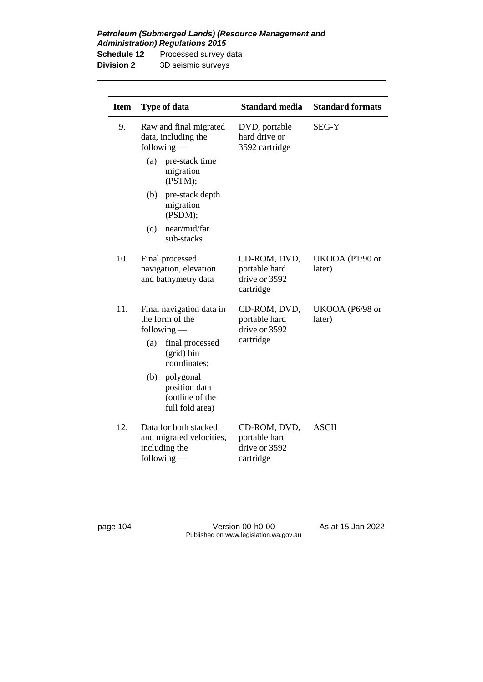*Petroleum (Submerged Lands) (Resource Management and Administration) Regulations 2015*

| <b>Schedule 12</b> | Processed survey data |
|--------------------|-----------------------|
| <b>Division 2</b>  | 3D seismic surveys    |

| <b>Item</b> | <b>Type of data</b>                                                                 | <b>Standard media</b>                                       | <b>Standard formats</b>   |
|-------------|-------------------------------------------------------------------------------------|-------------------------------------------------------------|---------------------------|
| 9.          | Raw and final migrated<br>data, including the<br>$following$ —                      | DVD, portable<br>hard drive or<br>3592 cartridge            | SEG-Y                     |
|             | (a)<br>pre-stack time<br>migration<br>(PSTM);                                       |                                                             |                           |
|             | (b)<br>pre-stack depth<br>migration<br>(PSDM);                                      |                                                             |                           |
|             | near/mid/far<br>(c)<br>sub-stacks                                                   |                                                             |                           |
| 10.         | Final processed<br>navigation, elevation<br>and bathymetry data                     | CD-ROM, DVD,<br>portable hard<br>drive or 3592<br>cartridge | UKOOA (P1/90 or<br>later) |
| 11.         | Final navigation data in<br>the form of the<br>following $-$                        | CD-ROM, DVD,<br>portable hard<br>drive or 3592              | UKOOA (P6/98 or<br>later) |
|             | final processed<br>(a)<br>(grid) bin<br>coordinates;                                | cartridge                                                   |                           |
|             | (b)<br>polygonal<br>position data<br>(outline of the<br>full fold area)             |                                                             |                           |
| 12.         | Data for both stacked<br>and migrated velocities,<br>including the<br>$following$ — | CD-ROM, DVD,<br>portable hard<br>drive or 3592<br>cartridge | <b>ASCII</b>              |

page 104 Version 00-h0-00 As at 15 Jan 2022 Published on www.legislation.wa.gov.au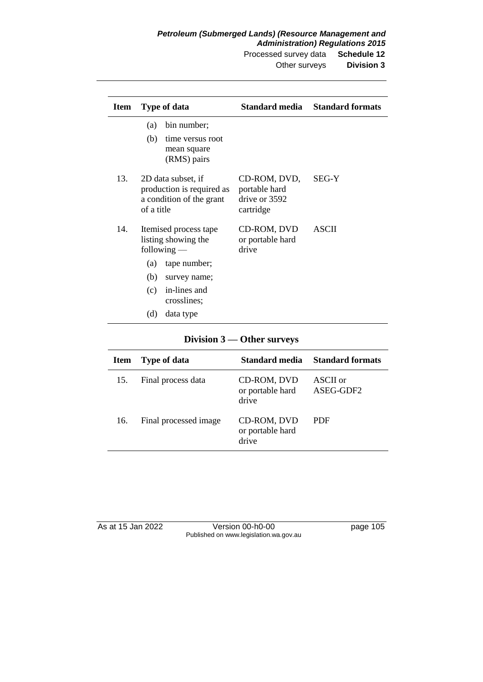| <b>Item</b> | <b>Type of data</b>                                                                                                                                                   |                                                             | <b>Standard media</b> Standard formats |
|-------------|-----------------------------------------------------------------------------------------------------------------------------------------------------------------------|-------------------------------------------------------------|----------------------------------------|
|             | bin number;<br>(a)<br>(b)<br>time versus root<br>mean square<br>(RMS) pairs                                                                                           |                                                             |                                        |
| 13.         | 2D data subset, if<br>production is required as<br>a condition of the grant<br>of a title                                                                             | CD-ROM, DVD,<br>portable hard<br>drive or 3592<br>cartridge | <b>SEG-Y</b>                           |
| 14.         | Itemised process tape<br>listing showing the<br>following $-$<br>tape number;<br>(a)<br>(b)<br>survey name;<br>in-lines and<br>(c)<br>crosslines;<br>(d)<br>data type | CD-ROM, DVD<br>or portable hard<br>drive                    | <b>ASCII</b>                           |

### **Division 3 — Other surveys**

| <b>Item</b> | Type of data          | Standard media                           | <b>Standard formats</b> |
|-------------|-----------------------|------------------------------------------|-------------------------|
| 15.         | Final process data    | CD-ROM, DVD<br>or portable hard<br>drive | ASCII or<br>ASEG-GDF2   |
| 16.         | Final processed image | CD-ROM, DVD<br>or portable hard<br>drive | PDF                     |

| As at 15 Jan 2022 | Version 00-h0-00                       | page 105 |
|-------------------|----------------------------------------|----------|
|                   | Published on www.legislation.wa.gov.au |          |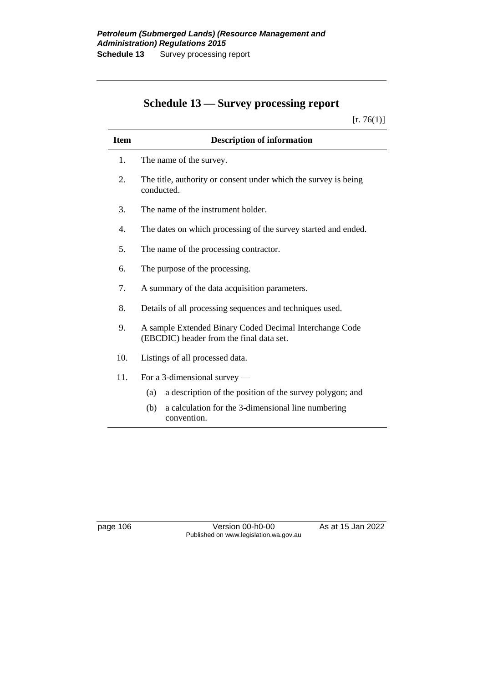# **Schedule 13 — Survey processing report**

 $[r. 76(1)]$ 

| <b>Item</b> | <b>Description of information</b>                                                                   |
|-------------|-----------------------------------------------------------------------------------------------------|
| 1.          | The name of the survey.                                                                             |
| 2.          | The title, authority or consent under which the survey is being<br>conducted.                       |
| 3.          | The name of the instrument holder.                                                                  |
| 4.          | The dates on which processing of the survey started and ended.                                      |
| 5.          | The name of the processing contractor.                                                              |
| 6.          | The purpose of the processing.                                                                      |
| 7.          | A summary of the data acquisition parameters.                                                       |
| 8.          | Details of all processing sequences and techniques used.                                            |
| 9.          | A sample Extended Binary Coded Decimal Interchange Code<br>(EBCDIC) header from the final data set. |
| 10.         | Listings of all processed data.                                                                     |
| 11.         | For a 3-dimensional survey —                                                                        |
|             | a description of the position of the survey polygon; and<br>(a)                                     |
|             | a calculation for the 3-dimensional line numbering<br>(b)<br>convention.                            |

page 106 Version 00-h0-00 As at 15 Jan 2022 Published on www.legislation.wa.gov.au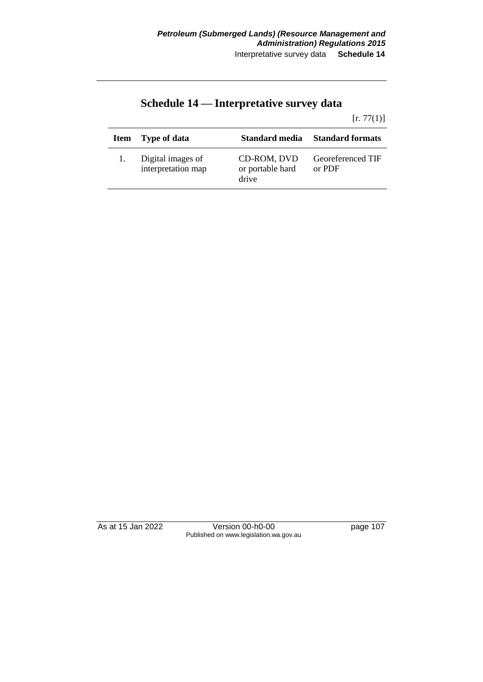|  | Schedule 14 — Interpretative survey data |  |
|--|------------------------------------------|--|
|--|------------------------------------------|--|

#### $[r. 77(1)]$

| <b>Item</b> | Type of data                            | Standard media                           | <b>Standard formats</b>     |
|-------------|-----------------------------------------|------------------------------------------|-----------------------------|
|             | Digital images of<br>interpretation map | CD-ROM, DVD<br>or portable hard<br>drive | Georeferenced TIF<br>or PDF |

As at 15 Jan 2022 Version 00-h0-00 page 107 Published on www.legislation.wa.gov.au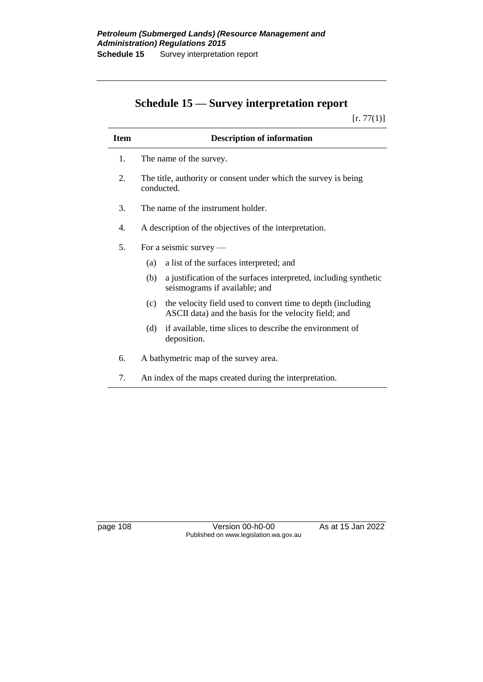# **Schedule 15 — Survey interpretation report**

 $[r. 77(1)]$ 

| <b>Item</b> | <b>Description of information</b>                                                                                           |
|-------------|-----------------------------------------------------------------------------------------------------------------------------|
| 1.          | The name of the survey.                                                                                                     |
| 2.          | The title, authority or consent under which the survey is being<br>conducted.                                               |
| 3.          | The name of the instrument holder.                                                                                          |
| 4.          | A description of the objectives of the interpretation.                                                                      |
| 5.          | For a seismic survey $-$                                                                                                    |
|             | a list of the surfaces interpreted; and<br>(a)                                                                              |
|             | a justification of the surfaces interpreted, including synthetic<br>(b)<br>seismograms if available; and                    |
|             | the velocity field used to convert time to depth (including<br>(c)<br>ASCII data) and the basis for the velocity field; and |
|             | if available, time slices to describe the environment of<br>(d)<br>deposition.                                              |
| 6.          | A bathymetric map of the survey area.                                                                                       |
| 7.          | An index of the maps created during the interpretation.                                                                     |

page 108 Version 00-h0-00 As at 15 Jan 2022 Published on www.legislation.wa.gov.au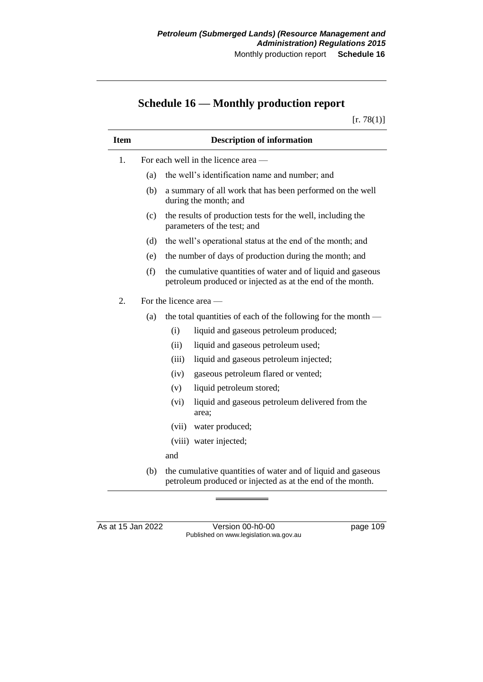# **Schedule 16 — Monthly production report**

 $[r. 78(1)]$ 

| <b>Item</b> |     | <b>Description of information</b>                                                                                          |
|-------------|-----|----------------------------------------------------------------------------------------------------------------------------|
| 1.          |     | For each well in the licence area —                                                                                        |
|             | (a) | the well's identification name and number; and                                                                             |
|             | (b) | a summary of all work that has been performed on the well<br>during the month; and                                         |
|             | (c) | the results of production tests for the well, including the<br>parameters of the test; and                                 |
|             | (d) | the well's operational status at the end of the month; and                                                                 |
|             | (e) | the number of days of production during the month; and                                                                     |
|             | (f) | the cumulative quantities of water and of liquid and gaseous<br>petroleum produced or injected as at the end of the month. |
| 2.          |     | For the licence area —                                                                                                     |
|             | (a) | the total quantities of each of the following for the month —                                                              |
|             |     | (i)<br>liquid and gaseous petroleum produced;                                                                              |
|             |     | (ii)<br>liquid and gaseous petroleum used;                                                                                 |
|             |     | (iii)<br>liquid and gaseous petroleum injected;                                                                            |
|             |     | gaseous petroleum flared or vented;<br>(iv)                                                                                |
|             |     | liquid petroleum stored;<br>(v)                                                                                            |
|             |     | (vi)<br>liquid and gaseous petroleum delivered from the<br>area:                                                           |
|             |     | water produced;<br>(vii)                                                                                                   |
|             |     | (viii) water injected;                                                                                                     |
|             |     | and                                                                                                                        |
|             | (b) | the cumulative quantities of water and of liquid and gaseous<br>petroleum produced or injected as at the end of the month. |

As at 15 Jan 2022 Version 00-h0-00 page 109 Published on www.legislation.wa.gov.au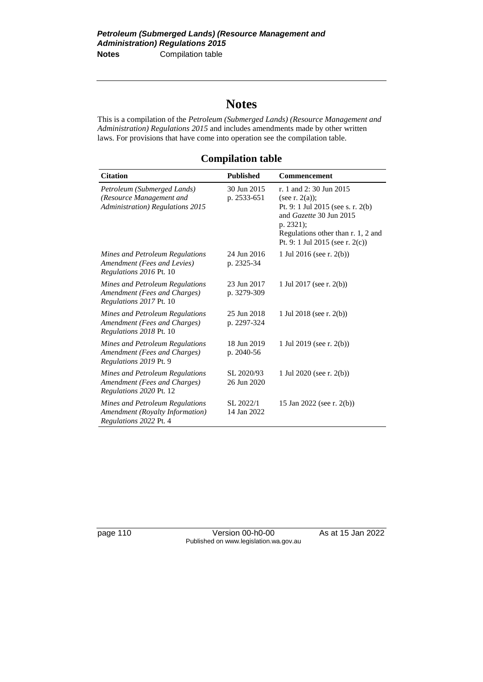# **Notes**

This is a compilation of the *Petroleum (Submerged Lands) (Resource Management and Administration) Regulations 2015* and includes amendments made by other written laws. For provisions that have come into operation see the compilation table.

### **Compilation table**

| <b>Citation</b>                                                                              | <b>Published</b>           | <b>Commencement</b>                                                                                                                                                                                  |
|----------------------------------------------------------------------------------------------|----------------------------|------------------------------------------------------------------------------------------------------------------------------------------------------------------------------------------------------|
| Petroleum (Submerged Lands)<br>(Resource Management and<br>Administration) Regulations 2015  | 30 Jun 2015<br>p. 2533-651 | r. 1 and 2:30 Jun 2015<br>(see r. $2(a)$ );<br>Pt. 9: 1 Jul 2015 (see s. r. 2(b)<br>and Gazette 30 Jun 2015<br>p. 2321);<br>Regulations other than r. 1, 2 and<br>Pt. 9: 1 Jul 2015 (see r. $2(c)$ ) |
| Mines and Petroleum Regulations<br>Amendment (Fees and Levies)<br>Regulations 2016 Pt. 10    | 24 Jun 2016<br>p. 2325-34  | 1 Jul 2016 (see r. 2(b))                                                                                                                                                                             |
| Mines and Petroleum Regulations<br>Amendment (Fees and Charges)<br>Regulations 2017 Pt. 10   | 23 Jun 2017<br>p. 3279-309 | 1 Jul 2017 (see r. 2(b))                                                                                                                                                                             |
| Mines and Petroleum Regulations<br>Amendment (Fees and Charges)<br>Regulations 2018 Pt. 10   | 25 Jun 2018<br>p. 2297-324 | 1 Jul 2018 (see r. 2(b))                                                                                                                                                                             |
| Mines and Petroleum Regulations<br>Amendment (Fees and Charges)<br>Regulations 2019 Pt. 9    | 18 Jun 2019<br>p. 2040-56  | 1 Jul 2019 (see r. 2(b))                                                                                                                                                                             |
| Mines and Petroleum Regulations<br>Amendment (Fees and Charges)<br>Regulations 2020 Pt. 12   | SL 2020/93<br>26 Jun 2020  | 1 Jul 2020 (see r. 2(b))                                                                                                                                                                             |
| Mines and Petroleum Regulations<br>Amendment (Royalty Information)<br>Regulations 2022 Pt. 4 | SL 2022/1<br>14 Jan 2022   | 15 Jan 2022 (see r. 2(b))                                                                                                                                                                            |

page 110 Version 00-h0-00 As at 15 Jan 2022 Published on www.legislation.wa.gov.au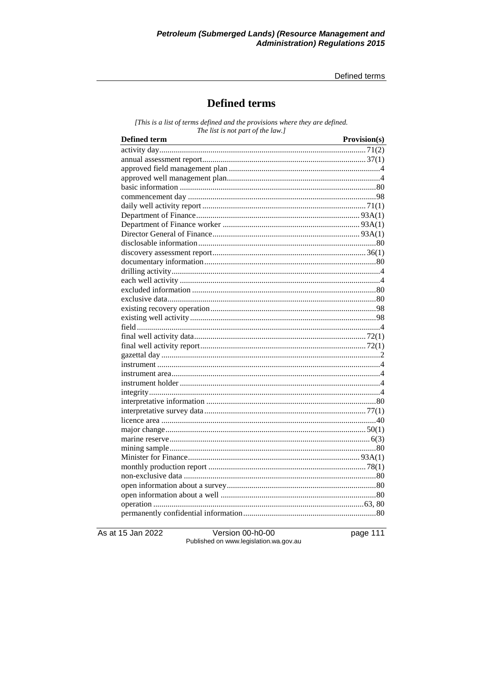Defined terms

## **Defined terms**

[This is a list of terms defined and the provisions where they are defined. The list is not part of the law.]

| <b>Defined term</b> | Provision(s) |
|---------------------|--------------|
|                     |              |
|                     |              |
|                     |              |
|                     |              |
|                     |              |
|                     |              |
|                     |              |
|                     |              |
|                     |              |
|                     |              |
|                     |              |
|                     |              |
|                     |              |
|                     |              |
|                     |              |
|                     |              |
|                     |              |
|                     |              |
|                     |              |
|                     |              |
|                     |              |
|                     |              |
|                     |              |
|                     |              |
|                     |              |
|                     |              |
|                     |              |
|                     |              |
|                     |              |
|                     |              |
|                     |              |
|                     |              |
|                     |              |
|                     |              |
|                     |              |
|                     |              |
|                     |              |
|                     |              |
|                     |              |
|                     |              |

As at 15 Jan 2022

Version 00-h0-00 Published on www.legislation.wa.gov.au page 111